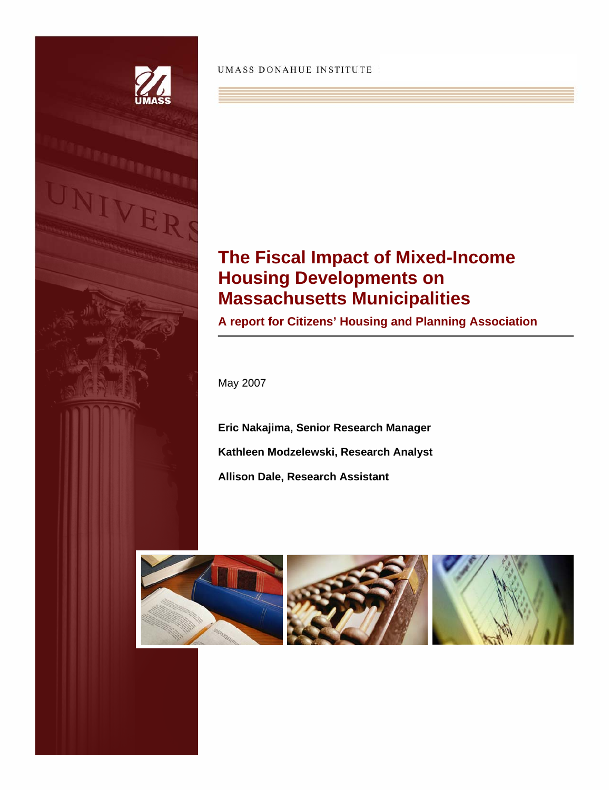

**UMASS DONAHUE INSTITUTE** 

# **The Fiscal Impact of Mixed-Income Housing Developments on Massachusetts Municipalities**

**A report for Citizens' Housing and Planning Association** 

May 2007

**Eric Nakajima, Senior Research Manager Kathleen Modzelewski, Research Analyst Allison Dale, Research Assistant**

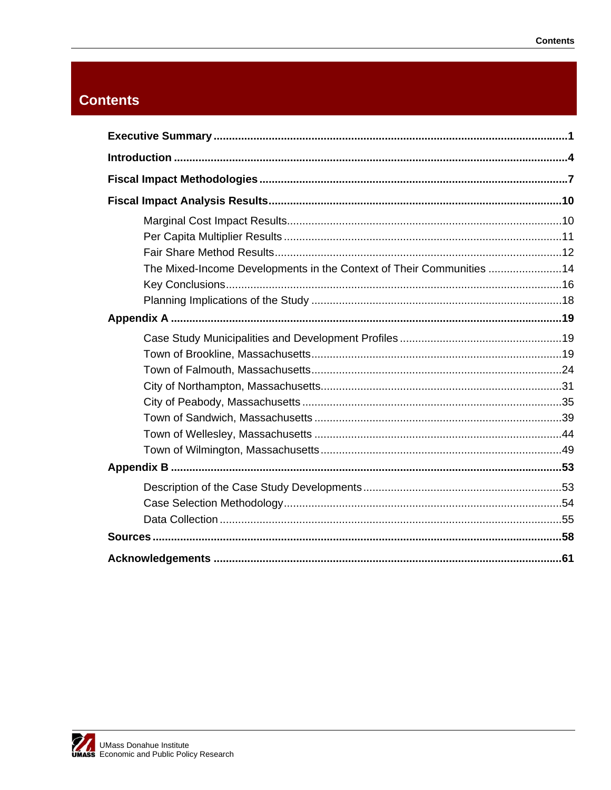# **Contents**

| The Mixed-Income Developments in the Context of Their Communities 14 |  |
|----------------------------------------------------------------------|--|
|                                                                      |  |
|                                                                      |  |
|                                                                      |  |
|                                                                      |  |
|                                                                      |  |
|                                                                      |  |
|                                                                      |  |
|                                                                      |  |
|                                                                      |  |
|                                                                      |  |
|                                                                      |  |
|                                                                      |  |
|                                                                      |  |
|                                                                      |  |
|                                                                      |  |
|                                                                      |  |
|                                                                      |  |
|                                                                      |  |

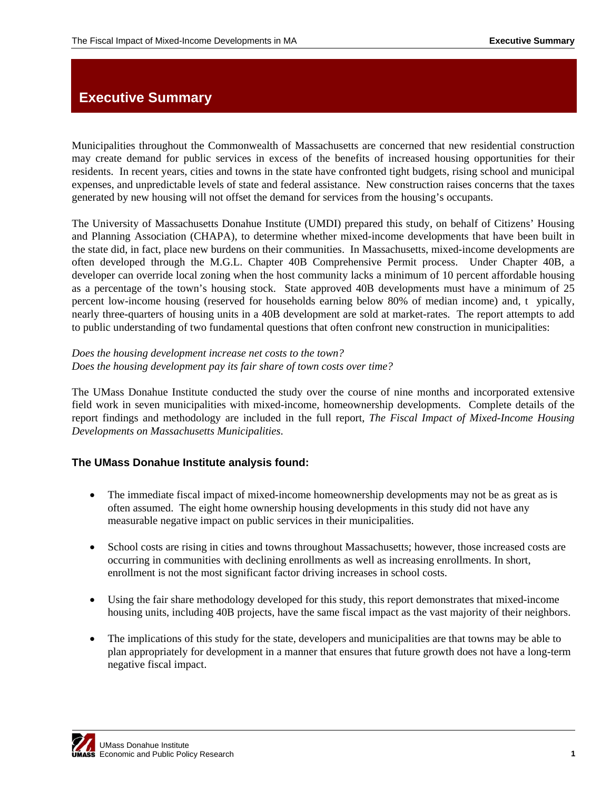# <span id="page-2-0"></span>**Executive Summary**

Municipalities throughout the Commonwealth of Massachusetts are concerned that new residential construction may create demand for public services in excess of the benefits of increased housing opportunities for their residents. In recent years, cities and towns in the state have confronted tight budgets, rising school and municipal expenses, and unpredictable levels of state and federal assistance. New construction raises concerns that the taxes generated by new housing will not offset the demand for services from the housing's occupants.

The University of Massachusetts Donahue Institute (UMDI) prepared this study, on behalf of Citizens' Housing and Planning Association (CHAPA), to determine whether mixed-income developments that have been built in the state did, in fact, place new burdens on their communities. In Massachusetts, mixed-income developments are often developed through the M.G.L. Chapter 40B Comprehensive Permit process. Under Chapter 40B, a developer can override local zoning when the host community lacks a minimum of 10 percent affordable housing as a percentage of the town's housing stock. State approved 40B developments must have a minimum of 25 percent low-income housing (reserved for households earning below 80% of median income) and, t ypically, nearly three-quarters of housing units in a 40B development are sold at market-rates. The report attempts to add to public understanding of two fundamental questions that often confront new construction in municipalities:

*Does the housing development increase net costs to the town? Does the housing development pay its fair share of town costs over time?* 

The UMass Donahue Institute conducted the study over the course of nine months and incorporated extensive field work in seven municipalities with mixed-income, homeownership developments. Complete details of the report findings and methodology are included in the full report, *The Fiscal Impact of Mixed-Income Housing Developments on Massachusetts Municipalities*.

#### **The UMass Donahue Institute analysis found:**

- The immediate fiscal impact of mixed-income homeownership developments may not be as great as is often assumed. The eight home ownership housing developments in this study did not have any measurable negative impact on public services in their municipalities.
- School costs are rising in cities and towns throughout Massachusetts; however, those increased costs are occurring in communities with declining enrollments as well as increasing enrollments. In short, enrollment is not the most significant factor driving increases in school costs.
- Using the fair share methodology developed for this study, this report demonstrates that mixed-income housing units, including 40B projects, have the same fiscal impact as the vast majority of their neighbors.
- The implications of this study for the state, developers and municipalities are that towns may be able to plan appropriately for development in a manner that ensures that future growth does not have a long-term negative fiscal impact.

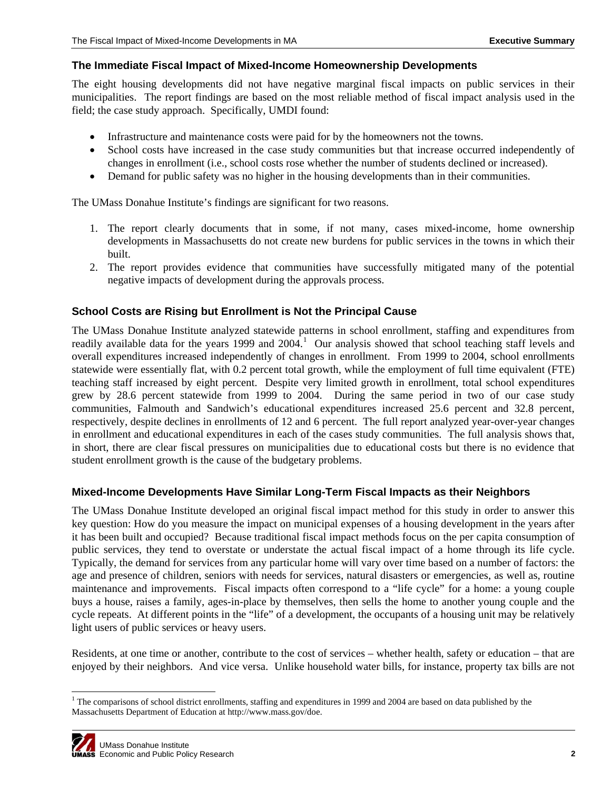#### **The Immediate Fiscal Impact of Mixed-Income Homeownership Developments**

The eight housing developments did not have negative marginal fiscal impacts on public services in their municipalities. The report findings are based on the most reliable method of fiscal impact analysis used in the field; the case study approach. Specifically, UMDI found:

- Infrastructure and maintenance costs were paid for by the homeowners not the towns.
- School costs have increased in the case study communities but that increase occurred independently of changes in enrollment (i.e., school costs rose whether the number of students declined or increased).
- Demand for public safety was no higher in the housing developments than in their communities.

The UMass Donahue Institute's findings are significant for two reasons.

- 1. The report clearly documents that in some, if not many, cases mixed-income, home ownership developments in Massachusetts do not create new burdens for public services in the towns in which their built.
- 2. The report provides evidence that communities have successfully mitigated many of the potential negative impacts of development during the approvals process.

### **School Costs are Rising but Enrollment is Not the Principal Cause**

The UMass Donahue Institute analyzed statewide patterns in school enrollment, staffing and expenditures from readily available data for the years [1](#page-3-0)999 and  $2004$ .<sup>1</sup> Our analysis showed that school teaching staff levels and overall expenditures increased independently of changes in enrollment. From 1999 to 2004, school enrollments statewide were essentially flat, with 0.2 percent total growth, while the employment of full time equivalent (FTE) teaching staff increased by eight percent. Despite very limited growth in enrollment, total school expenditures grew by 28.6 percent statewide from 1999 to 2004. During the same period in two of our case study communities, Falmouth and Sandwich's educational expenditures increased 25.6 percent and 32.8 percent, respectively, despite declines in enrollments of 12 and 6 percent. The full report analyzed year-over-year changes in enrollment and educational expenditures in each of the cases study communities. The full analysis shows that, in short, there are clear fiscal pressures on municipalities due to educational costs but there is no evidence that student enrollment growth is the cause of the budgetary problems.

#### **Mixed-Income Developments Have Similar Long-Term Fiscal Impacts as their Neighbors**

The UMass Donahue Institute developed an original fiscal impact method for this study in order to answer this key question: How do you measure the impact on municipal expenses of a housing development in the years after it has been built and occupied? Because traditional fiscal impact methods focus on the per capita consumption of public services, they tend to overstate or understate the actual fiscal impact of a home through its life cycle. Typically, the demand for services from any particular home will vary over time based on a number of factors: the age and presence of children, seniors with needs for services, natural disasters or emergencies, as well as, routine maintenance and improvements. Fiscal impacts often correspond to a "life cycle" for a home: a young couple buys a house, raises a family, ages-in-place by themselves, then sells the home to another young couple and the cycle repeats. At different points in the "life" of a development, the occupants of a housing unit may be relatively light users of public services or heavy users.

Residents, at one time or another, contribute to the cost of services – whether health, safety or education – that are enjoyed by their neighbors. And vice versa. Unlike household water bills, for instance, property tax bills are not

<span id="page-3-0"></span><sup>&</sup>lt;sup>1</sup> The comparisons of school district enrollments, staffing and expenditures in 1999 and 2004 are based on data published by the Massachusetts Department of Education at http://www.mass.gov/doe.



-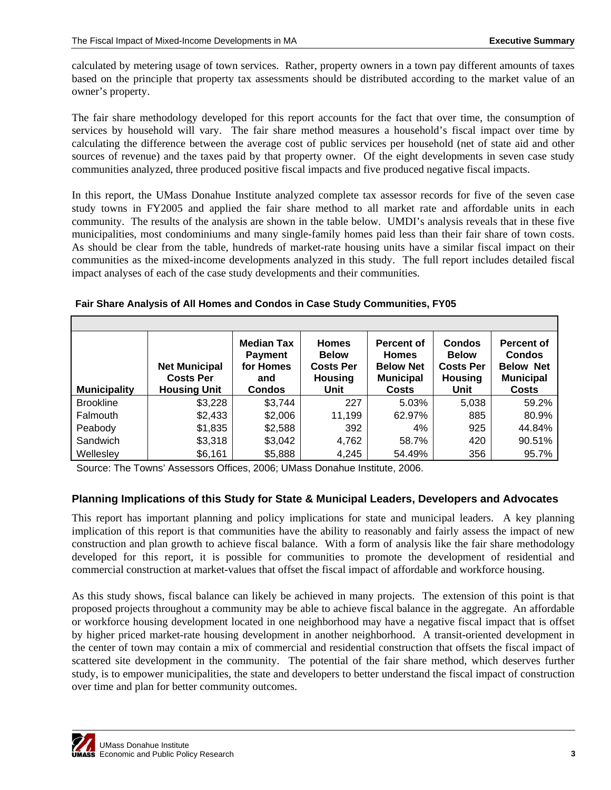calculated by metering usage of town services. Rather, property owners in a town pay different amounts of taxes based on the principle that property tax assessments should be distributed according to the market value of an owner's property.

The fair share methodology developed for this report accounts for the fact that over time, the consumption of services by household will vary. The fair share method measures a household's fiscal impact over time by calculating the difference between the average cost of public services per household (net of state aid and other sources of revenue) and the taxes paid by that property owner. Of the eight developments in seven case study communities analyzed, three produced positive fiscal impacts and five produced negative fiscal impacts.

In this report, the UMass Donahue Institute analyzed complete tax assessor records for five of the seven case study towns in FY2005 and applied the fair share method to all market rate and affordable units in each community. The results of the analysis are shown in the table below. UMDI's analysis reveals that in these five municipalities, most condominiums and many single-family homes paid less than their fair share of town costs. As should be clear from the table, hundreds of market-rate housing units have a similar fiscal impact on their communities as the mixed-income developments analyzed in this study. The full report includes detailed fiscal impact analyses of each of the case study developments and their communities.

| <b>Municipality</b> | <b>Net Municipal</b><br><b>Costs Per</b><br><b>Housing Unit</b> | <b>Median Tax</b><br><b>Payment</b><br>for Homes<br>and<br><b>Condos</b> | <b>Homes</b><br><b>Below</b><br><b>Costs Per</b><br><b>Housing</b><br>Unit | Percent of<br><b>Homes</b><br><b>Below Net</b><br><b>Municipal</b><br><b>Costs</b> | <b>Condos</b><br><b>Below</b><br><b>Costs Per</b><br><b>Housing</b><br>Unit | <b>Percent of</b><br><b>Condos</b><br><b>Below Net</b><br><b>Municipal</b><br><b>Costs</b> |
|---------------------|-----------------------------------------------------------------|--------------------------------------------------------------------------|----------------------------------------------------------------------------|------------------------------------------------------------------------------------|-----------------------------------------------------------------------------|--------------------------------------------------------------------------------------------|
| <b>Brookline</b>    | \$3,228                                                         | \$3,744                                                                  | 227                                                                        | 5.03%                                                                              | 5,038                                                                       | 59.2%                                                                                      |
| Falmouth            | \$2,433                                                         | \$2,006                                                                  | 11,199                                                                     | 62.97%                                                                             | 885                                                                         | 80.9%                                                                                      |
| Peabody             | \$1,835                                                         | \$2,588                                                                  | 392                                                                        | 4%                                                                                 | 925                                                                         | 44.84%                                                                                     |
| Sandwich            | \$3,318                                                         | \$3,042                                                                  | 4,762                                                                      | 58.7%                                                                              | 420                                                                         | 90.51%                                                                                     |
| Wellesley           | \$6,161                                                         | \$5,888                                                                  | 4,245                                                                      | 54.49%                                                                             | 356                                                                         | 95.7%                                                                                      |

#### **Fair Share Analysis of All Homes and Condos in Case Study Communities, FY05**

Source: The Towns' Assessors Offices, 2006; UMass Donahue Institute, 2006.

#### **Planning Implications of this Study for State & Municipal Leaders, Developers and Advocates**

This report has important planning and policy implications for state and municipal leaders. A key planning implication of this report is that communities have the ability to reasonably and fairly assess the impact of new construction and plan growth to achieve fiscal balance. With a form of analysis like the fair share methodology developed for this report, it is possible for communities to promote the development of residential and commercial construction at market-values that offset the fiscal impact of affordable and workforce housing.

As this study shows, fiscal balance can likely be achieved in many projects. The extension of this point is that proposed projects throughout a community may be able to achieve fiscal balance in the aggregate. An affordable or workforce housing development located in one neighborhood may have a negative fiscal impact that is offset by higher priced market-rate housing development in another neighborhood. A transit-oriented development in the center of town may contain a mix of commercial and residential construction that offsets the fiscal impact of scattered site development in the community. The potential of the fair share method, which deserves further study, is to empower municipalities, the state and developers to better understand the fiscal impact of construction over time and plan for better community outcomes.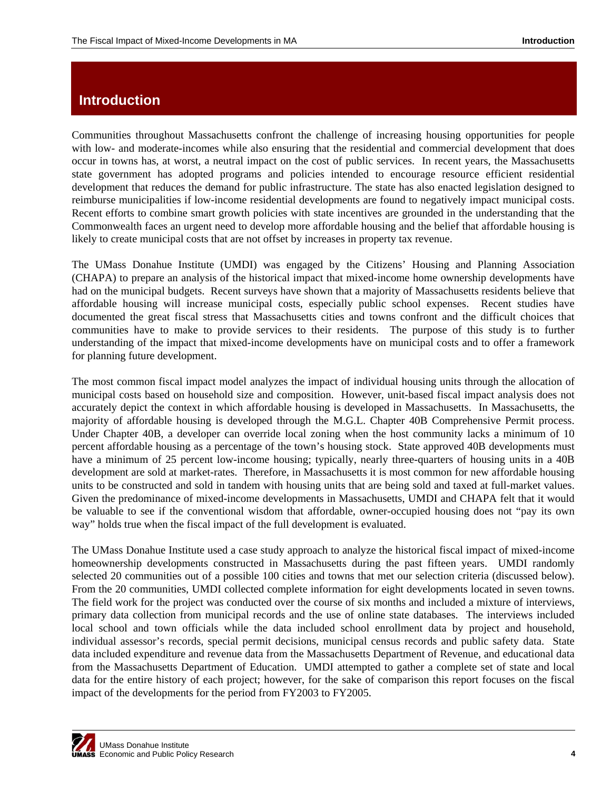## <span id="page-5-0"></span>**Introduction**

Communities throughout Massachusetts confront the challenge of increasing housing opportunities for people with low- and moderate-incomes while also ensuring that the residential and commercial development that does occur in towns has, at worst, a neutral impact on the cost of public services. In recent years, the Massachusetts state government has adopted programs and policies intended to encourage resource efficient residential development that reduces the demand for public infrastructure. The state has also enacted legislation designed to reimburse municipalities if low-income residential developments are found to negatively impact municipal costs. Recent efforts to combine smart growth policies with state incentives are grounded in the understanding that the Commonwealth faces an urgent need to develop more affordable housing and the belief that affordable housing is likely to create municipal costs that are not offset by increases in property tax revenue.

The UMass Donahue Institute (UMDI) was engaged by the Citizens' Housing and Planning Association (CHAPA) to prepare an analysis of the historical impact that mixed-income home ownership developments have had on the municipal budgets. Recent surveys have shown that a majority of Massachusetts residents believe that affordable housing will increase municipal costs, especially public school expenses. Recent studies have documented the great fiscal stress that Massachusetts cities and towns confront and the difficult choices that communities have to make to provide services to their residents. The purpose of this study is to further understanding of the impact that mixed-income developments have on municipal costs and to offer a framework for planning future development.

The most common fiscal impact model analyzes the impact of individual housing units through the allocation of municipal costs based on household size and composition. However, unit-based fiscal impact analysis does not accurately depict the context in which affordable housing is developed in Massachusetts. In Massachusetts, the majority of affordable housing is developed through the M.G.L. Chapter 40B Comprehensive Permit process. Under Chapter 40B, a developer can override local zoning when the host community lacks a minimum of 10 percent affordable housing as a percentage of the town's housing stock. State approved 40B developments must have a minimum of 25 percent low-income housing; typically, nearly three-quarters of housing units in a 40B development are sold at market-rates. Therefore, in Massachusetts it is most common for new affordable housing units to be constructed and sold in tandem with housing units that are being sold and taxed at full-market values. Given the predominance of mixed-income developments in Massachusetts, UMDI and CHAPA felt that it would be valuable to see if the conventional wisdom that affordable, owner-occupied housing does not "pay its own way" holds true when the fiscal impact of the full development is evaluated.

The UMass Donahue Institute used a case study approach to analyze the historical fiscal impact of mixed-income homeownership developments constructed in Massachusetts during the past fifteen years. UMDI randomly selected 20 communities out of a possible 100 cities and towns that met our selection criteria (discussed below). From the 20 communities, UMDI collected complete information for eight developments located in seven towns. The field work for the project was conducted over the course of six months and included a mixture of interviews, primary data collection from municipal records and the use of online state databases. The interviews included local school and town officials while the data included school enrollment data by project and household, individual assessor's records, special permit decisions, municipal census records and public safety data. State data included expenditure and revenue data from the Massachusetts Department of Revenue, and educational data from the Massachusetts Department of Education. UMDI attempted to gather a complete set of state and local data for the entire history of each project; however, for the sake of comparison this report focuses on the fiscal impact of the developments for the period from FY2003 to FY2005.

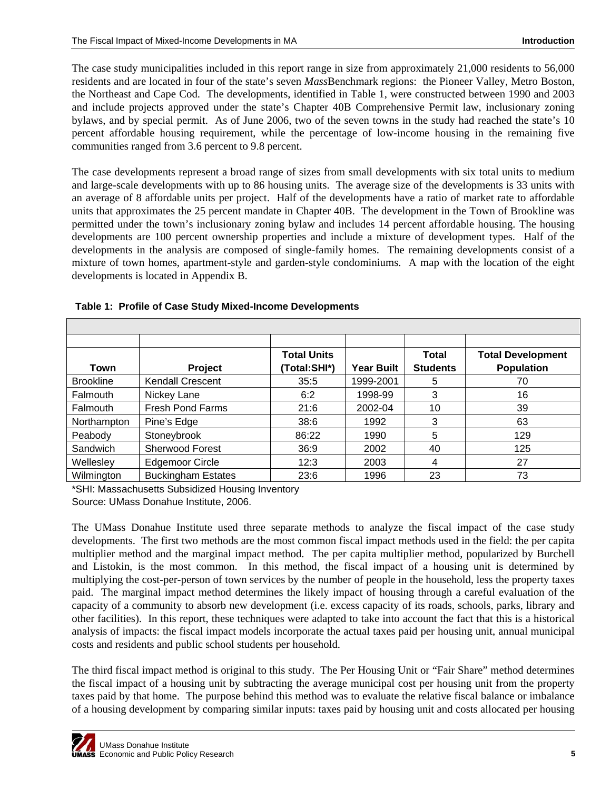The case study municipalities included in this report range in size from approximately 21,000 residents to 56,000 residents and are located in four of the state's seven *Mass*Benchmark regions: the Pioneer Valley, Metro Boston, the Northeast and Cape Cod. The developments, identified in Table 1, were constructed between 1990 and 2003 and include projects approved under the state's Chapter 40B Comprehensive Permit law, inclusionary zoning bylaws, and by special permit. As of June 2006, two of the seven towns in the study had reached the state's 10 percent affordable housing requirement, while the percentage of low-income housing in the remaining five communities ranged from 3.6 percent to 9.8 percent.

The case developments represent a broad range of sizes from small developments with six total units to medium and large-scale developments with up to 86 housing units. The average size of the developments is 33 units with an average of 8 affordable units per project. Half of the developments have a ratio of market rate to affordable units that approximates the 25 percent mandate in Chapter 40B. The development in the Town of Brookline was permitted under the town's inclusionary zoning bylaw and includes 14 percent affordable housing. The housing developments are 100 percent ownership properties and include a mixture of development types. Half of the developments in the analysis are composed of single-family homes. The remaining developments consist of a mixture of town homes, apartment-style and garden-style condominiums. A map with the location of the eight developments is located in Appendix B.

| Town             | Project                   | <b>Total Units</b><br>(Total:SHI*) | <b>Year Built</b> | <b>Total</b><br><b>Students</b> | <b>Total Development</b><br><b>Population</b> |
|------------------|---------------------------|------------------------------------|-------------------|---------------------------------|-----------------------------------------------|
| <b>Brookline</b> | <b>Kendall Crescent</b>   | 35:5                               | 1999-2001         | 5                               | 70                                            |
| Falmouth         | Nickey Lane               | 6:2                                | 1998-99           | 3                               | 16                                            |
| Falmouth         | <b>Fresh Pond Farms</b>   | 21:6                               | 2002-04           | 10                              | 39                                            |
| Northampton      | Pine's Edge               | 38:6                               | 1992              | 3                               | 63                                            |
| Peabody          | Stoneybrook               | 86:22                              | 1990              | 5                               | 129                                           |
| Sandwich         | <b>Sherwood Forest</b>    | 36:9                               | 2002              | 40                              | 125                                           |
| Wellesley        | <b>Edgemoor Circle</b>    | 12:3                               | 2003              | 4                               | 27                                            |
| Wilmington       | <b>Buckingham Estates</b> | 23:6                               | 1996              | 23                              | 73                                            |

#### **Table 1: Profile of Case Study Mixed-Income Developments**

\*SHI: Massachusetts Subsidized Housing Inventory Source: UMass Donahue Institute, 2006.

The UMass Donahue Institute used three separate methods to analyze the fiscal impact of the case study developments. The first two methods are the most common fiscal impact methods used in the field: the per capita multiplier method and the marginal impact method. The per capita multiplier method, popularized by Burchell and Listokin, is the most common. In this method, the fiscal impact of a housing unit is determined by multiplying the cost-per-person of town services by the number of people in the household, less the property taxes paid. The marginal impact method determines the likely impact of housing through a careful evaluation of the capacity of a community to absorb new development (i.e. excess capacity of its roads, schools, parks, library and other facilities). In this report, these techniques were adapted to take into account the fact that this is a historical analysis of impacts: the fiscal impact models incorporate the actual taxes paid per housing unit, annual municipal costs and residents and public school students per household.

The third fiscal impact method is original to this study. The Per Housing Unit or "Fair Share" method determines the fiscal impact of a housing unit by subtracting the average municipal cost per housing unit from the property taxes paid by that home. The purpose behind this method was to evaluate the relative fiscal balance or imbalance of a housing development by comparing similar inputs: taxes paid by housing unit and costs allocated per housing

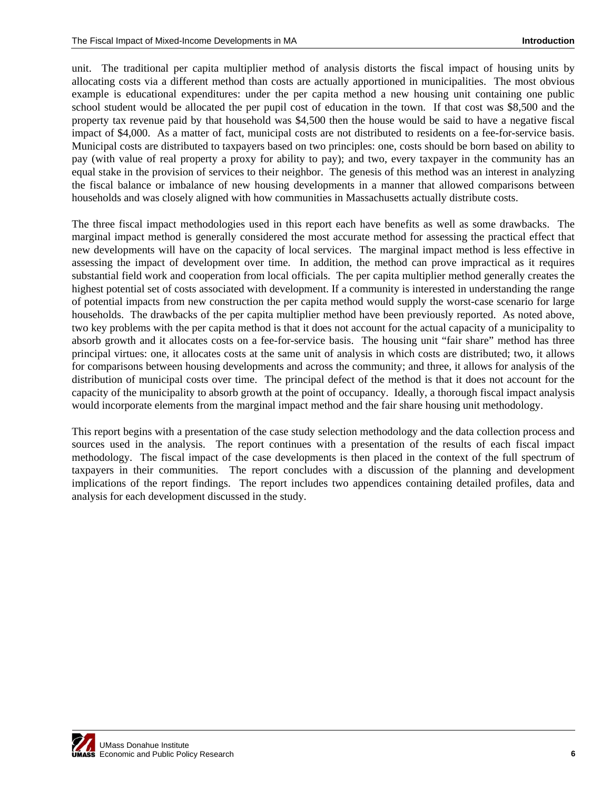unit. The traditional per capita multiplier method of analysis distorts the fiscal impact of housing units by allocating costs via a different method than costs are actually apportioned in municipalities. The most obvious example is educational expenditures: under the per capita method a new housing unit containing one public school student would be allocated the per pupil cost of education in the town. If that cost was \$8,500 and the property tax revenue paid by that household was \$4,500 then the house would be said to have a negative fiscal impact of \$4,000. As a matter of fact, municipal costs are not distributed to residents on a fee-for-service basis. Municipal costs are distributed to taxpayers based on two principles: one, costs should be born based on ability to pay (with value of real property a proxy for ability to pay); and two, every taxpayer in the community has an equal stake in the provision of services to their neighbor. The genesis of this method was an interest in analyzing the fiscal balance or imbalance of new housing developments in a manner that allowed comparisons between households and was closely aligned with how communities in Massachusetts actually distribute costs.

The three fiscal impact methodologies used in this report each have benefits as well as some drawbacks. The marginal impact method is generally considered the most accurate method for assessing the practical effect that new developments will have on the capacity of local services. The marginal impact method is less effective in assessing the impact of development over time. In addition, the method can prove impractical as it requires substantial field work and cooperation from local officials. The per capita multiplier method generally creates the highest potential set of costs associated with development. If a community is interested in understanding the range of potential impacts from new construction the per capita method would supply the worst-case scenario for large households. The drawbacks of the per capita multiplier method have been previously reported. As noted above, two key problems with the per capita method is that it does not account for the actual capacity of a municipality to absorb growth and it allocates costs on a fee-for-service basis. The housing unit "fair share" method has three principal virtues: one, it allocates costs at the same unit of analysis in which costs are distributed; two, it allows for comparisons between housing developments and across the community; and three, it allows for analysis of the distribution of municipal costs over time. The principal defect of the method is that it does not account for the capacity of the municipality to absorb growth at the point of occupancy. Ideally, a thorough fiscal impact analysis would incorporate elements from the marginal impact method and the fair share housing unit methodology.

This report begins with a presentation of the case study selection methodology and the data collection process and sources used in the analysis. The report continues with a presentation of the results of each fiscal impact methodology. The fiscal impact of the case developments is then placed in the context of the full spectrum of taxpayers in their communities. The report concludes with a discussion of the planning and development implications of the report findings. The report includes two appendices containing detailed profiles, data and analysis for each development discussed in the study.

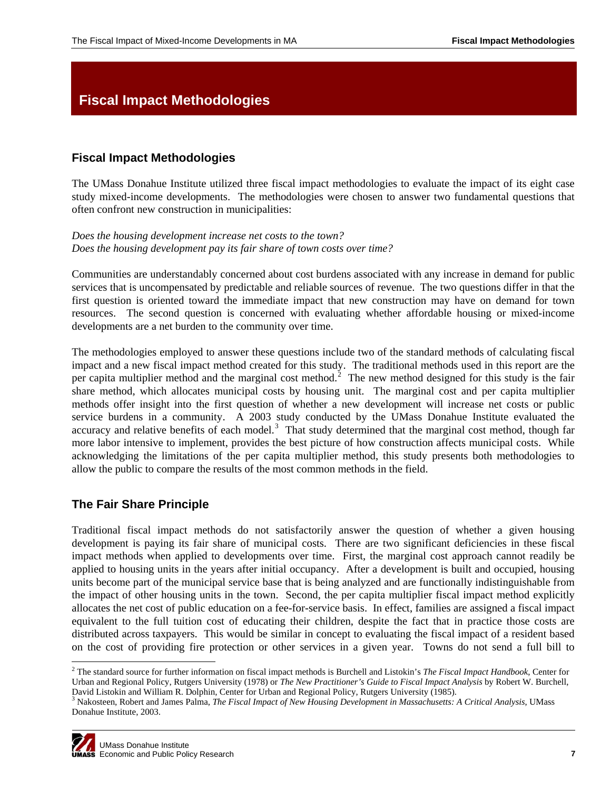## <span id="page-8-0"></span>**Fiscal Impact Methodologies**

### **Fiscal Impact Methodologies**

The UMass Donahue Institute utilized three fiscal impact methodologies to evaluate the impact of its eight case study mixed-income developments. The methodologies were chosen to answer two fundamental questions that often confront new construction in municipalities:

*Does the housing development increase net costs to the town? Does the housing development pay its fair share of town costs over time?* 

Communities are understandably concerned about cost burdens associated with any increase in demand for public services that is uncompensated by predictable and reliable sources of revenue. The two questions differ in that the first question is oriented toward the immediate impact that new construction may have on demand for town resources. The second question is concerned with evaluating whether affordable housing or mixed-income developments are a net burden to the community over time.

The methodologies employed to answer these questions include two of the standard methods of calculating fiscal impact and a new fiscal impact method created for this study. The traditional methods used in this report are the per capita multiplier method and the marginal cost method.<sup>[2](#page-8-1)</sup> The new method designed for this study is the fair share method, which allocates municipal costs by housing unit. The marginal cost and per capita multiplier methods offer insight into the first question of whether a new development will increase net costs or public service burdens in a community. A 2003 study conducted by the UMass Donahue Institute evaluated the accuracy and relative benefits of each model.<sup>[3](#page-8-2)</sup> That study determined that the marginal cost method, though far more labor intensive to implement, provides the best picture of how construction affects municipal costs. While acknowledging the limitations of the per capita multiplier method, this study presents both methodologies to allow the public to compare the results of the most common methods in the field.

### **The Fair Share Principle**

Traditional fiscal impact methods do not satisfactorily answer the question of whether a given housing development is paying its fair share of municipal costs. There are two significant deficiencies in these fiscal impact methods when applied to developments over time. First, the marginal cost approach cannot readily be applied to housing units in the years after initial occupancy. After a development is built and occupied, housing units become part of the municipal service base that is being analyzed and are functionally indistinguishable from the impact of other housing units in the town. Second, the per capita multiplier fiscal impact method explicitly allocates the net cost of public education on a fee-for-service basis. In effect, families are assigned a fiscal impact equivalent to the full tuition cost of educating their children, despite the fact that in practice those costs are distributed across taxpayers. This would be similar in concept to evaluating the fiscal impact of a resident based on the cost of providing fire protection or other services in a given year. Towns do not send a full bill to

<span id="page-8-2"></span>Nakosteen, Robert and James Palma, *The Fiscal Impact of New Housing Development in Massachusetts: A Critical Analysis*, UMass Donahue Institute, 2003.



<span id="page-8-1"></span> 2 The standard source for further information on fiscal impact methods is Burchell and Listokin's *The Fiscal Impact Handbook*, Center for Urban and Regional Policy, Rutgers University (1978) or *The New Practitioner's Guide to Fiscal Impact Analysis* by Robert W. Burchell, David Listokin and William R. Dolphin, Center for Urban and Regional Policy, Rutgers University (1985). 3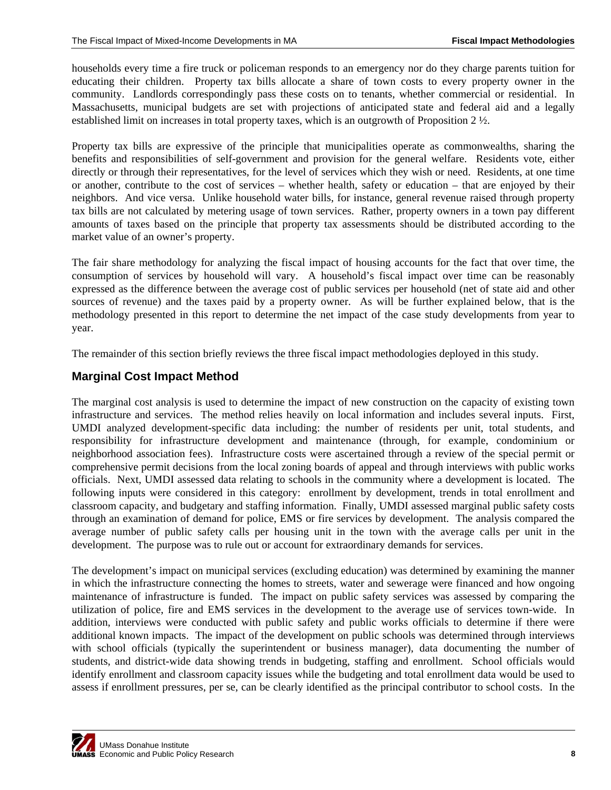households every time a fire truck or policeman responds to an emergency nor do they charge parents tuition for educating their children. Property tax bills allocate a share of town costs to every property owner in the community. Landlords correspondingly pass these costs on to tenants, whether commercial or residential. In Massachusetts, municipal budgets are set with projections of anticipated state and federal aid and a legally established limit on increases in total property taxes, which is an outgrowth of Proposition 2 ½.

Property tax bills are expressive of the principle that municipalities operate as commonwealths, sharing the benefits and responsibilities of self-government and provision for the general welfare. Residents vote, either directly or through their representatives, for the level of services which they wish or need. Residents, at one time or another, contribute to the cost of services – whether health, safety or education – that are enjoyed by their neighbors. And vice versa. Unlike household water bills, for instance, general revenue raised through property tax bills are not calculated by metering usage of town services. Rather, property owners in a town pay different amounts of taxes based on the principle that property tax assessments should be distributed according to the market value of an owner's property.

The fair share methodology for analyzing the fiscal impact of housing accounts for the fact that over time, the consumption of services by household will vary. A household's fiscal impact over time can be reasonably expressed as the difference between the average cost of public services per household (net of state aid and other sources of revenue) and the taxes paid by a property owner. As will be further explained below, that is the methodology presented in this report to determine the net impact of the case study developments from year to year.

The remainder of this section briefly reviews the three fiscal impact methodologies deployed in this study.

### **Marginal Cost Impact Method**

The marginal cost analysis is used to determine the impact of new construction on the capacity of existing town infrastructure and services. The method relies heavily on local information and includes several inputs. First, UMDI analyzed development-specific data including: the number of residents per unit, total students, and responsibility for infrastructure development and maintenance (through, for example, condominium or neighborhood association fees). Infrastructure costs were ascertained through a review of the special permit or comprehensive permit decisions from the local zoning boards of appeal and through interviews with public works officials. Next, UMDI assessed data relating to schools in the community where a development is located. The following inputs were considered in this category: enrollment by development, trends in total enrollment and classroom capacity, and budgetary and staffing information. Finally, UMDI assessed marginal public safety costs through an examination of demand for police, EMS or fire services by development. The analysis compared the average number of public safety calls per housing unit in the town with the average calls per unit in the development. The purpose was to rule out or account for extraordinary demands for services.

The development's impact on municipal services (excluding education) was determined by examining the manner in which the infrastructure connecting the homes to streets, water and sewerage were financed and how ongoing maintenance of infrastructure is funded. The impact on public safety services was assessed by comparing the utilization of police, fire and EMS services in the development to the average use of services town-wide. In addition, interviews were conducted with public safety and public works officials to determine if there were additional known impacts. The impact of the development on public schools was determined through interviews with school officials (typically the superintendent or business manager), data documenting the number of students, and district-wide data showing trends in budgeting, staffing and enrollment. School officials would identify enrollment and classroom capacity issues while the budgeting and total enrollment data would be used to assess if enrollment pressures, per se, can be clearly identified as the principal contributor to school costs. In the

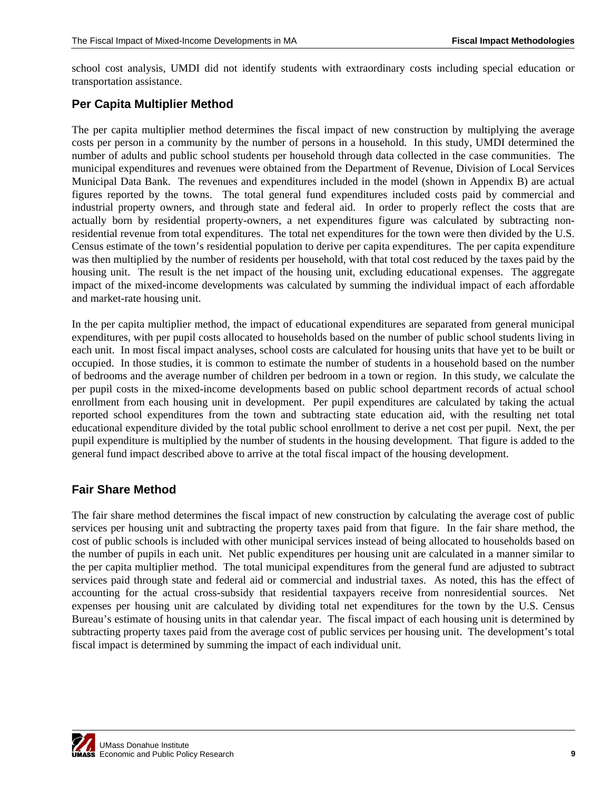school cost analysis, UMDI did not identify students with extraordinary costs including special education or transportation assistance.

## **Per Capita Multiplier Method**

The per capita multiplier method determines the fiscal impact of new construction by multiplying the average costs per person in a community by the number of persons in a household. In this study, UMDI determined the number of adults and public school students per household through data collected in the case communities. The municipal expenditures and revenues were obtained from the Department of Revenue, Division of Local Services Municipal Data Bank. The revenues and expenditures included in the model (shown in Appendix B) are actual figures reported by the towns. The total general fund expenditures included costs paid by commercial and industrial property owners, and through state and federal aid. In order to properly reflect the costs that are actually born by residential property-owners, a net expenditures figure was calculated by subtracting nonresidential revenue from total expenditures. The total net expenditures for the town were then divided by the U.S. Census estimate of the town's residential population to derive per capita expenditures. The per capita expenditure was then multiplied by the number of residents per household, with that total cost reduced by the taxes paid by the housing unit. The result is the net impact of the housing unit, excluding educational expenses. The aggregate impact of the mixed-income developments was calculated by summing the individual impact of each affordable and market-rate housing unit.

In the per capita multiplier method, the impact of educational expenditures are separated from general municipal expenditures, with per pupil costs allocated to households based on the number of public school students living in each unit. In most fiscal impact analyses, school costs are calculated for housing units that have yet to be built or occupied. In those studies, it is common to estimate the number of students in a household based on the number of bedrooms and the average number of children per bedroom in a town or region. In this study, we calculate the per pupil costs in the mixed-income developments based on public school department records of actual school enrollment from each housing unit in development. Per pupil expenditures are calculated by taking the actual reported school expenditures from the town and subtracting state education aid, with the resulting net total educational expenditure divided by the total public school enrollment to derive a net cost per pupil. Next, the per pupil expenditure is multiplied by the number of students in the housing development. That figure is added to the general fund impact described above to arrive at the total fiscal impact of the housing development.

## **Fair Share Method**

The fair share method determines the fiscal impact of new construction by calculating the average cost of public services per housing unit and subtracting the property taxes paid from that figure. In the fair share method, the cost of public schools is included with other municipal services instead of being allocated to households based on the number of pupils in each unit. Net public expenditures per housing unit are calculated in a manner similar to the per capita multiplier method. The total municipal expenditures from the general fund are adjusted to subtract services paid through state and federal aid or commercial and industrial taxes. As noted, this has the effect of accounting for the actual cross-subsidy that residential taxpayers receive from nonresidential sources. Net expenses per housing unit are calculated by dividing total net expenditures for the town by the U.S. Census Bureau's estimate of housing units in that calendar year. The fiscal impact of each housing unit is determined by subtracting property taxes paid from the average cost of public services per housing unit. The development's total fiscal impact is determined by summing the impact of each individual unit.

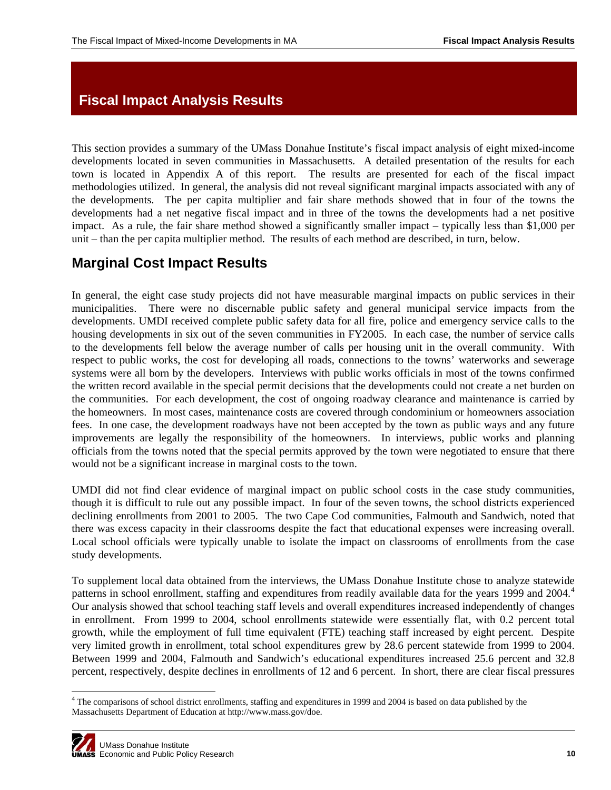## <span id="page-11-0"></span>**Fiscal Impact Analysis Results**

This section provides a summary of the UMass Donahue Institute's fiscal impact analysis of eight mixed-income developments located in seven communities in Massachusetts. A detailed presentation of the results for each town is located in Appendix A of this report. The results are presented for each of the fiscal impact methodologies utilized. In general, the analysis did not reveal significant marginal impacts associated with any of the developments. The per capita multiplier and fair share methods showed that in four of the towns the developments had a net negative fiscal impact and in three of the towns the developments had a net positive impact. As a rule, the fair share method showed a significantly smaller impact – typically less than \$1,000 per unit – than the per capita multiplier method. The results of each method are described, in turn, below.

## **Marginal Cost Impact Results**

In general, the eight case study projects did not have measurable marginal impacts on public services in their municipalities. There were no discernable public safety and general municipal service impacts from the developments. UMDI received complete public safety data for all fire, police and emergency service calls to the housing developments in six out of the seven communities in FY2005. In each case, the number of service calls to the developments fell below the average number of calls per housing unit in the overall community. With respect to public works, the cost for developing all roads, connections to the towns' waterworks and sewerage systems were all born by the developers. Interviews with public works officials in most of the towns confirmed the written record available in the special permit decisions that the developments could not create a net burden on the communities. For each development, the cost of ongoing roadway clearance and maintenance is carried by the homeowners. In most cases, maintenance costs are covered through condominium or homeowners association fees. In one case, the development roadways have not been accepted by the town as public ways and any future improvements are legally the responsibility of the homeowners. In interviews, public works and planning officials from the towns noted that the special permits approved by the town were negotiated to ensure that there would not be a significant increase in marginal costs to the town.

UMDI did not find clear evidence of marginal impact on public school costs in the case study communities, though it is difficult to rule out any possible impact. In four of the seven towns, the school districts experienced declining enrollments from 2001 to 2005. The two Cape Cod communities, Falmouth and Sandwich, noted that there was excess capacity in their classrooms despite the fact that educational expenses were increasing overall. Local school officials were typically unable to isolate the impact on classrooms of enrollments from the case study developments.

To supplement local data obtained from the interviews, the UMass Donahue Institute chose to analyze statewide patterns in school enrollment, staffing and expenditures from readily available data for the years 1999 and 200[4](#page-11-1).<sup>4</sup> Our analysis showed that school teaching staff levels and overall expenditures increased independently of changes in enrollment. From 1999 to 2004, school enrollments statewide were essentially flat, with 0.2 percent total growth, while the employment of full time equivalent (FTE) teaching staff increased by eight percent. Despite very limited growth in enrollment, total school expenditures grew by 28.6 percent statewide from 1999 to 2004. Between 1999 and 2004, Falmouth and Sandwich's educational expenditures increased 25.6 percent and 32.8 percent, respectively, despite declines in enrollments of 12 and 6 percent. In short, there are clear fiscal pressures

<span id="page-11-1"></span><sup>-</sup><sup>4</sup> The comparisons of school district enrollments, staffing and expenditures in 1999 and 2004 is based on data published by the Massachusetts Department of Education at http://www.mass.gov/doe.

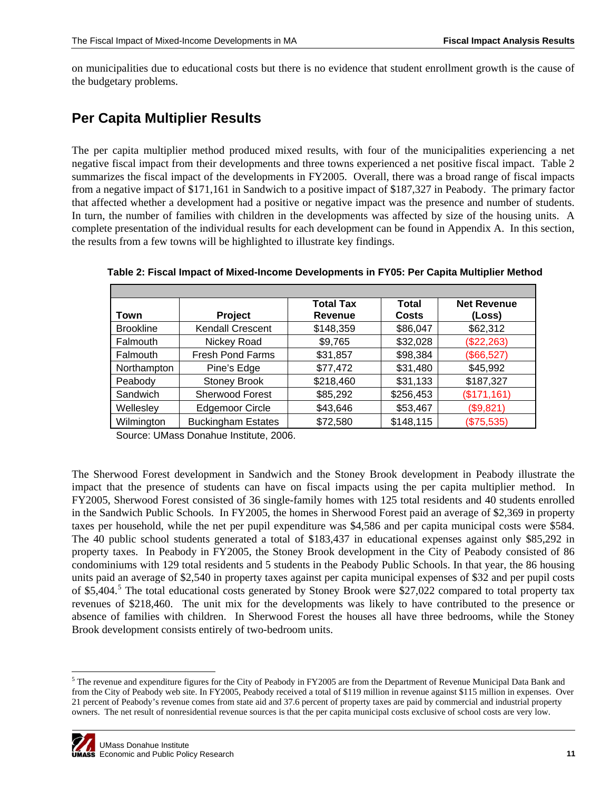<span id="page-12-0"></span>on municipalities due to educational costs but there is no evidence that student enrollment growth is the cause of the budgetary problems.

# **Per Capita Multiplier Results**

The per capita multiplier method produced mixed results, with four of the municipalities experiencing a net negative fiscal impact from their developments and three towns experienced a net positive fiscal impact. Table 2 summarizes the fiscal impact of the developments in FY2005. Overall, there was a broad range of fiscal impacts from a negative impact of \$171,161 in Sandwich to a positive impact of \$187,327 in Peabody. The primary factor that affected whether a development had a positive or negative impact was the presence and number of students. In turn, the number of families with children in the developments was affected by size of the housing units. A complete presentation of the individual results for each development can be found in Appendix A. In this section, the results from a few towns will be highlighted to illustrate key findings.

| Town             | Project                   | <b>Total Tax</b><br><b>Revenue</b> | <b>Total</b><br>Costs | <b>Net Revenue</b><br>(Loss) |
|------------------|---------------------------|------------------------------------|-----------------------|------------------------------|
| <b>Brookline</b> | <b>Kendall Crescent</b>   | \$148,359                          | \$86,047              | \$62,312                     |
| Falmouth         | Nickey Road               | \$9,765                            | \$32,028              | (\$22,263)                   |
| Falmouth         | <b>Fresh Pond Farms</b>   | \$31,857                           | \$98,384              | (\$66,527)                   |
| Northampton      | Pine's Edge               | \$77,472                           | \$31,480              | \$45,992                     |
| Peabody          | <b>Stoney Brook</b>       | \$218,460                          | \$31,133              | \$187,327                    |
| Sandwich         | <b>Sherwood Forest</b>    | \$85,292                           | \$256,453             | (\$171, 161)                 |
| Wellesley        | <b>Edgemoor Circle</b>    | \$43,646                           | \$53,467              | (\$9,821)                    |
| Wilmington       | <b>Buckingham Estates</b> | \$72,580                           | \$148,115             | (\$75,535)                   |

**Table 2: Fiscal Impact of Mixed-Income Developments in FY05: Per Capita Multiplier Method** 

Source: UMass Donahue Institute, 2006.

The Sherwood Forest development in Sandwich and the Stoney Brook development in Peabody illustrate the impact that the presence of students can have on fiscal impacts using the per capita multiplier method. In FY2005, Sherwood Forest consisted of 36 single-family homes with 125 total residents and 40 students enrolled in the Sandwich Public Schools. In FY2005, the homes in Sherwood Forest paid an average of \$2,369 in property taxes per household, while the net per pupil expenditure was \$4,586 and per capita municipal costs were \$584. The 40 public school students generated a total of \$183,437 in educational expenses against only \$85,292 in property taxes. In Peabody in FY2005, the Stoney Brook development in the City of Peabody consisted of 86 condominiums with 129 total residents and 5 students in the Peabody Public Schools. In that year, the 86 housing units paid an average of \$2,540 in property taxes against per capita municipal expenses of \$32 and per pupil costs of \$[5](#page-12-1),404.<sup>5</sup> The total educational costs generated by Stoney Brook were \$27,022 compared to total property tax revenues of \$218,460. The unit mix for the developments was likely to have contributed to the presence or absence of families with children. In Sherwood Forest the houses all have three bedrooms, while the Stoney Brook development consists entirely of two-bedroom units.

<span id="page-12-1"></span>The revenue and expenditure figures for the City of Peabody in FY2005 are from the Department of Revenue Municipal Data Bank and 5. from the City of Peabody web site. In FY2005, Peabody received a total of \$119 million in revenue against \$115 million in expenses. Over 21 percent of Peabody's revenue comes from state aid and 37.6 percent of property taxes are paid by commercial and industrial property owners. The net result of nonresidential revenue sources is that the per capita municipal costs exclusive of school costs are very low.

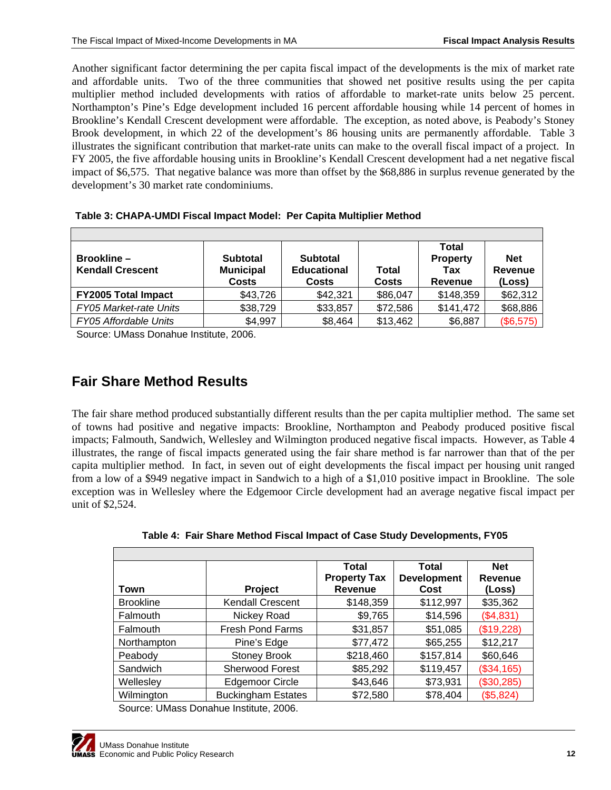<span id="page-13-0"></span>Another significant factor determining the per capita fiscal impact of the developments is the mix of market rate and affordable units. Two of the three communities that showed net positive results using the per capita multiplier method included developments with ratios of affordable to market-rate units below 25 percent. Northampton's Pine's Edge development included 16 percent affordable housing while 14 percent of homes in Brookline's Kendall Crescent development were affordable. The exception, as noted above, is Peabody's Stoney Brook development, in which 22 of the development's 86 housing units are permanently affordable. Table 3 illustrates the significant contribution that market-rate units can make to the overall fiscal impact of a project. In FY 2005, the five affordable housing units in Brookline's Kendall Crescent development had a net negative fiscal impact of \$6,575. That negative balance was more than offset by the \$68,886 in surplus revenue generated by the development's 30 market rate condominiums.

| Table 3: CHAPA-UMDI Fiscal Impact Model: Per Capita Multiplier Method |  |
|-----------------------------------------------------------------------|--|

| <b>Brookline -</b><br><b>Kendall Crescent</b> | <b>Subtotal</b><br><b>Municipal</b><br><b>Costs</b> | <b>Subtotal</b><br><b>Educational</b><br><b>Costs</b> | <b>Total</b><br><b>Costs</b> | Total<br><b>Property</b><br>Tax<br>Revenue | <b>Net</b><br>Revenue<br>(Loss) |
|-----------------------------------------------|-----------------------------------------------------|-------------------------------------------------------|------------------------------|--------------------------------------------|---------------------------------|
| <b>FY2005 Total Impact</b>                    | \$43,726                                            | \$42,321                                              | \$86,047                     | \$148,359                                  | \$62,312                        |
| <b>FY05 Market-rate Units</b>                 | \$38,729                                            | \$33,857                                              | \$72,586                     | \$141,472                                  | \$68,886                        |
| <b>FY05 Affordable Units</b>                  | \$4,997                                             | \$8,464                                               | \$13,462                     | \$6,887                                    | (\$6,575)                       |

Source: UMass Donahue Institute, 2006.

# **Fair Share Method Results**

The fair share method produced substantially different results than the per capita multiplier method. The same set of towns had positive and negative impacts: Brookline, Northampton and Peabody produced positive fiscal impacts; Falmouth, Sandwich, Wellesley and Wilmington produced negative fiscal impacts. However, as Table 4 illustrates, the range of fiscal impacts generated using the fair share method is far narrower than that of the per capita multiplier method. In fact, in seven out of eight developments the fiscal impact per housing unit ranged from a low of a \$949 negative impact in Sandwich to a high of a \$1,010 positive impact in Brookline. The sole exception was in Wellesley where the Edgemoor Circle development had an average negative fiscal impact per unit of \$2,524.

| Table 4: Fair Share Method Fiscal Impact of Case Study Developments, FY05 |
|---------------------------------------------------------------------------|
|---------------------------------------------------------------------------|

|                  |                                     | Total               | Total              | <b>Net</b> |
|------------------|-------------------------------------|---------------------|--------------------|------------|
|                  |                                     | <b>Property Tax</b> | <b>Development</b> | Revenue    |
| Town             | Project                             | <b>Revenue</b>      | Cost               | (Loss)     |
| <b>Brookline</b> | <b>Kendall Crescent</b>             | \$148,359           | \$112,997          | \$35,362   |
| Falmouth         | Nickey Road                         | \$9,765             | \$14,596           | (\$4,831)  |
| Falmouth         | <b>Fresh Pond Farms</b>             | \$31,857            | \$51,085           | (\$19,228) |
| Northampton      | Pine's Edge                         | \$77,472            | \$65,255           | \$12,217   |
| Peabody          | <b>Stoney Brook</b>                 | \$218,460           | \$157,814          | \$60,646   |
| Sandwich         | Sherwood Forest                     | \$85,292            | \$119,457          | (\$34,165) |
| Wellesley        | <b>Edgemoor Circle</b>              | \$43,646            | \$73,931           | (\$30,285) |
| Wilmington       | <b>Buckingham Estates</b>           | \$72,580            | \$78,404           | (\$5,824)  |
|                  | Course UMses Depahus Institute 2006 |                     |                    |            |

Source: UMass Donahue Institute, 2006.

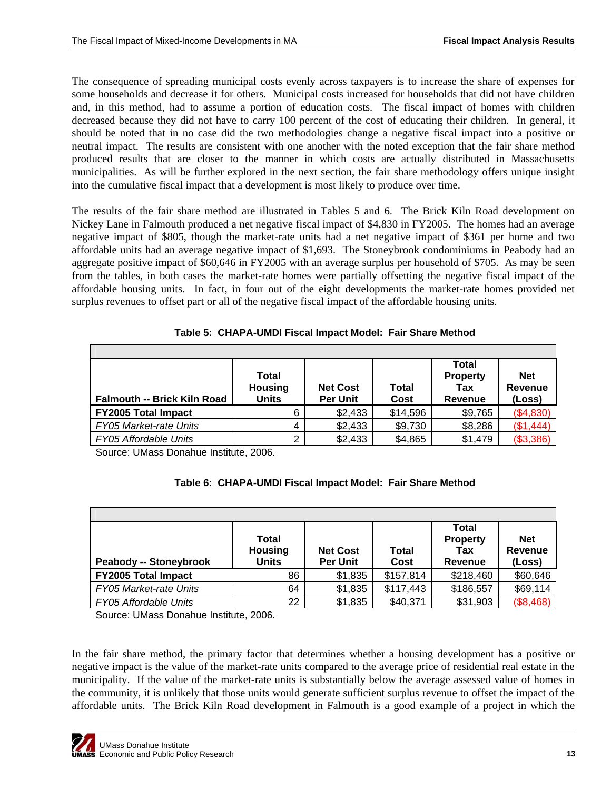The consequence of spreading municipal costs evenly across taxpayers is to increase the share of expenses for some households and decrease it for others. Municipal costs increased for households that did not have children and, in this method, had to assume a portion of education costs. The fiscal impact of homes with children decreased because they did not have to carry 100 percent of the cost of educating their children. In general, it should be noted that in no case did the two methodologies change a negative fiscal impact into a positive or neutral impact. The results are consistent with one another with the noted exception that the fair share method produced results that are closer to the manner in which costs are actually distributed in Massachusetts municipalities. As will be further explored in the next section, the fair share methodology offers unique insight into the cumulative fiscal impact that a development is most likely to produce over time.

The results of the fair share method are illustrated in Tables 5 and 6. The Brick Kiln Road development on Nickey Lane in Falmouth produced a net negative fiscal impact of \$4,830 in FY2005. The homes had an average negative impact of \$805, though the market-rate units had a net negative impact of \$361 per home and two affordable units had an average negative impact of \$1,693. The Stoneybrook condominiums in Peabody had an aggregate positive impact of \$60,646 in FY2005 with an average surplus per household of \$705. As may be seen from the tables, in both cases the market-rate homes were partially offsetting the negative fiscal impact of the affordable housing units. In fact, in four out of the eight developments the market-rate homes provided net surplus revenues to offset part or all of the negative fiscal impact of the affordable housing units.

| <b>Falmouth -- Brick Kiln Road</b> | Total<br><b>Housing</b><br><b>Units</b> | <b>Net Cost</b><br><b>Per Unit</b> | Total<br>Cost | Total<br><b>Property</b><br>Tax<br><b>Revenue</b> | <b>Net</b><br>Revenue<br>(Loss) |
|------------------------------------|-----------------------------------------|------------------------------------|---------------|---------------------------------------------------|---------------------------------|
| <b>FY2005 Total Impact</b>         | 6                                       | \$2,433                            | \$14,596      | \$9,765                                           | (\$4,830)                       |
| <b>FY05 Market-rate Units</b>      |                                         | \$2,433                            | \$9,730       | \$8,286                                           | (\$1,444)                       |
| <b>FY05 Affordable Units</b>       | ົ                                       | \$2,433                            | \$4,865       | \$1,479                                           | (\$3,386)                       |

| Table 5: CHAPA-UMDI Fiscal Impact Model: Fair Share Method |  |  |  |  |
|------------------------------------------------------------|--|--|--|--|
|                                                            |  |  |  |  |

Source: UMass Donahue Institute, 2006.

| <b>Peabody -- Stoneybrook</b> | Total<br><b>Housing</b><br><b>Units</b> | <b>Net Cost</b><br><b>Per Unit</b> | Total<br>Cost | Total<br><b>Property</b><br>Tax<br><b>Revenue</b> | <b>Net</b><br>Revenue<br>(Loss) |
|-------------------------------|-----------------------------------------|------------------------------------|---------------|---------------------------------------------------|---------------------------------|
| <b>FY2005 Total Impact</b>    | 86                                      | \$1,835                            | \$157,814     | \$218,460                                         | \$60,646                        |
| <b>FY05 Market-rate Units</b> | 64                                      | \$1,835                            | \$117,443     | \$186,557                                         | \$69,114                        |
| <b>FY05 Affordable Units</b>  | 22                                      | \$1,835                            | \$40,371      | \$31,903                                          | (\$8,468)                       |

Source: UMass Donahue Institute, 2006.

In the fair share method, the primary factor that determines whether a housing development has a positive or negative impact is the value of the market-rate units compared to the average price of residential real estate in the municipality. If the value of the market-rate units is substantially below the average assessed value of homes in the community, it is unlikely that those units would generate sufficient surplus revenue to offset the impact of the affordable units. The Brick Kiln Road development in Falmouth is a good example of a project in which the

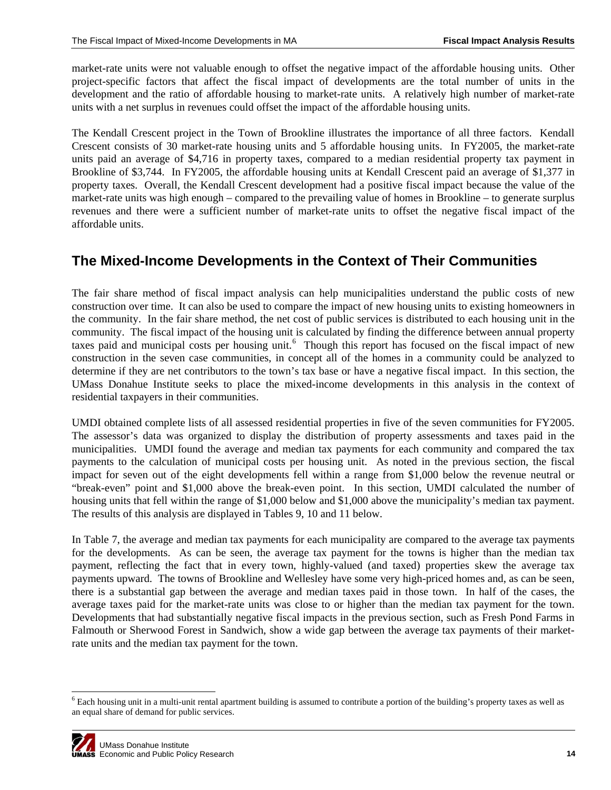<span id="page-15-0"></span>market-rate units were not valuable enough to offset the negative impact of the affordable housing units. Other project-specific factors that affect the fiscal impact of developments are the total number of units in the development and the ratio of affordable housing to market-rate units. A relatively high number of market-rate units with a net surplus in revenues could offset the impact of the affordable housing units.

The Kendall Crescent project in the Town of Brookline illustrates the importance of all three factors. Kendall Crescent consists of 30 market-rate housing units and 5 affordable housing units. In FY2005, the market-rate units paid an average of \$4,716 in property taxes, compared to a median residential property tax payment in Brookline of \$3,744. In FY2005, the affordable housing units at Kendall Crescent paid an average of \$1,377 in property taxes. Overall, the Kendall Crescent development had a positive fiscal impact because the value of the market-rate units was high enough – compared to the prevailing value of homes in Brookline – to generate surplus revenues and there were a sufficient number of market-rate units to offset the negative fiscal impact of the affordable units.

## **The Mixed-Income Developments in the Context of Their Communities**

The fair share method of fiscal impact analysis can help municipalities understand the public costs of new construction over time. It can also be used to compare the impact of new housing units to existing homeowners in the community. In the fair share method, the net cost of public services is distributed to each housing unit in the community. The fiscal impact of the housing unit is calculated by finding the difference between annual property taxes paid and municipal costs per housing unit.<sup>[6](#page-15-1)</sup> Though this report has focused on the fiscal impact of new construction in the seven case communities, in concept all of the homes in a community could be analyzed to determine if they are net contributors to the town's tax base or have a negative fiscal impact. In this section, the UMass Donahue Institute seeks to place the mixed-income developments in this analysis in the context of residential taxpayers in their communities.

UMDI obtained complete lists of all assessed residential properties in five of the seven communities for FY2005. The assessor's data was organized to display the distribution of property assessments and taxes paid in the municipalities. UMDI found the average and median tax payments for each community and compared the tax payments to the calculation of municipal costs per housing unit. As noted in the previous section, the fiscal impact for seven out of the eight developments fell within a range from \$1,000 below the revenue neutral or "break-even" point and \$1,000 above the break-even point. In this section, UMDI calculated the number of housing units that fell within the range of \$1,000 below and \$1,000 above the municipality's median tax payment. The results of this analysis are displayed in Tables 9, 10 and 11 below.

In Table 7, the average and median tax payments for each municipality are compared to the average tax payments for the developments. As can be seen, the average tax payment for the towns is higher than the median tax payment, reflecting the fact that in every town, highly-valued (and taxed) properties skew the average tax payments upward. The towns of Brookline and Wellesley have some very high-priced homes and, as can be seen, there is a substantial gap between the average and median taxes paid in those town. In half of the cases, the average taxes paid for the market-rate units was close to or higher than the median tax payment for the town. Developments that had substantially negative fiscal impacts in the previous section, such as Fresh Pond Farms in Falmouth or Sherwood Forest in Sandwich, show a wide gap between the average tax payments of their marketrate units and the median tax payment for the town.

<span id="page-15-1"></span><sup>-</sup><sup>6</sup> Each housing unit in a multi-unit rental apartment building is assumed to contribute a portion of the building's property taxes as well as an equal share of demand for public services.

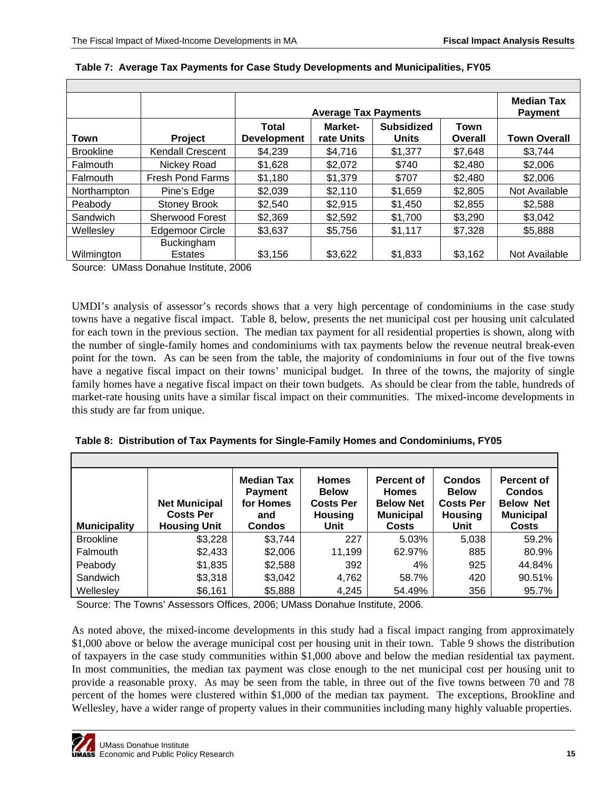|                  |                                     |                                    | <b>Average Tax Payments</b> |         |         |               |  |  |
|------------------|-------------------------------------|------------------------------------|-----------------------------|---------|---------|---------------|--|--|
| Town             | <b>Project</b>                      | <b>Total</b><br><b>Development</b> | <b>Town Overall</b>         |         |         |               |  |  |
| <b>Brookline</b> | <b>Kendall Crescent</b>             | \$4,239                            | \$4,716                     | \$1,377 | \$7,648 | \$3,744       |  |  |
| Falmouth         | Nickey Road                         | \$1,628                            | \$2,072                     | \$740   | \$2,480 | \$2,006       |  |  |
| Falmouth         | <b>Fresh Pond Farms</b>             | \$1,180                            | \$1,379                     | \$707   | \$2,480 | \$2,006       |  |  |
| Northampton      | Pine's Edge                         | \$2,039                            | \$2,110                     | \$1,659 | \$2,805 | Not Available |  |  |
| Peabody          | <b>Stoney Brook</b>                 | \$2,540                            | \$2,915                     | \$1,450 | \$2,855 | \$2,588       |  |  |
| Sandwich         | <b>Sherwood Forest</b>              | \$2,369                            | \$2,592                     | \$1,700 | \$3,290 | \$3,042       |  |  |
| Wellesley        | <b>Edgemoor Circle</b>              | \$3,637                            | \$5,756                     | \$1,117 | \$7,328 | \$5,888       |  |  |
| Wilmington       | <b>Buckingham</b><br><b>Estates</b> | \$3,156                            | \$3,622                     | \$1,833 | \$3,162 | Not Available |  |  |

|  |  |  |  |  | Table 7: Average Tax Payments for Case Study Developments and Municipalities, FY05 |
|--|--|--|--|--|------------------------------------------------------------------------------------|
|--|--|--|--|--|------------------------------------------------------------------------------------|

Source: UMass Donahue Institute, 2006

UMDI's analysis of assessor's records shows that a very high percentage of condominiums in the case study towns have a negative fiscal impact. Table 8, below, presents the net municipal cost per housing unit calculated for each town in the previous section. The median tax payment for all residential properties is shown, along with the number of single-family homes and condominiums with tax payments below the revenue neutral break-even point for the town. As can be seen from the table, the majority of condominiums in four out of the five towns have a negative fiscal impact on their towns' municipal budget. In three of the towns, the majority of single family homes have a negative fiscal impact on their town budgets. As should be clear from the table, hundreds of market-rate housing units have a similar fiscal impact on their communities. The mixed-income developments in this study are far from unique.

|  | Table 8: Distribution of Tax Payments for Single-Family Homes and Condominiums, FY05 |  |  |
|--|--------------------------------------------------------------------------------------|--|--|
|  |                                                                                      |  |  |

| <b>Municipality</b> | <b>Net Municipal</b><br><b>Costs Per</b><br><b>Housing Unit</b> | <b>Median Tax</b><br><b>Payment</b><br>for Homes<br>and<br><b>Condos</b> | <b>Homes</b><br><b>Below</b><br><b>Costs Per</b><br><b>Housing</b><br>Unit | Percent of<br><b>Homes</b><br><b>Below Net</b><br><b>Municipal</b><br>Costs | <b>Condos</b><br><b>Below</b><br><b>Costs Per</b><br><b>Housing</b><br>Unit | <b>Percent of</b><br><b>Condos</b><br><b>Below Net</b><br><b>Municipal</b><br><b>Costs</b> |
|---------------------|-----------------------------------------------------------------|--------------------------------------------------------------------------|----------------------------------------------------------------------------|-----------------------------------------------------------------------------|-----------------------------------------------------------------------------|--------------------------------------------------------------------------------------------|
| <b>Brookline</b>    | \$3,228                                                         | \$3,744                                                                  | 227                                                                        | 5.03%                                                                       | 5,038                                                                       | 59.2%                                                                                      |
| Falmouth            | \$2,433                                                         | \$2,006                                                                  | 11,199                                                                     | 62.97%                                                                      | 885                                                                         | 80.9%                                                                                      |
| Peabody             | \$1,835                                                         | \$2,588                                                                  | 392                                                                        | 4%                                                                          | 925                                                                         | 44.84%                                                                                     |
| Sandwich            | \$3,318                                                         | \$3,042                                                                  | 4,762                                                                      | 58.7%                                                                       | 420                                                                         | 90.51%                                                                                     |
| Wellesley           | \$6,161                                                         | \$5,888                                                                  | 4,245                                                                      | 54.49%                                                                      | 356                                                                         | 95.7%                                                                                      |

Source: The Towns' Assessors Offices, 2006; UMass Donahue Institute, 2006.

As noted above, the mixed-income developments in this study had a fiscal impact ranging from approximately \$1,000 above or below the average municipal cost per housing unit in their town. Table 9 shows the distribution of taxpayers in the case study communities within \$1,000 above and below the median residential tax payment. In most communities, the median tax payment was close enough to the net municipal cost per housing unit to provide a reasonable proxy. As may be seen from the table, in three out of the five towns between 70 and 78 percent of the homes were clustered within \$1,000 of the median tax payment. The exceptions, Brookline and Wellesley, have a wider range of property values in their communities including many highly valuable properties.

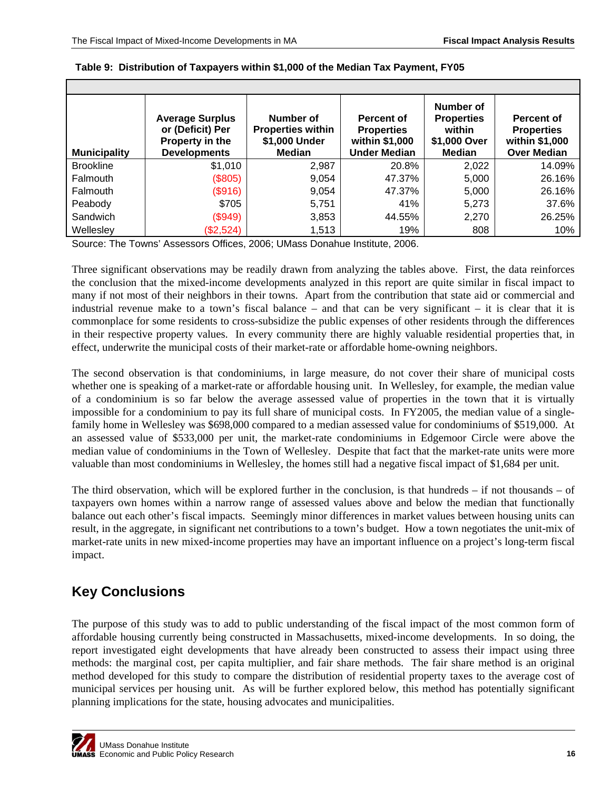| <b>Municipality</b> | <b>Average Surplus</b><br>or (Deficit) Per<br>Property in the<br><b>Developments</b> | Number of<br><b>Properties within</b><br>\$1,000 Under<br><b>Median</b> | <b>Percent of</b><br><b>Properties</b><br>within \$1,000<br><b>Under Median</b> | Number of<br><b>Properties</b><br>within<br>\$1,000 Over<br><b>Median</b> | Percent of<br><b>Properties</b><br>within \$1,000<br><b>Over Median</b> |
|---------------------|--------------------------------------------------------------------------------------|-------------------------------------------------------------------------|---------------------------------------------------------------------------------|---------------------------------------------------------------------------|-------------------------------------------------------------------------|
| <b>Brookline</b>    | \$1,010                                                                              | 2,987                                                                   | 20.8%                                                                           | 2,022                                                                     | 14.09%                                                                  |
| Falmouth            | (\$805)                                                                              | 9,054                                                                   | 47.37%                                                                          | 5,000                                                                     | 26.16%                                                                  |
| Falmouth            | (\$916)                                                                              | 9,054                                                                   | 47.37%                                                                          | 5,000                                                                     | 26.16%                                                                  |
| Peabody             | \$705                                                                                | 5,751                                                                   | 41%                                                                             | 5,273                                                                     | 37.6%                                                                   |
| Sandwich            | (\$949)                                                                              | 3,853                                                                   | 44.55%                                                                          | 2,270                                                                     | 26.25%                                                                  |
| Wellesley           | (\$2,524)                                                                            | 1,513                                                                   | 19%                                                                             | 808                                                                       | 10%                                                                     |
|                     | $\sim$ $\sim$                                                                        |                                                                         |                                                                                 |                                                                           |                                                                         |

<span id="page-17-0"></span>

|  |  | Table 9: Distribution of Taxpayers within \$1,000 of the Median Tax Payment, FY05 |  |  |  |
|--|--|-----------------------------------------------------------------------------------|--|--|--|
|--|--|-----------------------------------------------------------------------------------|--|--|--|

Source: The Towns' Assessors Offices, 2006; UMass Donahue Institute, 2006.

Three significant observations may be readily drawn from analyzing the tables above. First, the data reinforces the conclusion that the mixed-income developments analyzed in this report are quite similar in fiscal impact to many if not most of their neighbors in their towns. Apart from the contribution that state aid or commercial and industrial revenue make to a town's fiscal balance – and that can be very significant – it is clear that it is commonplace for some residents to cross-subsidize the public expenses of other residents through the differences in their respective property values. In every community there are highly valuable residential properties that, in effect, underwrite the municipal costs of their market-rate or affordable home-owning neighbors.

The second observation is that condominiums, in large measure, do not cover their share of municipal costs whether one is speaking of a market-rate or affordable housing unit. In Wellesley, for example, the median value of a condominium is so far below the average assessed value of properties in the town that it is virtually impossible for a condominium to pay its full share of municipal costs. In FY2005, the median value of a singlefamily home in Wellesley was \$698,000 compared to a median assessed value for condominiums of \$519,000. At an assessed value of \$533,000 per unit, the market-rate condominiums in Edgemoor Circle were above the median value of condominiums in the Town of Wellesley. Despite that fact that the market-rate units were more valuable than most condominiums in Wellesley, the homes still had a negative fiscal impact of \$1,684 per unit.

The third observation, which will be explored further in the conclusion, is that hundreds – if not thousands – of taxpayers own homes within a narrow range of assessed values above and below the median that functionally balance out each other's fiscal impacts. Seemingly minor differences in market values between housing units can result, in the aggregate, in significant net contributions to a town's budget. How a town negotiates the unit-mix of market-rate units in new mixed-income properties may have an important influence on a project's long-term fiscal impact.

# **Key Conclusions**

The purpose of this study was to add to public understanding of the fiscal impact of the most common form of affordable housing currently being constructed in Massachusetts, mixed-income developments. In so doing, the report investigated eight developments that have already been constructed to assess their impact using three methods: the marginal cost, per capita multiplier, and fair share methods. The fair share method is an original method developed for this study to compare the distribution of residential property taxes to the average cost of municipal services per housing unit. As will be further explored below, this method has potentially significant planning implications for the state, housing advocates and municipalities.

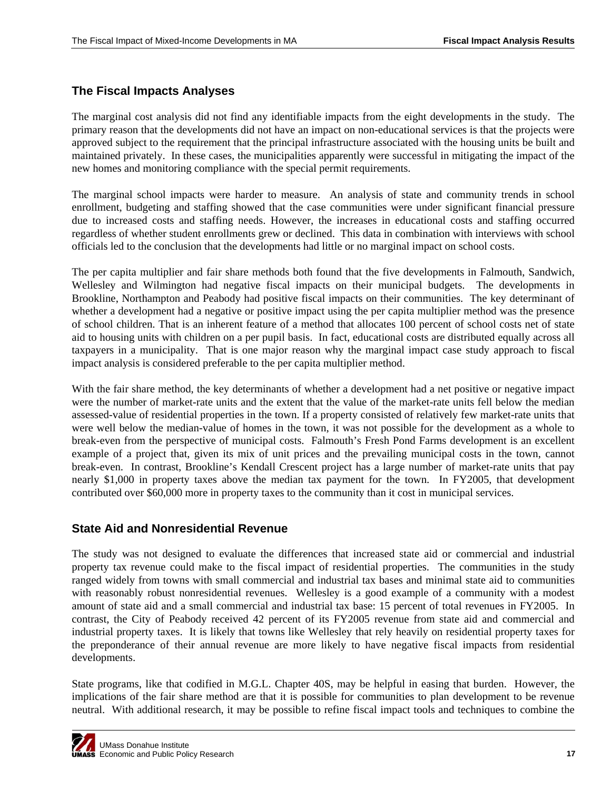## **The Fiscal Impacts Analyses**

The marginal cost analysis did not find any identifiable impacts from the eight developments in the study. The primary reason that the developments did not have an impact on non-educational services is that the projects were approved subject to the requirement that the principal infrastructure associated with the housing units be built and maintained privately. In these cases, the municipalities apparently were successful in mitigating the impact of the new homes and monitoring compliance with the special permit requirements.

The marginal school impacts were harder to measure. An analysis of state and community trends in school enrollment, budgeting and staffing showed that the case communities were under significant financial pressure due to increased costs and staffing needs. However, the increases in educational costs and staffing occurred regardless of whether student enrollments grew or declined. This data in combination with interviews with school officials led to the conclusion that the developments had little or no marginal impact on school costs.

The per capita multiplier and fair share methods both found that the five developments in Falmouth, Sandwich, Wellesley and Wilmington had negative fiscal impacts on their municipal budgets. The developments in Brookline, Northampton and Peabody had positive fiscal impacts on their communities. The key determinant of whether a development had a negative or positive impact using the per capita multiplier method was the presence of school children. That is an inherent feature of a method that allocates 100 percent of school costs net of state aid to housing units with children on a per pupil basis. In fact, educational costs are distributed equally across all taxpayers in a municipality. That is one major reason why the marginal impact case study approach to fiscal impact analysis is considered preferable to the per capita multiplier method.

With the fair share method, the key determinants of whether a development had a net positive or negative impact were the number of market-rate units and the extent that the value of the market-rate units fell below the median assessed-value of residential properties in the town. If a property consisted of relatively few market-rate units that were well below the median-value of homes in the town, it was not possible for the development as a whole to break-even from the perspective of municipal costs. Falmouth's Fresh Pond Farms development is an excellent example of a project that, given its mix of unit prices and the prevailing municipal costs in the town, cannot break-even. In contrast, Brookline's Kendall Crescent project has a large number of market-rate units that pay nearly \$1,000 in property taxes above the median tax payment for the town. In FY2005, that development contributed over \$60,000 more in property taxes to the community than it cost in municipal services.

## **State Aid and Nonresidential Revenue**

The study was not designed to evaluate the differences that increased state aid or commercial and industrial property tax revenue could make to the fiscal impact of residential properties. The communities in the study ranged widely from towns with small commercial and industrial tax bases and minimal state aid to communities with reasonably robust nonresidential revenues. Wellesley is a good example of a community with a modest amount of state aid and a small commercial and industrial tax base: 15 percent of total revenues in FY2005. In contrast, the City of Peabody received 42 percent of its FY2005 revenue from state aid and commercial and industrial property taxes. It is likely that towns like Wellesley that rely heavily on residential property taxes for the preponderance of their annual revenue are more likely to have negative fiscal impacts from residential developments.

State programs, like that codified in M.G.L. Chapter 40S, may be helpful in easing that burden. However, the implications of the fair share method are that it is possible for communities to plan development to be revenue neutral. With additional research, it may be possible to refine fiscal impact tools and techniques to combine the

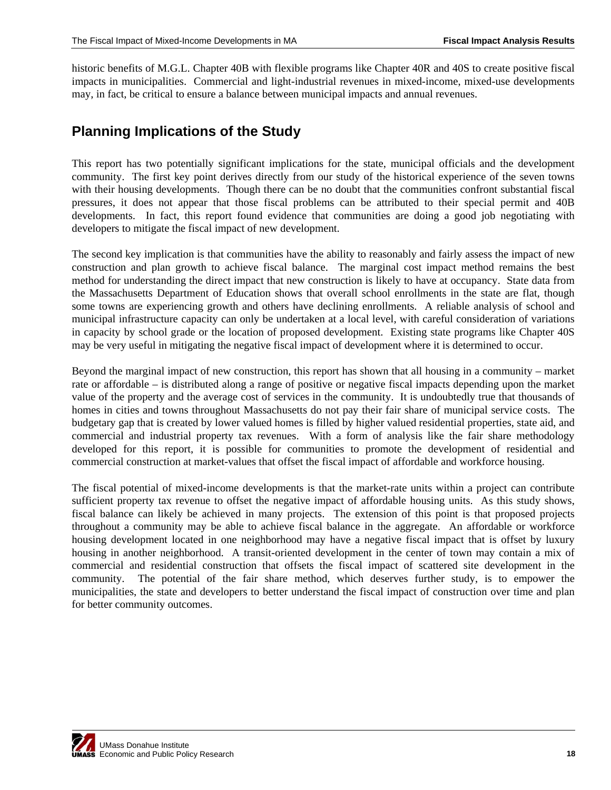<span id="page-19-0"></span>historic benefits of M.G.L. Chapter 40B with flexible programs like Chapter 40R and 40S to create positive fiscal impacts in municipalities. Commercial and light-industrial revenues in mixed-income, mixed-use developments may, in fact, be critical to ensure a balance between municipal impacts and annual revenues.

# **Planning Implications of the Study**

This report has two potentially significant implications for the state, municipal officials and the development community. The first key point derives directly from our study of the historical experience of the seven towns with their housing developments. Though there can be no doubt that the communities confront substantial fiscal pressures, it does not appear that those fiscal problems can be attributed to their special permit and 40B developments. In fact, this report found evidence that communities are doing a good job negotiating with developers to mitigate the fiscal impact of new development.

The second key implication is that communities have the ability to reasonably and fairly assess the impact of new construction and plan growth to achieve fiscal balance. The marginal cost impact method remains the best method for understanding the direct impact that new construction is likely to have at occupancy. State data from the Massachusetts Department of Education shows that overall school enrollments in the state are flat, though some towns are experiencing growth and others have declining enrollments. A reliable analysis of school and municipal infrastructure capacity can only be undertaken at a local level, with careful consideration of variations in capacity by school grade or the location of proposed development. Existing state programs like Chapter 40S may be very useful in mitigating the negative fiscal impact of development where it is determined to occur.

Beyond the marginal impact of new construction, this report has shown that all housing in a community – market rate or affordable – is distributed along a range of positive or negative fiscal impacts depending upon the market value of the property and the average cost of services in the community. It is undoubtedly true that thousands of homes in cities and towns throughout Massachusetts do not pay their fair share of municipal service costs. The budgetary gap that is created by lower valued homes is filled by higher valued residential properties, state aid, and commercial and industrial property tax revenues. With a form of analysis like the fair share methodology developed for this report, it is possible for communities to promote the development of residential and commercial construction at market-values that offset the fiscal impact of affordable and workforce housing.

The fiscal potential of mixed-income developments is that the market-rate units within a project can contribute sufficient property tax revenue to offset the negative impact of affordable housing units. As this study shows, fiscal balance can likely be achieved in many projects. The extension of this point is that proposed projects throughout a community may be able to achieve fiscal balance in the aggregate. An affordable or workforce housing development located in one neighborhood may have a negative fiscal impact that is offset by luxury housing in another neighborhood. A transit-oriented development in the center of town may contain a mix of commercial and residential construction that offsets the fiscal impact of scattered site development in the community. The potential of the fair share method, which deserves further study, is to empower the municipalities, the state and developers to better understand the fiscal impact of construction over time and plan for better community outcomes.

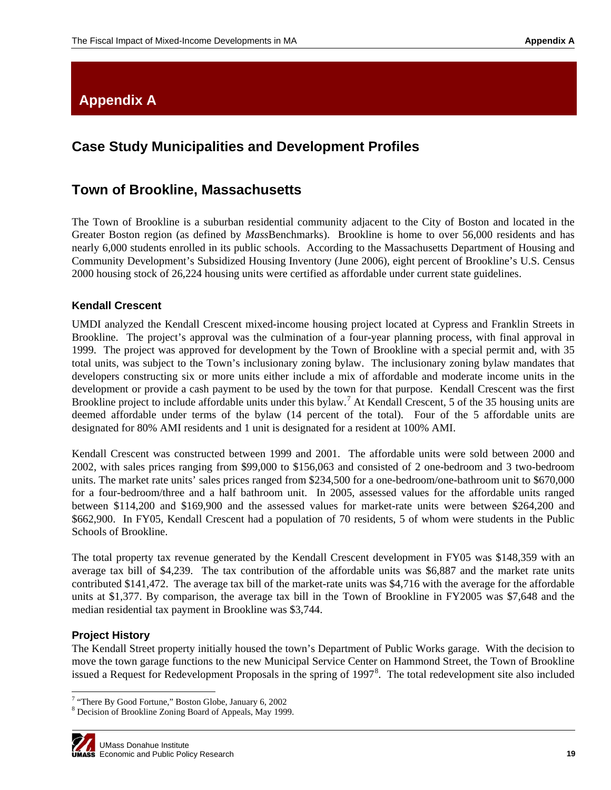# <span id="page-20-0"></span>**Case Study Municipalities and Development Profiles**

## **Town of Brookline, Massachusetts**

The Town of Brookline is a suburban residential community adjacent to the City of Boston and located in the Greater Boston region (as defined by *Mass*Benchmarks). Brookline is home to over 56,000 residents and has nearly 6,000 students enrolled in its public schools. According to the Massachusetts Department of Housing and Community Development's Subsidized Housing Inventory (June 2006), eight percent of Brookline's U.S. Census 2000 housing stock of 26,224 housing units were certified as affordable under current state guidelines.

### **Kendall Crescent**

UMDI analyzed the Kendall Crescent mixed-income housing project located at Cypress and Franklin Streets in Brookline. The project's approval was the culmination of a four-year planning process, with final approval in 1999. The project was approved for development by the Town of Brookline with a special permit and, with 35 total units, was subject to the Town's inclusionary zoning bylaw. The inclusionary zoning bylaw mandates that developers constructing six or more units either include a mix of affordable and moderate income units in the development or provide a cash payment to be used by the town for that purpose. Kendall Crescent was the first Brookline project to include affordable units under this bylaw.<sup>[7](#page-20-1)</sup> At Kendall Crescent, 5 of the 35 housing units are deemed affordable under terms of the bylaw (14 percent of the total). Four of the 5 affordable units are designated for 80% AMI residents and 1 unit is designated for a resident at 100% AMI.

Kendall Crescent was constructed between 1999 and 2001. The affordable units were sold between 2000 and 2002, with sales prices ranging from \$99,000 to \$156,063 and consisted of 2 one-bedroom and 3 two-bedroom units. The market rate units' sales prices ranged from \$234,500 for a one-bedroom/one-bathroom unit to \$670,000 for a four-bedroom/three and a half bathroom unit. In 2005, assessed values for the affordable units ranged between \$114,200 and \$169,900 and the assessed values for market-rate units were between \$264,200 and \$662,900. In FY05, Kendall Crescent had a population of 70 residents, 5 of whom were students in the Public Schools of Brookline.

The total property tax revenue generated by the Kendall Crescent development in FY05 was \$148,359 with an average tax bill of \$4,239. The tax contribution of the affordable units was \$6,887 and the market rate units contributed \$141,472. The average tax bill of the market-rate units was \$4,716 with the average for the affordable units at \$1,377. By comparison, the average tax bill in the Town of Brookline in FY2005 was \$7,648 and the median residential tax payment in Brookline was \$3,744.

### **Project History**

The Kendall Street property initially housed the town's Department of Public Works garage. With the decision to move the town garage functions to the new Municipal Service Center on Hammond Street, the Town of Brookline issued a Request for Redevelopment Proposals in the spring of  $1997<sup>8</sup>$  $1997<sup>8</sup>$  $1997<sup>8</sup>$ . The total redevelopment site also included

<span id="page-20-2"></span><span id="page-20-1"></span>Decision of Brookline Zoning Board of Appeals, May 1999.



<sup>-</sup><sup>7</sup> "There By Good Fortune," Boston Globe, January 6, 2002<br><sup>8</sup> Decision of Brookling Zoning Board of Anneals, May 1000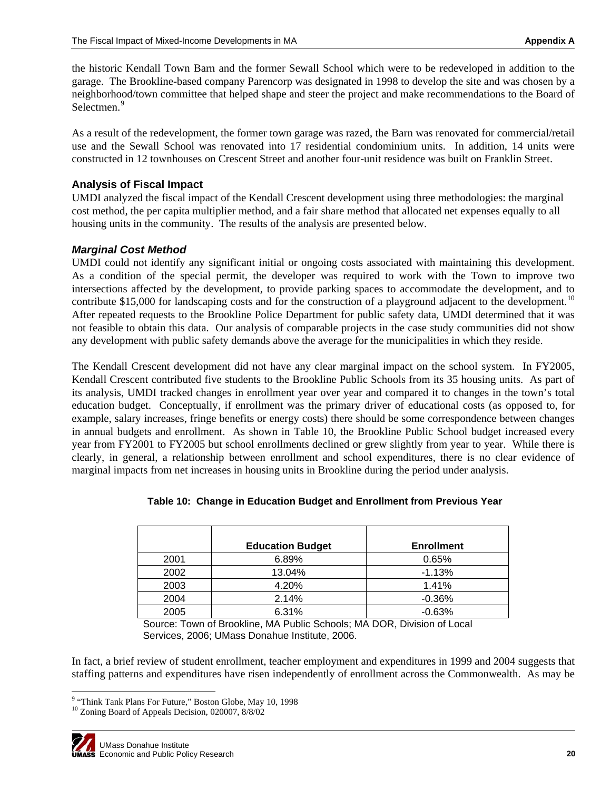the historic Kendall Town Barn and the former Sewall School which were to be redeveloped in addition to the garage. The Brookline-based company Parencorp was designated in 1998 to develop the site and was chosen by a neighborhood/town committee that helped shape and steer the project and make recommendations to the Board of Selectmen.<sup>[9](#page-21-0)</sup>

As a result of the redevelopment, the former town garage was razed, the Barn was renovated for commercial/retail use and the Sewall School was renovated into 17 residential condominium units. In addition, 14 units were constructed in 12 townhouses on Crescent Street and another four-unit residence was built on Franklin Street.

### **Analysis of Fiscal Impact**

UMDI analyzed the fiscal impact of the Kendall Crescent development using three methodologies: the marginal cost method, the per capita multiplier method, and a fair share method that allocated net expenses equally to all housing units in the community. The results of the analysis are presented below.

### *Marginal Cost Method*

UMDI could not identify any significant initial or ongoing costs associated with maintaining this development. As a condition of the special permit, the developer was required to work with the Town to improve two intersections affected by the development, to provide parking spaces to accommodate the development, and to contribute \$[1](#page-21-1)5,000 for landscaping costs and for the construction of a playground adjacent to the development.<sup>10</sup> After repeated requests to the Brookline Police Department for public safety data, UMDI determined that it was not feasible to obtain this data. Our analysis of comparable projects in the case study communities did not show any development with public safety demands above the average for the municipalities in which they reside.

The Kendall Crescent development did not have any clear marginal impact on the school system. In FY2005, Kendall Crescent contributed five students to the Brookline Public Schools from its 35 housing units. As part of its analysis, UMDI tracked changes in enrollment year over year and compared it to changes in the town's total education budget. Conceptually, if enrollment was the primary driver of educational costs (as opposed to, for example, salary increases, fringe benefits or energy costs) there should be some correspondence between changes in annual budgets and enrollment. As shown in Table 10, the Brookline Public School budget increased every year from FY2001 to FY2005 but school enrollments declined or grew slightly from year to year. While there is clearly, in general, a relationship between enrollment and school expenditures, there is no clear evidence of marginal impacts from net increases in housing units in Brookline during the period under analysis.

|      | <b>Education Budget</b> | <b>Enrollment</b> |
|------|-------------------------|-------------------|
| 2001 | 6.89%                   | 0.65%             |
| 2002 | 13.04%                  | $-1.13%$          |
| 2003 | 4.20%                   | 1.41%             |
| 2004 | 2.14%                   | $-0.36%$          |
| 2005 | 6.31%                   | $-0.63%$          |

#### **Table 10: Change in Education Budget and Enrollment from Previous Year**

Source: Town of Brookline, MA Public Schools; MA DOR, Division of Local Services, 2006; UMass Donahue Institute, 2006.

In fact, a brief review of student enrollment, teacher employment and expenditures in 1999 and 2004 suggests that staffing patterns and expenditures have risen independently of enrollment across the Commonwealth. As may be

<span id="page-21-1"></span><span id="page-21-0"></span><sup>10</sup> Zoning Board of Appeals Decision, 020007, 8/8/02



 $\overline{\phantom{a}}$ <sup>9</sup> "Think Tank Plans For Future," Boston Globe, May 10, 1998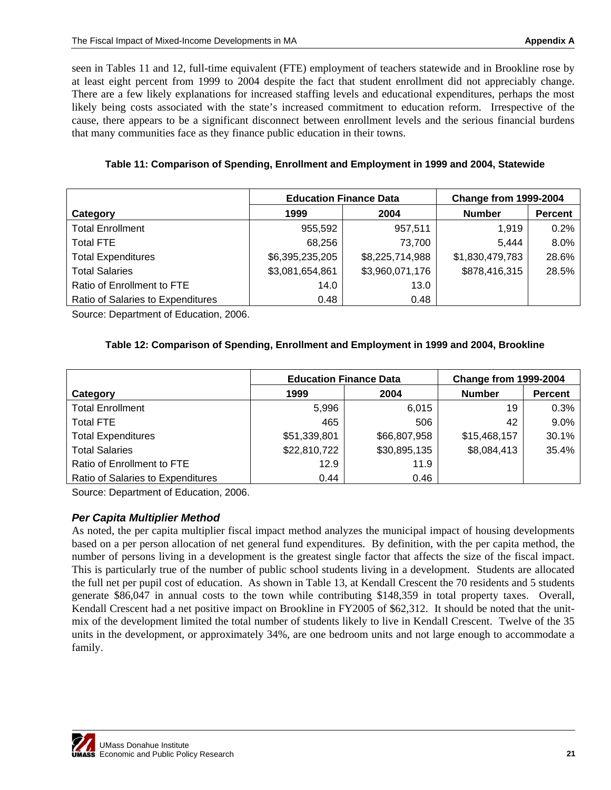seen in Tables 11 and 12, full-time equivalent (FTE) employment of teachers statewide and in Brookline rose by at least eight percent from 1999 to 2004 despite the fact that student enrollment did not appreciably change. There are a few likely explanations for increased staffing levels and educational expenditures, perhaps the most likely being costs associated with the state's increased commitment to education reform. Irrespective of the cause, there appears to be a significant disconnect between enrollment levels and the serious financial burdens that many communities face as they finance public education in their towns.

#### **Table 11: Comparison of Spending, Enrollment and Employment in 1999 and 2004, Statewide**

|                                   | <b>Change from 1999-2004</b><br><b>Education Finance Data</b> |                 |                 |                |
|-----------------------------------|---------------------------------------------------------------|-----------------|-----------------|----------------|
| Category                          | 1999                                                          | 2004            | <b>Number</b>   | <b>Percent</b> |
| <b>Total Enrollment</b>           | 955,592                                                       | 957,511         | 1,919           | 0.2%           |
| <b>Total FTE</b>                  | 68,256                                                        | 73,700          | 5,444           | 8.0%           |
| <b>Total Expenditures</b>         | \$6,395,235,205                                               | \$8,225,714,988 | \$1,830,479,783 | 28.6%          |
| <b>Total Salaries</b>             | \$3,081,654,861                                               | \$3,960,071,176 | \$878,416,315   | 28.5%          |
| Ratio of Enrollment to FTE        | 14.0                                                          | 13.0            |                 |                |
| Ratio of Salaries to Expenditures | 0.48                                                          | 0.48            |                 |                |

Source: Department of Education, 2006.

### **Table 12: Comparison of Spending, Enrollment and Employment in 1999 and 2004, Brookline**

|                                   | <b>Education Finance Data</b> |              | <b>Change from 1999-2004</b> |                |  |
|-----------------------------------|-------------------------------|--------------|------------------------------|----------------|--|
| Category                          | 1999                          | 2004         | <b>Number</b>                | <b>Percent</b> |  |
| <b>Total Enrollment</b>           | 5,996                         | 6,015        | 19                           | 0.3%           |  |
| <b>Total FTE</b>                  | 465                           | 506          | 42                           | $9.0\%$        |  |
| <b>Total Expenditures</b>         | \$51,339,801                  | \$66,807,958 | \$15,468,157                 | 30.1%          |  |
| <b>Total Salaries</b>             | \$22,810,722                  | \$30,895,135 | \$8,084,413                  | 35.4%          |  |
| Ratio of Enrollment to FTE        | 12.9                          | 11.9         |                              |                |  |
| Ratio of Salaries to Expenditures | 0.44                          | 0.46         |                              |                |  |

Source: Department of Education, 2006.

### *Per Capita Multiplier Method*

As noted, the per capita multiplier fiscal impact method analyzes the municipal impact of housing developments based on a per person allocation of net general fund expenditures. By definition, with the per capita method, the number of persons living in a development is the greatest single factor that affects the size of the fiscal impact. This is particularly true of the number of public school students living in a development. Students are allocated the full net per pupil cost of education. As shown in Table 13, at Kendall Crescent the 70 residents and 5 students generate \$86,047 in annual costs to the town while contributing \$148,359 in total property taxes. Overall, Kendall Crescent had a net positive impact on Brookline in FY2005 of \$62,312. It should be noted that the unitmix of the development limited the total number of students likely to live in Kendall Crescent. Twelve of the 35 units in the development, or approximately 34%, are one bedroom units and not large enough to accommodate a family.

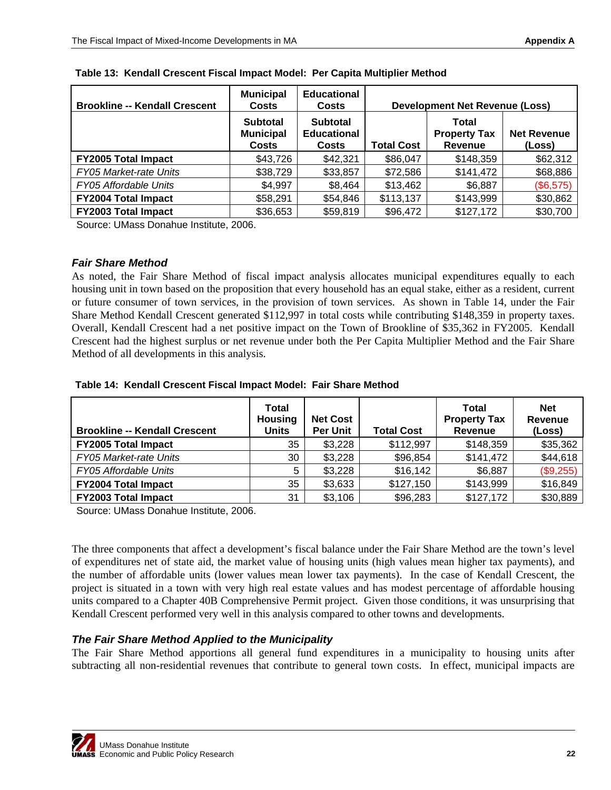| <b>Brookline -- Kendall Crescent</b> | <b>Municipal</b><br><b>Costs</b>                    | <b>Educational</b><br>Costs                    | <b>Development Net Revenue (Loss)</b> |                                         |                              |
|--------------------------------------|-----------------------------------------------------|------------------------------------------------|---------------------------------------|-----------------------------------------|------------------------------|
|                                      | <b>Subtotal</b><br><b>Municipal</b><br><b>Costs</b> | <b>Subtotal</b><br><b>Educational</b><br>Costs | <b>Total Cost</b>                     | Total<br><b>Property Tax</b><br>Revenue | <b>Net Revenue</b><br>(Loss) |
| <b>FY2005 Total Impact</b>           | \$43,726                                            | \$42,321                                       | \$86,047                              | \$148,359                               | \$62,312                     |
| FY05 Market-rate Units               | \$38,729                                            | \$33,857                                       | \$72,586                              | \$141,472                               | \$68,886                     |
| <b>FY05 Affordable Units</b>         | \$4,997                                             | \$8,464                                        | \$13,462                              | \$6,887                                 | (\$6,575)                    |
| <b>FY2004 Total Impact</b>           | \$58,291                                            | \$54,846                                       | \$113,137                             | \$143,999                               | \$30,862                     |
| <b>FY2003 Total Impact</b>           | \$36,653                                            | \$59,819                                       | \$96,472                              | \$127,172                               | \$30,700                     |

| Table 13: Kendall Crescent Fiscal Impact Model: Per Capita Multiplier Method |  |
|------------------------------------------------------------------------------|--|
|------------------------------------------------------------------------------|--|

Source: UMass Donahue Institute, 2006.

#### *Fair Share Method*

As noted, the Fair Share Method of fiscal impact analysis allocates municipal expenditures equally to each housing unit in town based on the proposition that every household has an equal stake, either as a resident, current or future consumer of town services, in the provision of town services. As shown in Table 14, under the Fair Share Method Kendall Crescent generated \$112,997 in total costs while contributing \$148,359 in property taxes. Overall, Kendall Crescent had a net positive impact on the Town of Brookline of \$35,362 in FY2005. Kendall Crescent had the highest surplus or net revenue under both the Per Capita Multiplier Method and the Fair Share Method of all developments in this analysis.

| Table 14: Kendall Crescent Fiscal Impact Model: Fair Share Method |  |  |  |  |
|-------------------------------------------------------------------|--|--|--|--|
|                                                                   |  |  |  |  |

| <b>Brookline -- Kendall Crescent</b> | Total<br><b>Housing</b><br><b>Units</b> | <b>Net Cost</b><br><b>Per Unit</b> | <b>Total Cost</b> | Total<br><b>Property Tax</b><br><b>Revenue</b> | <b>Net</b><br><b>Revenue</b><br>(Loss) |
|--------------------------------------|-----------------------------------------|------------------------------------|-------------------|------------------------------------------------|----------------------------------------|
| <b>FY2005 Total Impact</b>           | 35                                      | \$3,228                            | \$112,997         | \$148,359                                      | \$35,362                               |
| <b>FY05 Market-rate Units</b>        | 30                                      | \$3,228                            | \$96,854          | \$141,472                                      | \$44,618                               |
| FY05 Affordable Units                | 5                                       | \$3,228                            | \$16,142          | \$6,887                                        | (\$9,255)                              |
| <b>FY2004 Total Impact</b>           | 35                                      | \$3,633                            | \$127,150         | \$143,999                                      | \$16,849                               |
| <b>FY2003 Total Impact</b>           | 31                                      | \$3,106                            | \$96,283          | \$127,172                                      | \$30,889                               |

Source: UMass Donahue Institute, 2006.

The three components that affect a development's fiscal balance under the Fair Share Method are the town's level of expenditures net of state aid, the market value of housing units (high values mean higher tax payments), and the number of affordable units (lower values mean lower tax payments). In the case of Kendall Crescent, the project is situated in a town with very high real estate values and has modest percentage of affordable housing units compared to a Chapter 40B Comprehensive Permit project. Given those conditions, it was unsurprising that Kendall Crescent performed very well in this analysis compared to other towns and developments.

#### *The Fair Share Method Applied to the Municipality*

The Fair Share Method apportions all general fund expenditures in a municipality to housing units after subtracting all non-residential revenues that contribute to general town costs. In effect, municipal impacts are

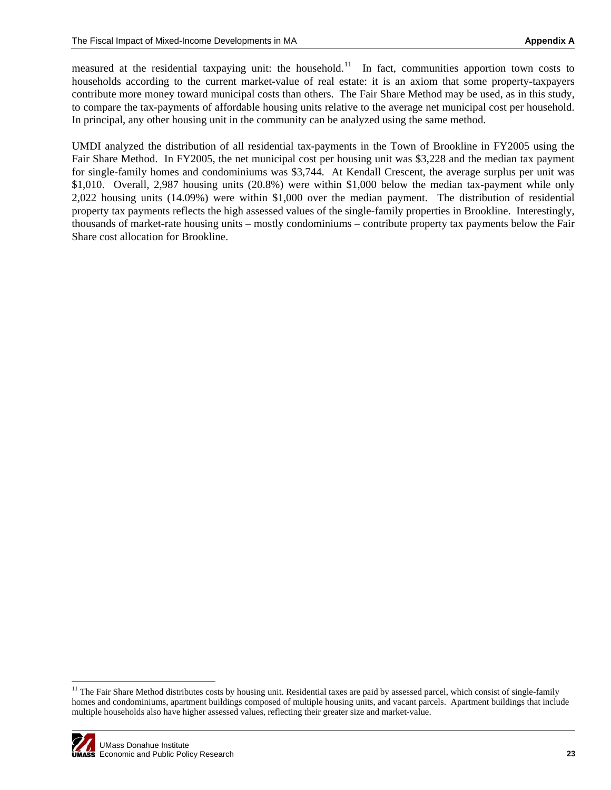measured at the residential taxpaying unit: the household.<sup>[11](#page-24-0)</sup> In fact, communities apportion town costs to households according to the current market-value of real estate: it is an axiom that some property-taxpayers contribute more money toward municipal costs than others. The Fair Share Method may be used, as in this study, to compare the tax-payments of affordable housing units relative to the average net municipal cost per household. In principal, any other housing unit in the community can be analyzed using the same method.

UMDI analyzed the distribution of all residential tax-payments in the Town of Brookline in FY2005 using the Fair Share Method. In FY2005, the net municipal cost per housing unit was \$3,228 and the median tax payment for single-family homes and condominiums was \$3,744. At Kendall Crescent, the average surplus per unit was \$1,010. Overall, 2,987 housing units (20.8%) were within \$1,000 below the median tax-payment while only 2,022 housing units (14.09%) were within \$1,000 over the median payment. The distribution of residential property tax payments reflects the high assessed values of the single-family properties in Brookline. Interestingly, thousands of market-rate housing units – mostly condominiums – contribute property tax payments below the Fair Share cost allocation for Brookline.

<span id="page-24-0"></span> $11$  The Fair Share Method distributes costs by housing unit. Residential taxes are paid by assessed parcel, which consist of single-family homes and condominiums, apartment buildings composed of multiple housing units, and vacant parcels. Apartment buildings that include multiple households also have higher assessed values, reflecting their greater size and market-value.



1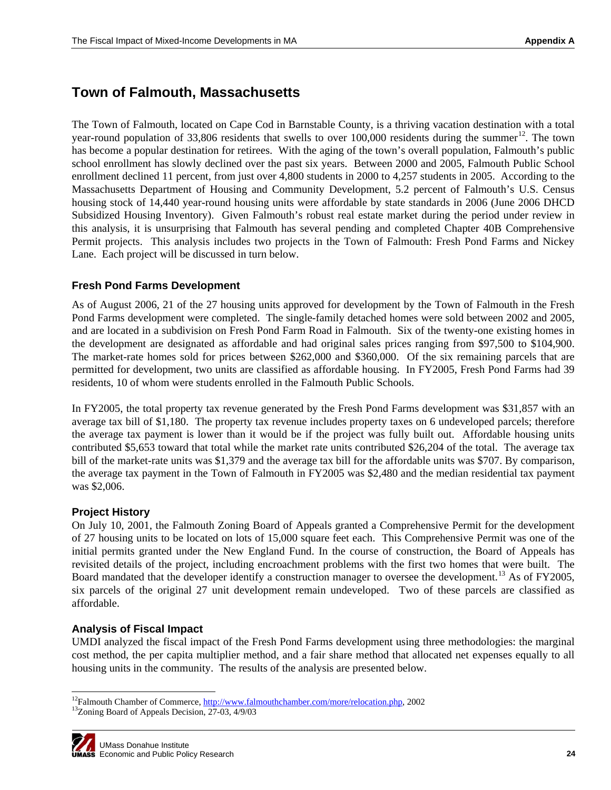## <span id="page-25-0"></span>**Town of Falmouth, Massachusetts**

The Town of Falmouth, located on Cape Cod in Barnstable County, is a thriving vacation destination with a total year-round population of  $33,806$  residents that swells to over [1](#page-25-1)00,000 residents during the summer<sup>12</sup>. The town has become a popular destination for retirees. With the aging of the town's overall population, Falmouth's public school enrollment has slowly declined over the past six years. Between 2000 and 2005, Falmouth Public School enrollment declined 11 percent, from just over 4,800 students in 2000 to 4,257 students in 2005. According to the Massachusetts Department of Housing and Community Development, 5.2 percent of Falmouth's U.S. Census housing stock of 14,440 year-round housing units were affordable by state standards in 2006 (June 2006 DHCD Subsidized Housing Inventory). Given Falmouth's robust real estate market during the period under review in this analysis, it is unsurprising that Falmouth has several pending and completed Chapter 40B Comprehensive Permit projects. This analysis includes two projects in the Town of Falmouth: Fresh Pond Farms and Nickey Lane. Each project will be discussed in turn below.

#### **Fresh Pond Farms Development**

As of August 2006, 21 of the 27 housing units approved for development by the Town of Falmouth in the Fresh Pond Farms development were completed. The single-family detached homes were sold between 2002 and 2005, and are located in a subdivision on Fresh Pond Farm Road in Falmouth. Six of the twenty-one existing homes in the development are designated as affordable and had original sales prices ranging from \$97,500 to \$104,900. The market-rate homes sold for prices between \$262,000 and \$360,000. Of the six remaining parcels that are permitted for development, two units are classified as affordable housing. In FY2005, Fresh Pond Farms had 39 residents, 10 of whom were students enrolled in the Falmouth Public Schools.

In FY2005, the total property tax revenue generated by the Fresh Pond Farms development was \$31,857 with an average tax bill of \$1,180. The property tax revenue includes property taxes on 6 undeveloped parcels; therefore the average tax payment is lower than it would be if the project was fully built out. Affordable housing units contributed \$5,653 toward that total while the market rate units contributed \$26,204 of the total. The average tax bill of the market-rate units was \$1,379 and the average tax bill for the affordable units was \$707. By comparison, the average tax payment in the Town of Falmouth in FY2005 was \$2,480 and the median residential tax payment was \$2,006.

#### **Project History**

On July 10, 2001, the Falmouth Zoning Board of Appeals granted a Comprehensive Permit for the development of 27 housing units to be located on lots of 15,000 square feet each. This Comprehensive Permit was one of the initial permits granted under the New England Fund. In the course of construction, the Board of Appeals has revisited details of the project, including encroachment problems with the first two homes that were built. The Board mandated that the developer identify a construction manager to oversee the development.<sup>[1](#page-25-2)3</sup> As of FY2005, six parcels of the original 27 unit development remain undeveloped. Two of these parcels are classified as affordable.

#### **Analysis of Fiscal Impact**

UMDI analyzed the fiscal impact of the Fresh Pond Farms development using three methodologies: the marginal cost method, the per capita multiplier method, and a fair share method that allocated net expenses equally to all housing units in the community. The results of the analysis are presented below.

<span id="page-25-2"></span><span id="page-25-1"></span>

 $\overline{\phantom{a}}$ <sup>12</sup>Falmouth Chamber of Commerce,  $\frac{http://www.falmouthchamber.com/more/relocation.php}{http://www.falmouthchamber.com/more/relocation.php}$ , 2002<br><sup>13</sup>Zoning Board of Appeals Decision, 27-03, 4/9/03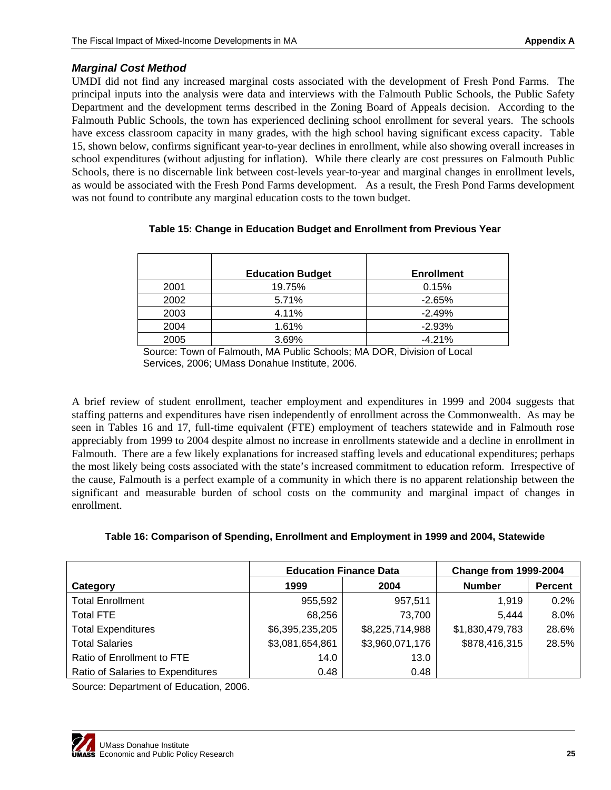#### *Marginal Cost Method*

UMDI did not find any increased marginal costs associated with the development of Fresh Pond Farms. The principal inputs into the analysis were data and interviews with the Falmouth Public Schools, the Public Safety Department and the development terms described in the Zoning Board of Appeals decision. According to the Falmouth Public Schools, the town has experienced declining school enrollment for several years. The schools have excess classroom capacity in many grades, with the high school having significant excess capacity. Table 15, shown below, confirms significant year-to-year declines in enrollment, while also showing overall increases in school expenditures (without adjusting for inflation). While there clearly are cost pressures on Falmouth Public Schools, there is no discernable link between cost-levels year-to-year and marginal changes in enrollment levels, as would be associated with the Fresh Pond Farms development. As a result, the Fresh Pond Farms development was not found to contribute any marginal education costs to the town budget.

|      | <b>Education Budget</b> | <b>Enrollment</b> |
|------|-------------------------|-------------------|
| 2001 | 19.75%                  | 0.15%             |
| 2002 | 5.71%                   | $-2.65%$          |
| 2003 | 4.11%                   | $-2.49%$          |
| 2004 | 1.61%                   | $-2.93%$          |
| 2005 | 3.69%                   | $-4.21%$          |

#### **Table 15: Change in Education Budget and Enrollment from Previous Year**

Source: Town of Falmouth, MA Public Schools; MA DOR, Division of Local Services, 2006; UMass Donahue Institute, 2006.

A brief review of student enrollment, teacher employment and expenditures in 1999 and 2004 suggests that staffing patterns and expenditures have risen independently of enrollment across the Commonwealth. As may be seen in Tables 16 and 17, full-time equivalent (FTE) employment of teachers statewide and in Falmouth rose appreciably from 1999 to 2004 despite almost no increase in enrollments statewide and a decline in enrollment in Falmouth. There are a few likely explanations for increased staffing levels and educational expenditures; perhaps the most likely being costs associated with the state's increased commitment to education reform. Irrespective of the cause, Falmouth is a perfect example of a community in which there is no apparent relationship between the significant and measurable burden of school costs on the community and marginal impact of changes in enrollment.

| Table 16: Comparison of Spending, Enrollment and Employment in 1999 and 2004, Statewide |  |  |
|-----------------------------------------------------------------------------------------|--|--|
|-----------------------------------------------------------------------------------------|--|--|

|                                   | <b>Education Finance Data</b> |                 | <b>Change from 1999-2004</b> |                |
|-----------------------------------|-------------------------------|-----------------|------------------------------|----------------|
| Category                          | 1999                          | 2004            | <b>Number</b>                | <b>Percent</b> |
| <b>Total Enrollment</b>           | 955,592                       | 957,511         | 1,919                        | 0.2%           |
| <b>Total FTE</b>                  | 68,256                        | 73,700          | 5,444                        | 8.0%           |
| <b>Total Expenditures</b>         | \$6,395,235,205               | \$8,225,714,988 | \$1,830,479,783              | 28.6%          |
| <b>Total Salaries</b>             | \$3,081,654,861               | \$3,960,071,176 | \$878,416,315                | 28.5%          |
| Ratio of Enrollment to FTE        | 14.0                          | 13.0            |                              |                |
| Ratio of Salaries to Expenditures | 0.48                          | 0.48            |                              |                |

Source: Department of Education, 2006.

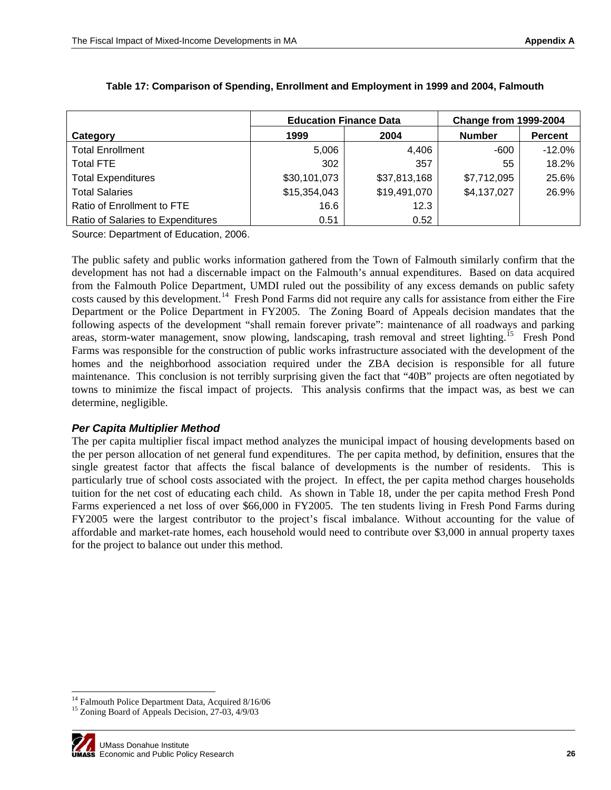|                                   | <b>Education Finance Data</b> |              | <b>Change from 1999-2004</b> |                |
|-----------------------------------|-------------------------------|--------------|------------------------------|----------------|
| Category                          | 1999                          | 2004         | <b>Number</b>                | <b>Percent</b> |
| <b>Total Enrollment</b>           | 5,006                         | 4,406        | $-600$                       | $-12.0%$       |
| <b>Total FTE</b>                  | 302                           | 357          | 55                           | 18.2%          |
| <b>Total Expenditures</b>         | \$30,101,073                  | \$37,813,168 | \$7,712,095                  | 25.6%          |
| <b>Total Salaries</b>             | \$15,354,043                  | \$19,491,070 | \$4,137,027                  | 26.9%          |
| Ratio of Enrollment to FTE        | 16.6                          | 12.3         |                              |                |
| Ratio of Salaries to Expenditures | 0.51                          | 0.52         |                              |                |

#### **Table 17: Comparison of Spending, Enrollment and Employment in 1999 and 2004, Falmouth**

Source: Department of Education, 2006.

The public safety and public works information gathered from the Town of Falmouth similarly confirm that the development has not had a discernable impact on the Falmouth's annual expenditures. Based on data acquired from the Falmouth Police Department, UMDI ruled out the possibility of any excess demands on public safety costs caused by this development.<sup>[14](#page-27-0)</sup> Fresh Pond Farms did not require any calls for assistance from either the Fire Department or the Police Department in FY2005. The Zoning Board of Appeals decision mandates that the following aspects of the development "shall remain forever private": maintenance of all roadways and parking areas, storm-water management, snow plowing, landscaping, trash removal and street lighting.<sup>[1](#page-27-1)5</sup> Fresh Pond Farms was responsible for the construction of public works infrastructure associated with the development of the homes and the neighborhood association required under the ZBA decision is responsible for all future maintenance. This conclusion is not terribly surprising given the fact that "40B" projects are often negotiated by towns to minimize the fiscal impact of projects. This analysis confirms that the impact was, as best we can determine, negligible.

#### *Per Capita Multiplier Method*

The per capita multiplier fiscal impact method analyzes the municipal impact of housing developments based on the per person allocation of net general fund expenditures. The per capita method, by definition, ensures that the single greatest factor that affects the fiscal balance of developments is the number of residents. This is particularly true of school costs associated with the project. In effect, the per capita method charges households tuition for the net cost of educating each child. As shown in Table 18, under the per capita method Fresh Pond Farms experienced a net loss of over \$66,000 in FY2005. The ten students living in Fresh Pond Farms during FY2005 were the largest contributor to the project's fiscal imbalance. Without accounting for the value of affordable and market-rate homes, each household would need to contribute over \$3,000 in annual property taxes for the project to balance out under this method.

<span id="page-27-1"></span><span id="page-27-0"></span>

 $\overline{\phantom{a}}$ 

<sup>&</sup>lt;sup>14</sup> Falmouth Police Department Data, Acquired 8/16/06<br><sup>15</sup> Zoning Board of Appeals Decision, 27-03, 4/9/03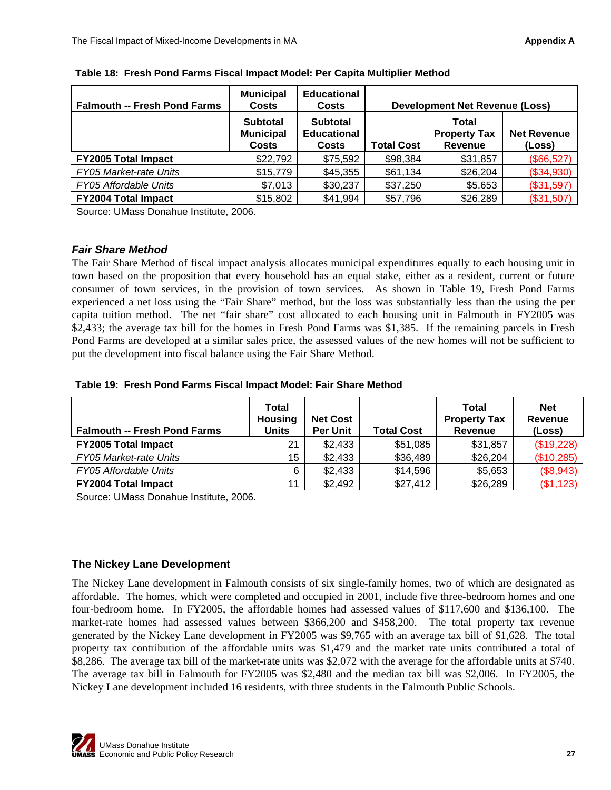| <b>Falmouth -- Fresh Pond Farms</b> | <b>Municipal</b><br><b>Costs</b>                    | <b>Educational</b><br><b>Costs</b>                    | <b>Development Net Revenue (Loss)</b> |                                                |                              |
|-------------------------------------|-----------------------------------------------------|-------------------------------------------------------|---------------------------------------|------------------------------------------------|------------------------------|
|                                     | <b>Subtotal</b><br><b>Municipal</b><br><b>Costs</b> | <b>Subtotal</b><br><b>Educational</b><br><b>Costs</b> | <b>Total Cost</b>                     | Total<br><b>Property Tax</b><br><b>Revenue</b> | <b>Net Revenue</b><br>(Loss) |
| <b>FY2005 Total Impact</b>          | \$22,792                                            | \$75,592                                              | \$98,384                              | \$31,857                                       | (\$66,527)                   |
| <b>FY05 Market-rate Units</b>       | \$15,779                                            | \$45,355                                              | \$61,134                              | \$26,204                                       | (\$34,930)                   |
| <b>FY05 Affordable Units</b>        | \$7,013                                             | \$30,237                                              | \$37,250                              | \$5,653                                        | (\$31,597)                   |
| <b>FY2004 Total Impact</b>          | \$15,802                                            | \$41,994                                              | \$57,796                              | \$26,289                                       | (\$31,507)                   |

**Table 18: Fresh Pond Farms Fiscal Impact Model: Per Capita Multiplier Method**

Source: UMass Donahue Institute, 2006.

#### *Fair Share Method*

The Fair Share Method of fiscal impact analysis allocates municipal expenditures equally to each housing unit in town based on the proposition that every household has an equal stake, either as a resident, current or future consumer of town services, in the provision of town services. As shown in Table 19, Fresh Pond Farms experienced a net loss using the "Fair Share" method, but the loss was substantially less than the using the per capita tuition method. The net "fair share" cost allocated to each housing unit in Falmouth in FY2005 was \$2,433; the average tax bill for the homes in Fresh Pond Farms was \$1,385. If the remaining parcels in Fresh Pond Farms are developed at a similar sales price, the assessed values of the new homes will not be sufficient to put the development into fiscal balance using the Fair Share Method.

#### **Table 19: Fresh Pond Farms Fiscal Impact Model: Fair Share Method**

| <b>Falmouth -- Fresh Pond Farms</b> | Total<br><b>Housing</b><br><b>Units</b> | <b>Net Cost</b><br><b>Per Unit</b> | <b>Total Cost</b> | Total<br><b>Property Tax</b><br>Revenue | <b>Net</b><br>Revenue<br>(Loss) |
|-------------------------------------|-----------------------------------------|------------------------------------|-------------------|-----------------------------------------|---------------------------------|
| <b>FY2005 Total Impact</b>          | 21                                      | \$2,433                            | \$51,085          | \$31,857                                | (\$19,228)                      |
| <b>FY05 Market-rate Units</b>       | 15                                      | \$2,433                            | \$36,489          | \$26,204                                | (\$10,285)                      |
| <b>FY05 Affordable Units</b>        | 6                                       | \$2,433                            | \$14,596          | \$5,653                                 | (\$8,943)                       |
| <b>FY2004 Total Impact</b>          | 11                                      | \$2,492                            | \$27,412          | \$26,289                                | (\$1,123)                       |

Source: UMass Donahue Institute, 2006.

#### **The Nickey Lane Development**

The Nickey Lane development in Falmouth consists of six single-family homes, two of which are designated as affordable. The homes, which were completed and occupied in 2001, include five three-bedroom homes and one four-bedroom home. In FY2005, the affordable homes had assessed values of \$117,600 and \$136,100. The market-rate homes had assessed values between \$366,200 and \$458,200. The total property tax revenue generated by the Nickey Lane development in FY2005 was \$9,765 with an average tax bill of \$1,628. The total property tax contribution of the affordable units was \$1,479 and the market rate units contributed a total of \$8,286. The average tax bill of the market-rate units was \$2,072 with the average for the affordable units at \$740. The average tax bill in Falmouth for FY2005 was \$2,480 and the median tax bill was \$2,006. In FY2005, the Nickey Lane development included 16 residents, with three students in the Falmouth Public Schools.

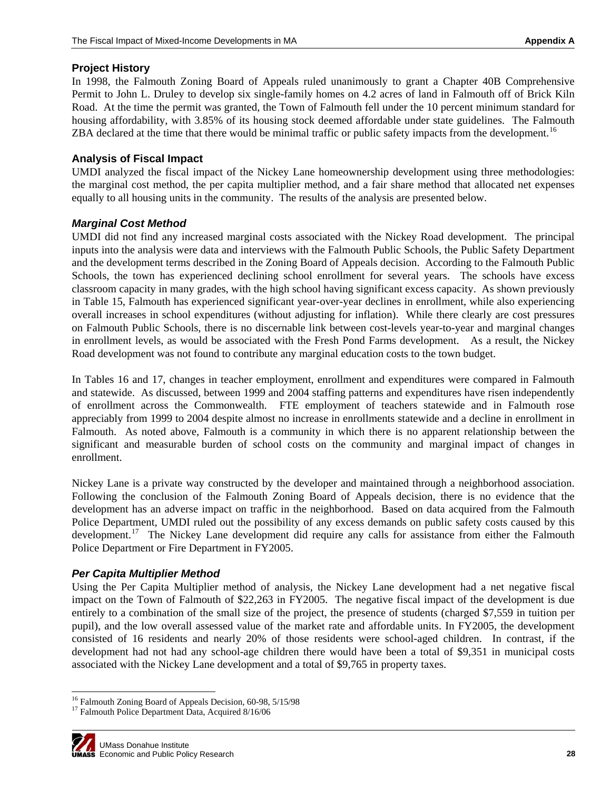### **Project History**

In 1998, the Falmouth Zoning Board of Appeals ruled unanimously to grant a Chapter 40B Comprehensive Permit to John L. Druley to develop six single-family homes on 4.2 acres of land in Falmouth off of Brick Kiln Road. At the time the permit was granted, the Town of Falmouth fell under the 10 percent minimum standard for housing affordability, with 3.85% of its housing stock deemed affordable under state guidelines. The Falmouth ZBA declared at the time that there would be minimal traffic or public safety impacts from the development.<sup>[1](#page-29-0)6</sup>

### **Analysis of Fiscal Impact**

UMDI analyzed the fiscal impact of the Nickey Lane homeownership development using three methodologies: the marginal cost method, the per capita multiplier method, and a fair share method that allocated net expenses equally to all housing units in the community. The results of the analysis are presented below.

### *Marginal Cost Method*

UMDI did not find any increased marginal costs associated with the Nickey Road development. The principal inputs into the analysis were data and interviews with the Falmouth Public Schools, the Public Safety Department and the development terms described in the Zoning Board of Appeals decision. According to the Falmouth Public Schools, the town has experienced declining school enrollment for several years. The schools have excess classroom capacity in many grades, with the high school having significant excess capacity. As shown previously in Table 15, Falmouth has experienced significant year-over-year declines in enrollment, while also experiencing overall increases in school expenditures (without adjusting for inflation). While there clearly are cost pressures on Falmouth Public Schools, there is no discernable link between cost-levels year-to-year and marginal changes in enrollment levels, as would be associated with the Fresh Pond Farms development. As a result, the Nickey Road development was not found to contribute any marginal education costs to the town budget.

In Tables 16 and 17, changes in teacher employment, enrollment and expenditures were compared in Falmouth and statewide. As discussed, between 1999 and 2004 staffing patterns and expenditures have risen independently of enrollment across the Commonwealth. FTE employment of teachers statewide and in Falmouth rose appreciably from 1999 to 2004 despite almost no increase in enrollments statewide and a decline in enrollment in Falmouth. As noted above, Falmouth is a community in which there is no apparent relationship between the significant and measurable burden of school costs on the community and marginal impact of changes in enrollment.

Nickey Lane is a private way constructed by the developer and maintained through a neighborhood association. Following the conclusion of the Falmouth Zoning Board of Appeals decision, there is no evidence that the development has an adverse impact on traffic in the neighborhood. Based on data acquired from the Falmouth Police Department, UMDI ruled out the possibility of any excess demands on public safety costs caused by this development.<sup>[17](#page-29-1)</sup> The Nickey Lane development did require any calls for assistance from either the Falmouth Police Department or Fire Department in FY2005.

### *Per Capita Multiplier Method*

Using the Per Capita Multiplier method of analysis, the Nickey Lane development had a net negative fiscal impact on the Town of Falmouth of \$22,263 in FY2005. The negative fiscal impact of the development is due entirely to a combination of the small size of the project, the presence of students (charged \$7,559 in tuition per pupil), and the low overall assessed value of the market rate and affordable units. In FY2005, the development consisted of 16 residents and nearly 20% of those residents were school-aged children. In contrast, if the development had not had any school-age children there would have been a total of \$9,351 in municipal costs associated with the Nickey Lane development and a total of \$9,765 in property taxes.

<span id="page-29-1"></span><span id="page-29-0"></span>

<sup>-</sup><sup>16</sup> Falmouth Zoning Board of Appeals Decision, 60-98, 5/15/98<br><sup>17</sup> Falmouth Police Department Data, Acquired 8/16/06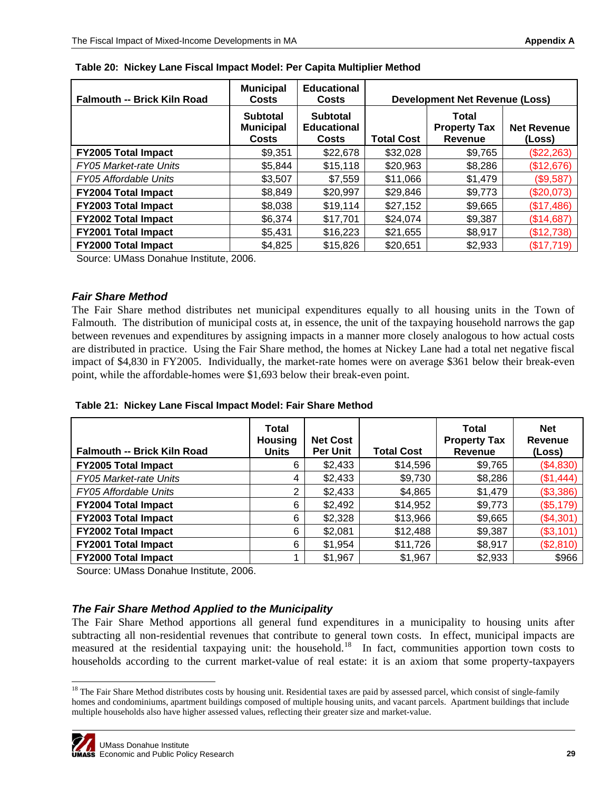| <b>Falmouth -- Brick Kiln Road</b> | <b>Municipal</b><br>Costs                           | <b>Educational</b><br>Costs                    | <b>Development Net Revenue (Loss)</b> |                                                |                              |
|------------------------------------|-----------------------------------------------------|------------------------------------------------|---------------------------------------|------------------------------------------------|------------------------------|
|                                    | <b>Subtotal</b><br><b>Municipal</b><br><b>Costs</b> | <b>Subtotal</b><br><b>Educational</b><br>Costs | <b>Total Cost</b>                     | Total<br><b>Property Tax</b><br><b>Revenue</b> | <b>Net Revenue</b><br>(Loss) |
| <b>FY2005 Total Impact</b>         | \$9,351                                             | \$22,678                                       | \$32,028                              | \$9,765                                        | (\$22,263)                   |
| <b>FY05 Market-rate Units</b>      | \$5,844                                             | \$15,118                                       | \$20,963                              | \$8,286                                        | (\$12,676)                   |
| <b>FY05 Affordable Units</b>       | \$3,507                                             | \$7,559                                        | \$11,066                              | \$1,479                                        | (\$9,587)                    |
| <b>FY2004 Total Impact</b>         | \$8,849                                             | \$20,997                                       | \$29,846                              | \$9,773                                        | (\$20,073)                   |
| <b>FY2003 Total Impact</b>         | \$8,038                                             | \$19,114                                       | \$27,152                              | \$9,665                                        | (\$17,486)                   |
| <b>FY2002 Total Impact</b>         | \$6,374                                             | \$17,701                                       | \$24,074                              | \$9,387                                        | (\$14,687)                   |
| FY2001 Total Impact                | \$5,431                                             | \$16,223                                       | \$21,655                              | \$8,917                                        | (\$12,738)                   |
| <b>FY2000 Total Impact</b>         | \$4,825                                             | \$15,826                                       | \$20,651                              | \$2,933                                        | (\$17,719)                   |

|  |  | Table 20: Nickey Lane Fiscal Impact Model: Per Capita Multiplier Method |  |  |  |  |
|--|--|-------------------------------------------------------------------------|--|--|--|--|
|--|--|-------------------------------------------------------------------------|--|--|--|--|

Source: UMass Donahue Institute, 2006.

#### *Fair Share Method*

The Fair Share method distributes net municipal expenditures equally to all housing units in the Town of Falmouth. The distribution of municipal costs at, in essence, the unit of the taxpaying household narrows the gap between revenues and expenditures by assigning impacts in a manner more closely analogous to how actual costs are distributed in practice. Using the Fair Share method, the homes at Nickey Lane had a total net negative fiscal impact of \$4,830 in FY2005. Individually, the market-rate homes were on average \$361 below their break-even point, while the affordable-homes were \$1,693 below their break-even point.

| Table 21: Nickey Lane Fiscal Impact Model: Fair Share Method |  |  |  |  |
|--------------------------------------------------------------|--|--|--|--|
|                                                              |  |  |  |  |

| <b>Falmouth -- Brick Kiln Road</b> | Total<br><b>Housing</b><br>Units | <b>Net Cost</b><br><b>Per Unit</b> | <b>Total Cost</b> | <b>Total</b><br><b>Property Tax</b><br><b>Revenue</b> | <b>Net</b><br><b>Revenue</b><br>(Loss) |
|------------------------------------|----------------------------------|------------------------------------|-------------------|-------------------------------------------------------|----------------------------------------|
| <b>FY2005 Total Impact</b>         | 6                                | \$2,433                            | \$14,596          | \$9,765                                               | (\$4,830)                              |
| FY05 Market-rate Units             | 4                                | \$2,433                            | \$9,730           | \$8,286                                               | (\$1,444)                              |
| FY05 Affordable Units              | 2                                | \$2,433                            | \$4,865           | \$1,479                                               | (\$3,386)                              |
| <b>FY2004 Total Impact</b>         | 6                                | \$2,492                            | \$14,952          | \$9,773                                               | (\$5,179)                              |
| <b>FY2003 Total Impact</b>         | 6                                | \$2,328                            | \$13,966          | \$9,665                                               | (\$4,301)                              |
| <b>FY2002 Total Impact</b>         | 6                                | \$2,081                            | \$12,488          | \$9,387                                               | (\$3,101)                              |
| FY2001 Total Impact                | 6                                | \$1,954                            | \$11,726          | \$8,917                                               | (\$2,810)                              |
| <b>FY2000 Total Impact</b>         |                                  | \$1,967                            | \$1,967           | \$2,933                                               | \$966                                  |

Source: UMass Donahue Institute, 2006.

#### *The Fair Share Method Applied to the Municipality*

The Fair Share Method apportions all general fund expenditures in a municipality to housing units after subtracting all non-residential revenues that contribute to general town costs. In effect, municipal impacts are measured at the residential taxpaying unit: the household.<sup>[18](#page-30-0)</sup> In fact, communities apportion town costs to households according to the current market-value of real estate: it is an axiom that some property-taxpayers

<span id="page-30-0"></span><sup>&</sup>lt;sup>18</sup> The Fair Share Method distributes costs by housing unit. Residential taxes are paid by assessed parcel, which consist of single-family homes and condominiums, apartment buildings composed of multiple housing units, and vacant parcels. Apartment buildings that include multiple households also have higher assessed values, reflecting their greater size and market-value.



l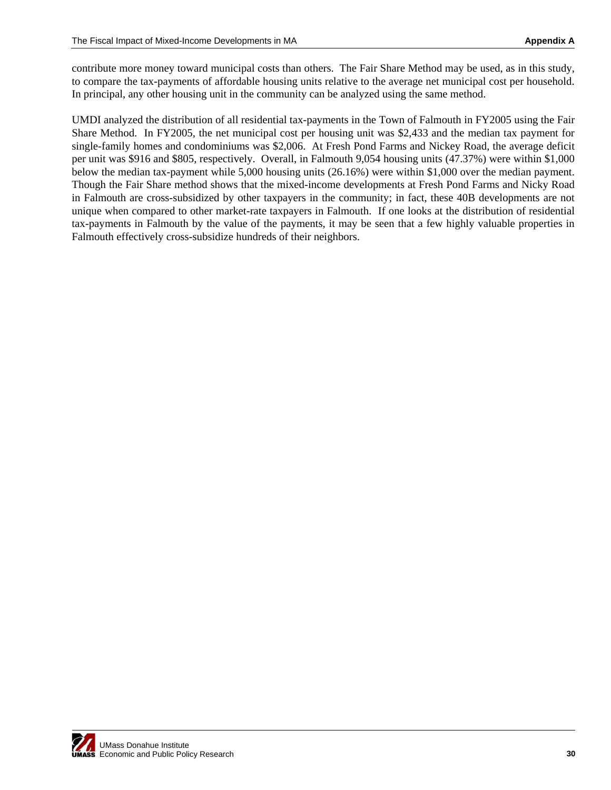contribute more money toward municipal costs than others. The Fair Share Method may be used, as in this study, to compare the tax-payments of affordable housing units relative to the average net municipal cost per household. In principal, any other housing unit in the community can be analyzed using the same method.

UMDI analyzed the distribution of all residential tax-payments in the Town of Falmouth in FY2005 using the Fair Share Method. In FY2005, the net municipal cost per housing unit was \$2,433 and the median tax payment for single-family homes and condominiums was \$2,006. At Fresh Pond Farms and Nickey Road, the average deficit per unit was \$916 and \$805, respectively. Overall, in Falmouth 9,054 housing units (47.37%) were within \$1,000 below the median tax-payment while 5,000 housing units (26.16%) were within \$1,000 over the median payment. Though the Fair Share method shows that the mixed-income developments at Fresh Pond Farms and Nicky Road in Falmouth are cross-subsidized by other taxpayers in the community; in fact, these 40B developments are not unique when compared to other market-rate taxpayers in Falmouth. If one looks at the distribution of residential tax-payments in Falmouth by the value of the payments, it may be seen that a few highly valuable properties in Falmouth effectively cross-subsidize hundreds of their neighbors.

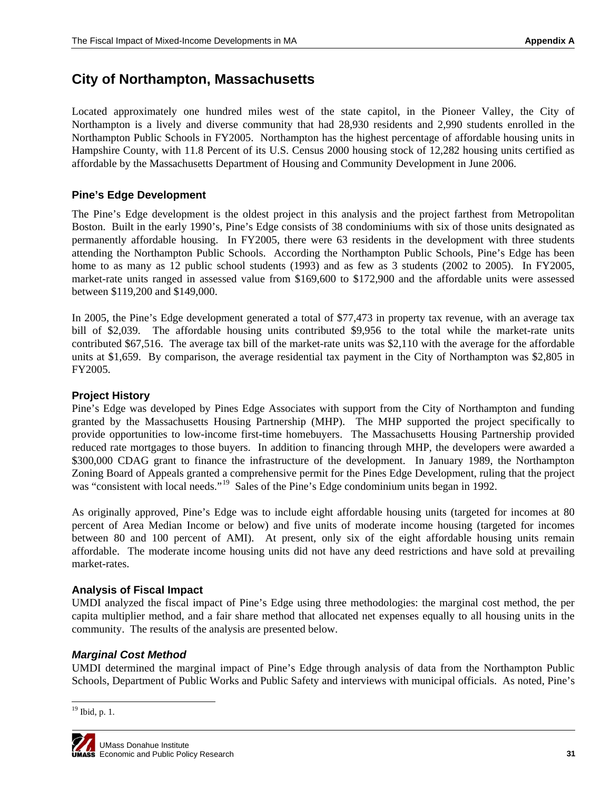## <span id="page-32-0"></span>**City of Northampton, Massachusetts**

Located approximately one hundred miles west of the state capitol, in the Pioneer Valley, the City of Northampton is a lively and diverse community that had 28,930 residents and 2,990 students enrolled in the Northampton Public Schools in FY2005. Northampton has the highest percentage of affordable housing units in Hampshire County, with 11.8 Percent of its U.S. Census 2000 housing stock of 12,282 housing units certified as affordable by the Massachusetts Department of Housing and Community Development in June 2006.

#### **Pine's Edge Development**

The Pine's Edge development is the oldest project in this analysis and the project farthest from Metropolitan Boston. Built in the early 1990's, Pine's Edge consists of 38 condominiums with six of those units designated as permanently affordable housing. In FY2005, there were 63 residents in the development with three students attending the Northampton Public Schools. According the Northampton Public Schools, Pine's Edge has been home to as many as 12 public school students (1993) and as few as 3 students (2002 to 2005). In FY2005, market-rate units ranged in assessed value from \$169,600 to \$172,900 and the affordable units were assessed between \$119,200 and \$149,000.

In 2005, the Pine's Edge development generated a total of \$77,473 in property tax revenue, with an average tax bill of \$2,039. The affordable housing units contributed \$9,956 to the total while the market-rate units contributed \$67,516. The average tax bill of the market-rate units was \$2,110 with the average for the affordable units at \$1,659. By comparison, the average residential tax payment in the City of Northampton was \$2,805 in FY2005.

#### **Project History**

Pine's Edge was developed by Pines Edge Associates with support from the City of Northampton and funding granted by the Massachusetts Housing Partnership (MHP). The MHP supported the project specifically to provide opportunities to low-income first-time homebuyers. The Massachusetts Housing Partnership provided reduced rate mortgages to those buyers. In addition to financing through MHP, the developers were awarded a \$300,000 CDAG grant to finance the infrastructure of the development. In January 1989, the Northampton Zoning Board of Appeals granted a comprehensive permit for the Pines Edge Development, ruling that the project was "consistent with local needs."<sup>[19](#page-32-1)</sup> Sales of the Pine's Edge condominium units began in 1992.

As originally approved, Pine's Edge was to include eight affordable housing units (targeted for incomes at 80 percent of Area Median Income or below) and five units of moderate income housing (targeted for incomes between 80 and 100 percent of AMI). At present, only six of the eight affordable housing units remain affordable. The moderate income housing units did not have any deed restrictions and have sold at prevailing market-rates.

#### **Analysis of Fiscal Impact**

UMDI analyzed the fiscal impact of Pine's Edge using three methodologies: the marginal cost method, the per capita multiplier method, and a fair share method that allocated net expenses equally to all housing units in the community. The results of the analysis are presented below.

#### *Marginal Cost Method*

UMDI determined the marginal impact of Pine's Edge through analysis of data from the Northampton Public Schools, Department of Public Works and Public Safety and interviews with municipal officials. As noted, Pine's

<span id="page-32-1"></span>l 19 Ibid, p. 1.

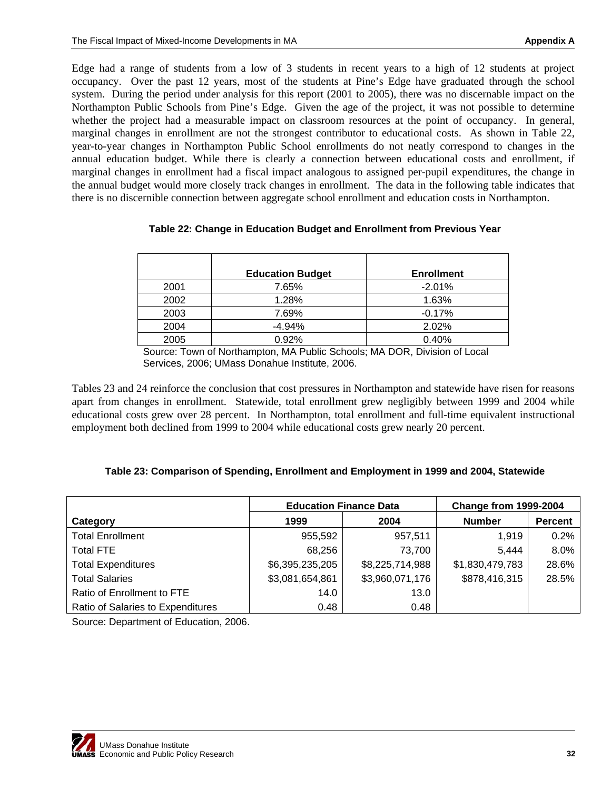Edge had a range of students from a low of 3 students in recent years to a high of 12 students at project occupancy. Over the past 12 years, most of the students at Pine's Edge have graduated through the school system. During the period under analysis for this report (2001 to 2005), there was no discernable impact on the Northampton Public Schools from Pine's Edge. Given the age of the project, it was not possible to determine whether the project had a measurable impact on classroom resources at the point of occupancy. In general, marginal changes in enrollment are not the strongest contributor to educational costs. As shown in Table 22, year-to-year changes in Northampton Public School enrollments do not neatly correspond to changes in the annual education budget. While there is clearly a connection between educational costs and enrollment, if marginal changes in enrollment had a fiscal impact analogous to assigned per-pupil expenditures, the change in the annual budget would more closely track changes in enrollment. The data in the following table indicates that there is no discernible connection between aggregate school enrollment and education costs in Northampton.

#### **Table 22: Change in Education Budget and Enrollment from Previous Year**

|      | <b>Education Budget</b> | <b>Enrollment</b> |
|------|-------------------------|-------------------|
| 2001 | 7.65%                   | $-2.01%$          |
| 2002 | 1.28%                   | 1.63%             |
| 2003 | 7.69%                   | $-0.17%$          |
| 2004 | $-4.94%$                | 2.02%             |
| 2005 | 0.92%                   | 0.40%             |

Source: Town of Northampton, MA Public Schools; MA DOR, Division of Local Services, 2006; UMass Donahue Institute, 2006.

Tables 23 and 24 reinforce the conclusion that cost pressures in Northampton and statewide have risen for reasons apart from changes in enrollment. Statewide, total enrollment grew negligibly between 1999 and 2004 while educational costs grew over 28 percent. In Northampton, total enrollment and full-time equivalent instructional employment both declined from 1999 to 2004 while educational costs grew nearly 20 percent.

#### **Table 23: Comparison of Spending, Enrollment and Employment in 1999 and 2004, Statewide**

|                                   | <b>Education Finance Data</b> |                 | <b>Change from 1999-2004</b> |                |
|-----------------------------------|-------------------------------|-----------------|------------------------------|----------------|
| Category                          | 1999                          | 2004            | <b>Number</b>                | <b>Percent</b> |
| <b>Total Enrollment</b>           | 955,592                       | 957,511         | 1,919                        | 0.2%           |
| <b>Total FTE</b>                  | 68,256                        | 73,700          | 5,444                        | 8.0%           |
| <b>Total Expenditures</b>         | \$6,395,235,205               | \$8,225,714,988 | \$1,830,479,783              | 28.6%          |
| <b>Total Salaries</b>             | \$3,081,654,861               | \$3,960,071,176 | \$878,416,315                | 28.5%          |
| Ratio of Enrollment to FTE        | 14.0                          | 13.0            |                              |                |
| Ratio of Salaries to Expenditures | 0.48                          | 0.48            |                              |                |

Source: Department of Education, 2006.

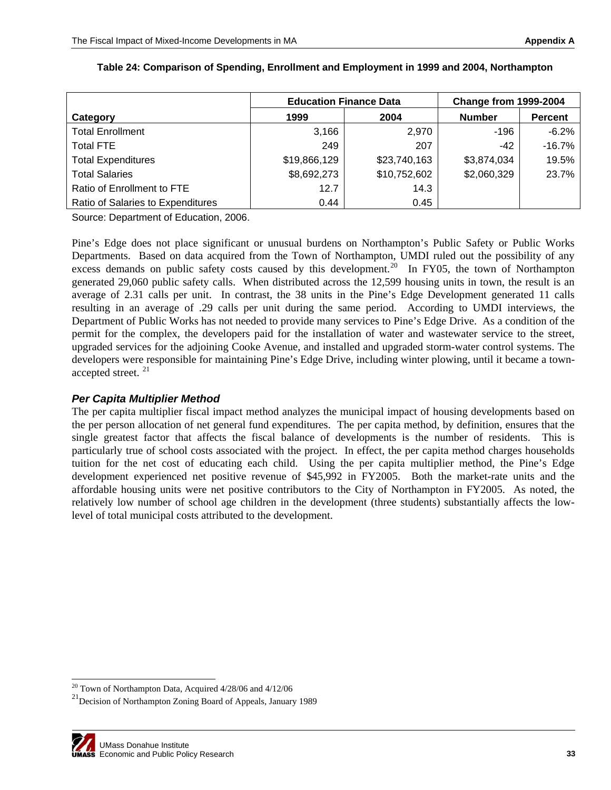|                                   | <b>Education Finance Data</b> |              | <b>Change from 1999-2004</b> |                |
|-----------------------------------|-------------------------------|--------------|------------------------------|----------------|
| Category                          | 1999                          | 2004         | <b>Number</b>                | <b>Percent</b> |
| <b>Total Enrollment</b>           | 3,166                         | 2.970        | -196                         | $-6.2%$        |
| <b>Total FTE</b>                  | 249                           | 207          | $-42$                        | $-16.7%$       |
| <b>Total Expenditures</b>         | \$19,866,129                  | \$23,740,163 | \$3,874,034                  | 19.5%          |
| <b>Total Salaries</b>             | \$8,692,273                   | \$10,752,602 | \$2,060,329                  | 23.7%          |
| Ratio of Enrollment to FTE        | 12.7                          | 14.3         |                              |                |
| Ratio of Salaries to Expenditures | 0.44                          | 0.45         |                              |                |

#### **Table 24: Comparison of Spending, Enrollment and Employment in 1999 and 2004, Northampton**

Source: Department of Education, 2006.

Pine's Edge does not place significant or unusual burdens on Northampton's Public Safety or Public Works Departments. Based on data acquired from the Town of Northampton, UMDI ruled out the possibility of any excess demands on public safety costs caused by this development.<sup>[20](#page-34-0)</sup> In FY05, the town of Northampton generated 29,060 public safety calls. When distributed across the 12,599 housing units in town, the result is an average of 2.31 calls per unit. In contrast, the 38 units in the Pine's Edge Development generated 11 calls resulting in an average of .29 calls per unit during the same period. According to UMDI interviews, the Department of Public Works has not needed to provide many services to Pine's Edge Drive. As a condition of the permit for the complex, the developers paid for the installation of water and wastewater service to the street, upgraded services for the adjoining Cooke Avenue, and installed and upgraded storm-water control systems. The developers were responsible for maintaining Pine's Edge Drive, including winter plowing, until it became a townaccepted street. [21](#page-34-1)

### *Per Capita Multiplier Method*

The per capita multiplier fiscal impact method analyzes the municipal impact of housing developments based on the per person allocation of net general fund expenditures. The per capita method, by definition, ensures that the single greatest factor that affects the fiscal balance of developments is the number of residents. This is particularly true of school costs associated with the project. In effect, the per capita method charges households tuition for the net cost of educating each child. Using the per capita multiplier method, the Pine's Edge development experienced net positive revenue of \$45,992 in FY2005. Both the market-rate units and the affordable housing units were net positive contributors to the City of Northampton in FY2005. As noted, the relatively low number of school age children in the development (three students) substantially affects the lowlevel of total municipal costs attributed to the development.

<span id="page-34-1"></span><span id="page-34-0"></span><sup>21</sup>Decision of Northampton Zoning Board of Appeals, January 1989



1

 $^{20}$  Town of Northampton Data, Acquired 4/28/06 and 4/12/06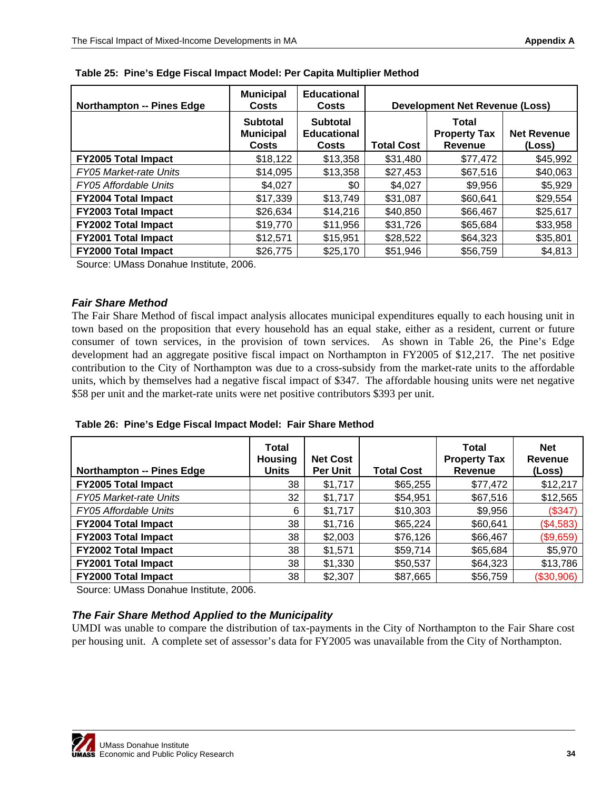| <b>Northampton -- Pines Edge</b> | <b>Municipal</b><br><b>Costs</b>                    | <b>Educational</b><br>Costs                    |                   | <b>Development Net Revenue (Loss)</b>          |                              |
|----------------------------------|-----------------------------------------------------|------------------------------------------------|-------------------|------------------------------------------------|------------------------------|
|                                  | <b>Subtotal</b><br><b>Municipal</b><br><b>Costs</b> | <b>Subtotal</b><br><b>Educational</b><br>Costs | <b>Total Cost</b> | Total<br><b>Property Tax</b><br><b>Revenue</b> | <b>Net Revenue</b><br>(Loss) |
| <b>FY2005 Total Impact</b>       | \$18,122                                            | \$13,358                                       | \$31,480          | \$77,472                                       | \$45,992                     |
| <b>FY05 Market-rate Units</b>    | \$14,095                                            | \$13,358                                       | \$27,453          | \$67,516                                       | \$40,063                     |
| <b>FY05 Affordable Units</b>     | \$4,027                                             | \$0                                            | \$4,027           | \$9,956                                        | \$5,929                      |
| <b>FY2004 Total Impact</b>       | \$17,339                                            | \$13,749                                       | \$31,087          | \$60,641                                       | \$29,554                     |
| <b>FY2003 Total Impact</b>       | \$26,634                                            | \$14,216                                       | \$40,850          | \$66,467                                       | \$25,617                     |
| <b>FY2002 Total Impact</b>       | \$19,770                                            | \$11,956                                       | \$31,726          | \$65,684                                       | \$33,958                     |
| FY2001 Total Impact              | \$12,571                                            | \$15,951                                       | \$28,522          | \$64,323                                       | \$35,801                     |
| <b>FY2000 Total Impact</b>       | \$26,775                                            | \$25,170                                       | \$51,946          | \$56,759                                       | \$4,813                      |

**Table 25: Pine's Edge Fiscal Impact Model: Per Capita Multiplier Method**

Source: UMass Donahue Institute, 2006.

### *Fair Share Method*

The Fair Share Method of fiscal impact analysis allocates municipal expenditures equally to each housing unit in town based on the proposition that every household has an equal stake, either as a resident, current or future consumer of town services, in the provision of town services. As shown in Table 26, the Pine's Edge development had an aggregate positive fiscal impact on Northampton in FY2005 of \$12,217. The net positive contribution to the City of Northampton was due to a cross-subsidy from the market-rate units to the affordable units, which by themselves had a negative fiscal impact of \$347. The affordable housing units were net negative \$58 per unit and the market-rate units were net positive contributors \$393 per unit.

**Table 26: Pine's Edge Fiscal Impact Model: Fair Share Method**

| <b>Northampton -- Pines Edge</b> | Total<br><b>Housing</b><br><b>Units</b> | <b>Net Cost</b><br><b>Per Unit</b> | <b>Total Cost</b> | Total<br><b>Property Tax</b><br><b>Revenue</b> | <b>Net</b><br>Revenue<br>(Loss) |
|----------------------------------|-----------------------------------------|------------------------------------|-------------------|------------------------------------------------|---------------------------------|
| <b>FY2005 Total Impact</b>       | 38                                      | \$1,717                            | \$65,255          | \$77,472                                       | \$12,217                        |
| <b>FY05 Market-rate Units</b>    | 32                                      | \$1,717                            | \$54,951          | \$67,516                                       | \$12,565                        |
| <b>FY05 Affordable Units</b>     | 6                                       | \$1,717                            | \$10,303          | \$9,956                                        | (\$347)                         |
| <b>FY2004 Total Impact</b>       | 38                                      | \$1,716                            | \$65,224          | \$60,641                                       | (\$4,583)                       |
| FY2003 Total Impact              | 38                                      | \$2,003                            | \$76,126          | \$66,467                                       | (\$9,659)                       |
| <b>FY2002 Total Impact</b>       | 38                                      | \$1,571                            | \$59,714          | \$65,684                                       | \$5,970                         |
| FY2001 Total Impact              | 38                                      | \$1,330                            | \$50,537          | \$64,323                                       | \$13,786                        |
| <b>FY2000 Total Impact</b>       | 38                                      | \$2,307                            | \$87,665          | \$56,759                                       | (\$30,906)                      |

Source: UMass Donahue Institute, 2006.

## *The Fair Share Method Applied to the Municipality*

UMDI was unable to compare the distribution of tax-payments in the City of Northampton to the Fair Share cost per housing unit. A complete set of assessor's data for FY2005 was unavailable from the City of Northampton.

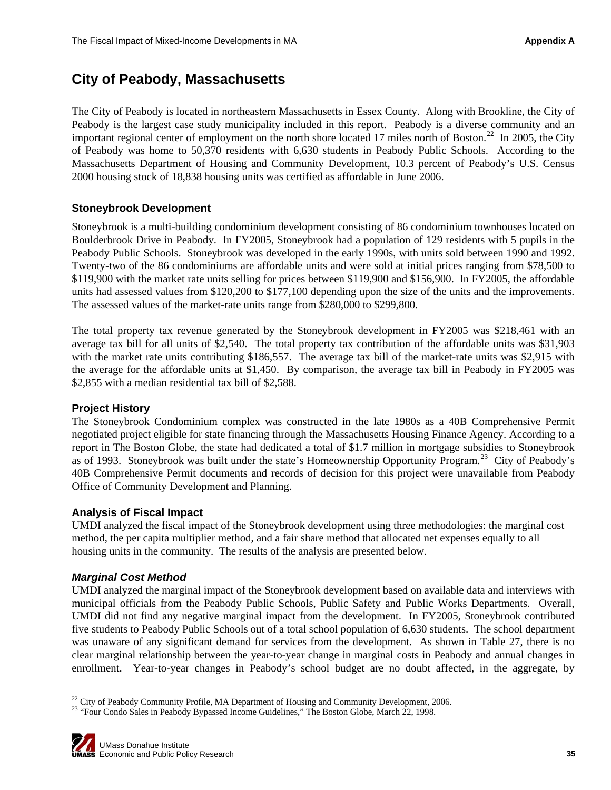# <span id="page-36-0"></span>**City of Peabody, Massachusetts**

The City of Peabody is located in northeastern Massachusetts in Essex County. Along with Brookline, the City of Peabody is the largest case study municipality included in this report. Peabody is a diverse community and an important regional center of employment on the north shore located 17 miles north of Boston.<sup>[22](#page-36-1)</sup> In 2005, the City of Peabody was home to 50,370 residents with 6,630 students in Peabody Public Schools. According to the Massachusetts Department of Housing and Community Development, 10.3 percent of Peabody's U.S. Census 2000 housing stock of 18,838 housing units was certified as affordable in June 2006.

### **Stoneybrook Development**

Stoneybrook is a multi-building condominium development consisting of 86 condominium townhouses located on Boulderbrook Drive in Peabody. In FY2005, Stoneybrook had a population of 129 residents with 5 pupils in the Peabody Public Schools. Stoneybrook was developed in the early 1990s, with units sold between 1990 and 1992. Twenty-two of the 86 condominiums are affordable units and were sold at initial prices ranging from \$78,500 to \$119,900 with the market rate units selling for prices between \$119,900 and \$156,900. In FY2005, the affordable units had assessed values from \$120,200 to \$177,100 depending upon the size of the units and the improvements. The assessed values of the market-rate units range from \$280,000 to \$299,800.

The total property tax revenue generated by the Stoneybrook development in FY2005 was \$218,461 with an average tax bill for all units of \$2,540. The total property tax contribution of the affordable units was \$31,903 with the market rate units contributing \$186,557. The average tax bill of the market-rate units was \$2,915 with the average for the affordable units at \$1,450. By comparison, the average tax bill in Peabody in FY2005 was \$2,855 with a median residential tax bill of \$2,588.

### **Project History**

The Stoneybrook Condominium complex was constructed in the late 1980s as a 40B Comprehensive Permit negotiated project eligible for state financing through the Massachusetts Housing Finance Agency. According to a report in The Boston Globe, the state had dedicated a total of \$1.7 million in mortgage subsidies to Stoneybrook as of 1993. Stoneybrook was built under the state's Homeownership Opportunity Program.<sup>[23](#page-36-2)</sup> City of Peabody's 40B Comprehensive Permit documents and records of decision for this project were unavailable from Peabody Office of Community Development and Planning.

### **Analysis of Fiscal Impact**

UMDI analyzed the fiscal impact of the Stoneybrook development using three methodologies: the marginal cost method, the per capita multiplier method, and a fair share method that allocated net expenses equally to all housing units in the community. The results of the analysis are presented below.

### *Marginal Cost Method*

UMDI analyzed the marginal impact of the Stoneybrook development based on available data and interviews with municipal officials from the Peabody Public Schools, Public Safety and Public Works Departments. Overall, UMDI did not find any negative marginal impact from the development. In FY2005, Stoneybrook contributed five students to Peabody Public Schools out of a total school population of 6,630 students. The school department was unaware of any significant demand for services from the development. As shown in Table 27, there is no clear marginal relationship between the year-to-year change in marginal costs in Peabody and annual changes in enrollment. Year-to-year changes in Peabody's school budget are no doubt affected, in the aggregate, by

<span id="page-36-2"></span><span id="page-36-1"></span><sup>&</sup>lt;sup>22</sup> City of Peabody Community Profile, MA Department of Housing and Community Development, 2006.<br><sup>23</sup> "Four Condo Sales in Peabody Bypassed Income Guidelines," The Boston Globe, March 22, 1998.



<sup>-</sup>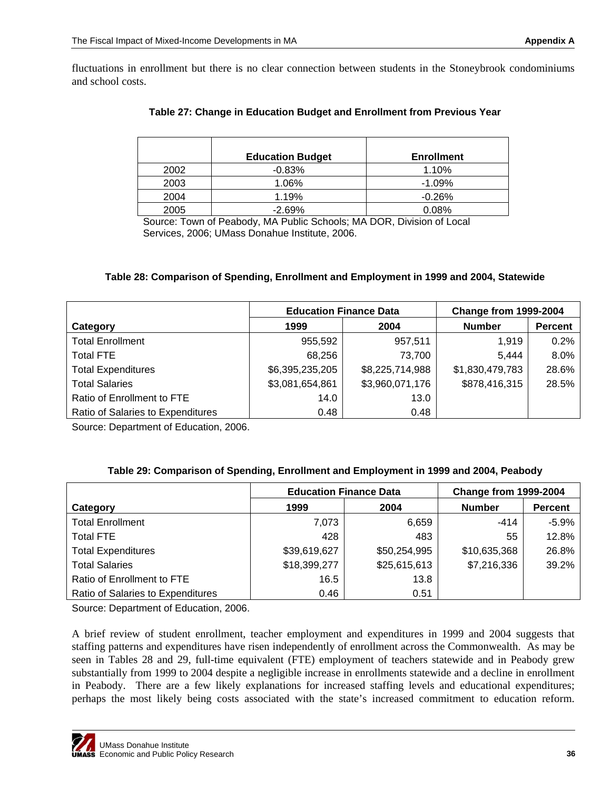fluctuations in enrollment but there is no clear connection between students in the Stoneybrook condominiums and school costs.

|      | <b>Education Budget</b> | <b>Enrollment</b> |
|------|-------------------------|-------------------|
| 2002 | $-0.83%$                | 1.10%             |
| 2003 | 1.06%                   | $-1.09%$          |
| 2004 | 1.19%                   | $-0.26%$          |
| 2005 | $-2.69%$                | 0.08%             |

#### **Table 27: Change in Education Budget and Enrollment from Previous Year**

Source: Town of Peabody, MA Public Schools; MA DOR, Division of Local Services, 2006; UMass Donahue Institute, 2006.

#### **Table 28: Comparison of Spending, Enrollment and Employment in 1999 and 2004, Statewide**

|                                   | <b>Education Finance Data</b> |                 | <b>Change from 1999-2004</b> |                |
|-----------------------------------|-------------------------------|-----------------|------------------------------|----------------|
| Category                          | 1999                          | 2004            | <b>Number</b>                | <b>Percent</b> |
| <b>Total Enrollment</b>           | 955,592                       | 957,511         | 1.919                        | 0.2%           |
| <b>Total FTE</b>                  | 68,256                        | 73,700          | 5,444                        | 8.0%           |
| <b>Total Expenditures</b>         | \$6,395,235,205               | \$8,225,714,988 | \$1,830,479,783              | 28.6%          |
| <b>Total Salaries</b>             | \$3,081,654,861               | \$3,960,071,176 | \$878,416,315                | 28.5%          |
| Ratio of Enrollment to FTE        | 14.0                          | 13.0            |                              |                |
| Ratio of Salaries to Expenditures | 0.48                          | 0.48            |                              |                |

Source: Department of Education, 2006.

#### **Table 29: Comparison of Spending, Enrollment and Employment in 1999 and 2004, Peabody**

|                                   | <b>Education Finance Data</b> |              | <b>Change from 1999-2004</b> |                |
|-----------------------------------|-------------------------------|--------------|------------------------------|----------------|
| Category                          | 1999                          | 2004         | <b>Number</b>                | <b>Percent</b> |
| <b>Total Enrollment</b>           | 7,073                         | 6,659        | $-414$                       | $-5.9%$        |
| <b>Total FTE</b>                  | 428                           | 483          | 55                           | 12.8%          |
| <b>Total Expenditures</b>         | \$39,619,627                  | \$50,254,995 | \$10,635,368                 | 26.8%          |
| <b>Total Salaries</b>             | \$18,399,277                  | \$25,615,613 | \$7,216,336                  | 39.2%          |
| Ratio of Enrollment to FTE        | 16.5                          | 13.8         |                              |                |
| Ratio of Salaries to Expenditures | 0.46                          | 0.51         |                              |                |

Source: Department of Education, 2006.

A brief review of student enrollment, teacher employment and expenditures in 1999 and 2004 suggests that staffing patterns and expenditures have risen independently of enrollment across the Commonwealth. As may be seen in Tables 28 and 29, full-time equivalent (FTE) employment of teachers statewide and in Peabody grew substantially from 1999 to 2004 despite a negligible increase in enrollments statewide and a decline in enrollment in Peabody. There are a few likely explanations for increased staffing levels and educational expenditures; perhaps the most likely being costs associated with the state's increased commitment to education reform.

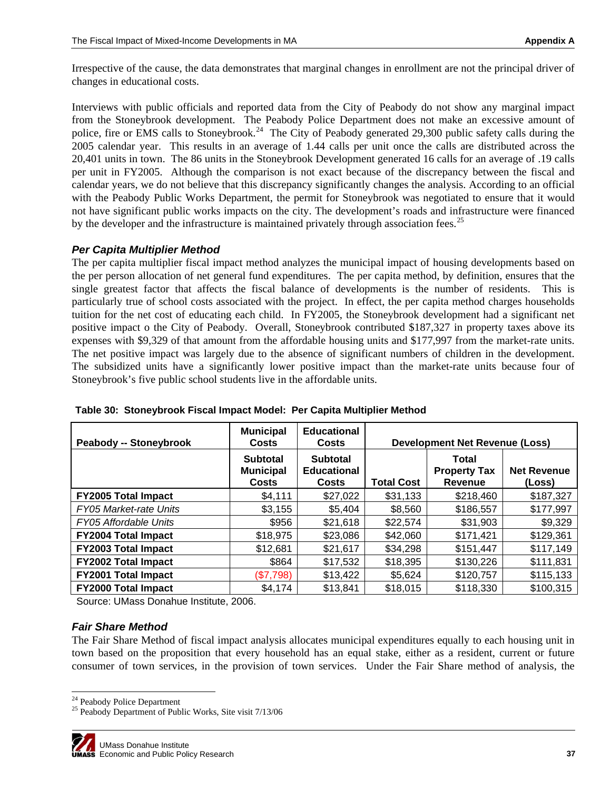Irrespective of the cause, the data demonstrates that marginal changes in enrollment are not the principal driver of changes in educational costs.

Interviews with public officials and reported data from the City of Peabody do not show any marginal impact from the Stoneybrook development. The Peabody Police Department does not make an excessive amount of police, fire or EMS calls to Stoneybrook.<sup>[2](#page-38-0)4</sup> The City of Peabody generated 29,300 public safety calls during the 2005 calendar year. This results in an average of 1.44 calls per unit once the calls are distributed across the 20,401 units in town. The 86 units in the Stoneybrook Development generated 16 calls for an average of .19 calls per unit in FY2005. Although the comparison is not exact because of the discrepancy between the fiscal and calendar years, we do not believe that this discrepancy significantly changes the analysis. According to an official with the Peabody Public Works Department, the permit for Stoneybrook was negotiated to ensure that it would not have significant public works impacts on the city. The development's roads and infrastructure were financed by the developer and the infrastructure is maintained privately through association fees.<sup>[25](#page-38-1)</sup>

### *Per Capita Multiplier Method*

The per capita multiplier fiscal impact method analyzes the municipal impact of housing developments based on the per person allocation of net general fund expenditures. The per capita method, by definition, ensures that the single greatest factor that affects the fiscal balance of developments is the number of residents. This is particularly true of school costs associated with the project. In effect, the per capita method charges households tuition for the net cost of educating each child. In FY2005, the Stoneybrook development had a significant net positive impact o the City of Peabody. Overall, Stoneybrook contributed \$187,327 in property taxes above its expenses with \$9,329 of that amount from the affordable housing units and \$177,997 from the market-rate units. The net positive impact was largely due to the absence of significant numbers of children in the development. The subsidized units have a significantly lower positive impact than the market-rate units because four of Stoneybrook's five public school students live in the affordable units.

| <b>Peabody -- Stoneybrook</b> | <b>Municipal</b><br>Costs                    | <b>Educational</b><br>Costs                    |                   | <b>Development Net Revenue (Loss)</b>          |                              |
|-------------------------------|----------------------------------------------|------------------------------------------------|-------------------|------------------------------------------------|------------------------------|
|                               | <b>Subtotal</b><br><b>Municipal</b><br>Costs | <b>Subtotal</b><br><b>Educational</b><br>Costs | <b>Total Cost</b> | Total<br><b>Property Tax</b><br><b>Revenue</b> | <b>Net Revenue</b><br>(Loss) |
| <b>FY2005 Total Impact</b>    | \$4,111                                      | \$27,022                                       | \$31,133          | \$218,460                                      | \$187,327                    |
| <b>FY05 Market-rate Units</b> | \$3,155                                      | \$5,404                                        | \$8,560           | \$186,557                                      | \$177,997                    |
| <b>FY05 Affordable Units</b>  | \$956                                        | \$21,618                                       | \$22,574          | \$31,903                                       | \$9,329                      |
| <b>FY2004 Total Impact</b>    | \$18,975                                     | \$23,086                                       | \$42,060          | \$171,421                                      | \$129,361                    |
| <b>FY2003 Total Impact</b>    | \$12,681                                     | \$21,617                                       | \$34,298          | \$151.447                                      | \$117,149                    |
| <b>FY2002 Total Impact</b>    | \$864                                        | \$17,532                                       | \$18,395          | \$130,226                                      | \$111,831                    |
| <b>FY2001 Total Impact</b>    | (\$7,798)                                    | \$13,422                                       | \$5,624           | \$120,757                                      | \$115,133                    |
| <b>FY2000 Total Impact</b>    | \$4,174                                      | \$13,841                                       | \$18,015          | \$118,330                                      | \$100,315                    |

**Table 30: Stoneybrook Fiscal Impact Model: Per Capita Multiplier Method**

Source: UMass Donahue Institute, 2006.

#### *Fair Share Method*

The Fair Share Method of fiscal impact analysis allocates municipal expenditures equally to each housing unit in town based on the proposition that every household has an equal stake, either as a resident, current or future consumer of town services, in the provision of town services. Under the Fair Share method of analysis, the

<span id="page-38-1"></span><sup>&</sup>lt;sup>25</sup> Peabody Department of Public Works, Site visit  $7/13/06$ 



<span id="page-38-0"></span><sup>&</sup>lt;sup>24</sup> Peabody Police Department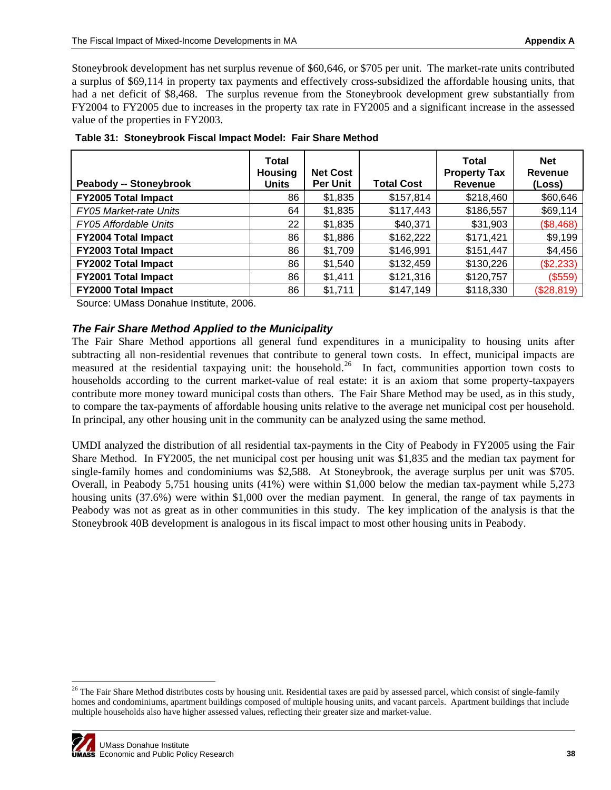Stoneybrook development has net surplus revenue of \$60,646, or \$705 per unit. The market-rate units contributed a surplus of \$69,114 in property tax payments and effectively cross-subsidized the affordable housing units, that had a net deficit of \$8,468. The surplus revenue from the Stoneybrook development grew substantially from FY2004 to FY2005 due to increases in the property tax rate in FY2005 and a significant increase in the assessed value of the properties in FY2003.

| <b>Peabody -- Stoneybrook</b> | Total<br><b>Housing</b><br><b>Units</b> | <b>Net Cost</b><br><b>Per Unit</b> | <b>Total Cost</b> | <b>Total</b><br><b>Property Tax</b><br><b>Revenue</b> | <b>Net</b><br>Revenue<br>(Loss) |
|-------------------------------|-----------------------------------------|------------------------------------|-------------------|-------------------------------------------------------|---------------------------------|
| <b>FY2005 Total Impact</b>    | 86                                      | \$1,835                            | \$157,814         | \$218,460                                             | \$60,646                        |
| <b>FY05 Market-rate Units</b> | 64                                      | \$1,835                            | \$117,443         | \$186,557                                             | \$69,114                        |
| <b>FY05 Affordable Units</b>  | 22                                      | \$1,835                            | \$40,371          | \$31,903                                              | (\$8,468)                       |
| <b>FY2004 Total Impact</b>    | 86                                      | \$1,886                            | \$162,222         | \$171,421                                             | \$9,199                         |
| <b>FY2003 Total Impact</b>    | 86                                      | \$1,709                            | \$146,991         | \$151,447                                             | \$4,456                         |
| <b>FY2002 Total Impact</b>    | 86                                      | \$1,540                            | \$132,459         | \$130,226                                             | (\$2,233)                       |
| <b>FY2001 Total Impact</b>    | 86                                      | \$1,411                            | \$121,316         | \$120,757                                             | (\$559)                         |
| <b>FY2000 Total Impact</b>    | 86                                      | \$1,711                            | \$147,149         | \$118,330                                             | (\$28,819)                      |

| Table 31: Stoneybrook Fiscal Impact Model: Fair Share Method |  |  |  |  |
|--------------------------------------------------------------|--|--|--|--|

Source: UMass Donahue Institute, 2006.

#### *The Fair Share Method Applied to the Municipality*

The Fair Share Method apportions all general fund expenditures in a municipality to housing units after subtracting all non-residential revenues that contribute to general town costs. In effect, municipal impacts are measured at the residential taxpaying unit: the household.<sup>[26](#page-39-0)</sup> In fact, communities apportion town costs to households according to the current market-value of real estate: it is an axiom that some property-taxpayers contribute more money toward municipal costs than others. The Fair Share Method may be used, as in this study, to compare the tax-payments of affordable housing units relative to the average net municipal cost per household. In principal, any other housing unit in the community can be analyzed using the same method.

UMDI analyzed the distribution of all residential tax-payments in the City of Peabody in FY2005 using the Fair Share Method. In FY2005, the net municipal cost per housing unit was \$1,835 and the median tax payment for single-family homes and condominiums was \$2,588. At Stoneybrook, the average surplus per unit was \$705. Overall, in Peabody 5,751 housing units (41%) were within \$1,000 below the median tax-payment while 5,273 housing units (37.6%) were within \$1,000 over the median payment. In general, the range of tax payments in Peabody was not as great as in other communities in this study. The key implication of the analysis is that the Stoneybrook 40B development is analogous in its fiscal impact to most other housing units in Peabody.

<span id="page-39-0"></span> $^{26}$  The Fair Share Method distributes costs by housing unit. Residential taxes are paid by assessed parcel, which consist of single-family homes and condominiums, apartment buildings composed of multiple housing units, and vacant parcels. Apartment buildings that include multiple households also have higher assessed values, reflecting their greater size and market-value.



l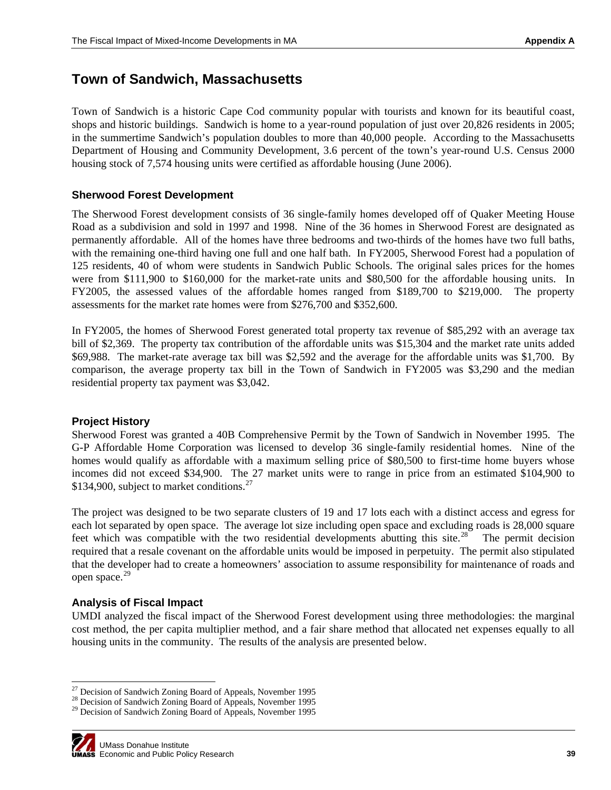## <span id="page-40-0"></span>**Town of Sandwich, Massachusetts**

Town of Sandwich is a historic Cape Cod community popular with tourists and known for its beautiful coast, shops and historic buildings. Sandwich is home to a year-round population of just over 20,826 residents in 2005; in the summertime Sandwich's population doubles to more than 40,000 people. According to the Massachusetts Department of Housing and Community Development, 3.6 percent of the town's year-round U.S. Census 2000 housing stock of 7,574 housing units were certified as affordable housing (June 2006).

#### **Sherwood Forest Development**

The Sherwood Forest development consists of 36 single-family homes developed off of Quaker Meeting House Road as a subdivision and sold in 1997 and 1998. Nine of the 36 homes in Sherwood Forest are designated as permanently affordable. All of the homes have three bedrooms and two-thirds of the homes have two full baths, with the remaining one-third having one full and one half bath. In FY2005, Sherwood Forest had a population of 125 residents, 40 of whom were students in Sandwich Public Schools. The original sales prices for the homes were from \$111,900 to \$160,000 for the market-rate units and \$80,500 for the affordable housing units. In FY2005, the assessed values of the affordable homes ranged from \$189,700 to \$219,000. The property assessments for the market rate homes were from \$276,700 and \$352,600.

In FY2005, the homes of Sherwood Forest generated total property tax revenue of \$85,292 with an average tax bill of \$2,369. The property tax contribution of the affordable units was \$15,304 and the market rate units added \$69,988. The market-rate average tax bill was \$2,592 and the average for the affordable units was \$1,700. By comparison, the average property tax bill in the Town of Sandwich in FY2005 was \$3,290 and the median residential property tax payment was \$3,042.

#### **Project History**

Sherwood Forest was granted a 40B Comprehensive Permit by the Town of Sandwich in November 1995. The G-P Affordable Home Corporation was licensed to develop 36 single-family residential homes. Nine of the homes would qualify as affordable with a maximum selling price of \$80,500 to first-time home buyers whose incomes did not exceed \$34,900. The 27 market units were to range in price from an estimated \$104,900 to \$134,900, subject to market conditions.<sup>[27](#page-40-1)</sup>

The project was designed to be two separate clusters of 19 and 17 lots each with a distinct access and egress for each lot separated by open space. The average lot size including open space and excluding roads is 28,000 square feet which was compatible with the two residential developments abutting this site.<sup>[28](#page-40-2)</sup> The permit decision required that a resale covenant on the affordable units would be imposed in perpetuity. The permit also stipulated that the developer had to create a homeowners' association to assume responsibility for maintenance of roads and open space.[2](#page-40-3)9

#### **Analysis of Fiscal Impact**

UMDI analyzed the fiscal impact of the Sherwood Forest development using three methodologies: the marginal cost method, the per capita multiplier method, and a fair share method that allocated net expenses equally to all housing units in the community. The results of the analysis are presented below.

<span id="page-40-3"></span><span id="page-40-2"></span><span id="page-40-1"></span><sup>&</sup>lt;sup>28</sup> Decision of Sandwich Zoning Board of Appeals, November 1995  $^{29}$  Decision of Sandwich Zoning Board of Appeals, November 1995



<sup>&</sup>lt;sup>27</sup> Decision of Sandwich Zoning Board of Appeals, November 1995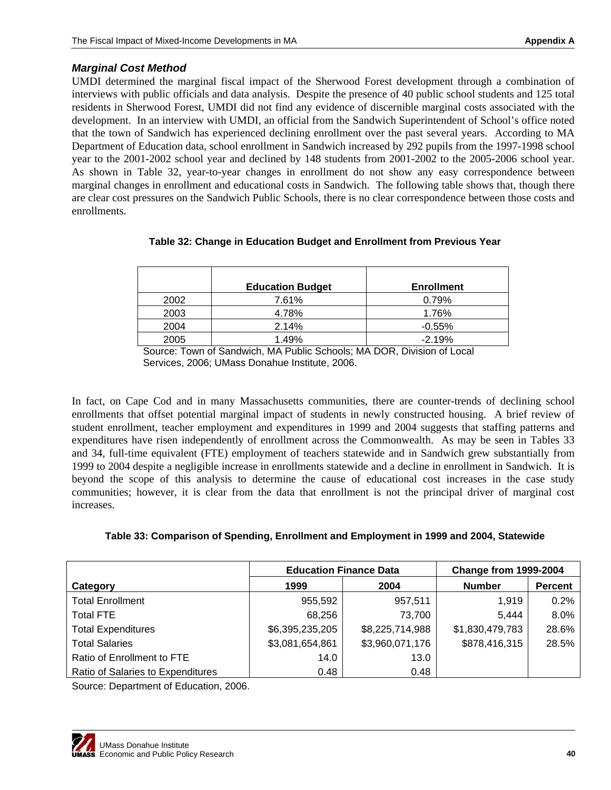### *Marginal Cost Method*

UMDI determined the marginal fiscal impact of the Sherwood Forest development through a combination of interviews with public officials and data analysis. Despite the presence of 40 public school students and 125 total residents in Sherwood Forest, UMDI did not find any evidence of discernible marginal costs associated with the development. In an interview with UMDI, an official from the Sandwich Superintendent of School's office noted that the town of Sandwich has experienced declining enrollment over the past several years. According to MA Department of Education data, school enrollment in Sandwich increased by 292 pupils from the 1997-1998 school year to the 2001-2002 school year and declined by 148 students from 2001-2002 to the 2005-2006 school year. As shown in Table 32, year-to-year changes in enrollment do not show any easy correspondence between marginal changes in enrollment and educational costs in Sandwich. The following table shows that, though there are clear cost pressures on the Sandwich Public Schools, there is no clear correspondence between those costs and enrollments.

|      | <b>Education Budget</b> | <b>Enrollment</b> |
|------|-------------------------|-------------------|
| 2002 | 7.61%                   | 0.79%             |
| 2003 | 4.78%                   | 1.76%             |
| 2004 | 2.14%                   | $-0.55%$          |
| 2005 | 1.49%                   | $-2.19%$          |

### **Table 32: Change in Education Budget and Enrollment from Previous Year**

Source: Town of Sandwich, MA Public Schools; MA DOR, Division of Local Services, 2006; UMass Donahue Institute, 2006.

In fact, on Cape Cod and in many Massachusetts communities, there are counter-trends of declining school enrollments that offset potential marginal impact of students in newly constructed housing. A brief review of student enrollment, teacher employment and expenditures in 1999 and 2004 suggests that staffing patterns and expenditures have risen independently of enrollment across the Commonwealth. As may be seen in Tables 33 and 34, full-time equivalent (FTE) employment of teachers statewide and in Sandwich grew substantially from 1999 to 2004 despite a negligible increase in enrollments statewide and a decline in enrollment in Sandwich. It is beyond the scope of this analysis to determine the cause of educational cost increases in the case study communities; however, it is clear from the data that enrollment is not the principal driver of marginal cost increases.

| Table 33: Comparison of Spending, Enrollment and Employment in 1999 and 2004, Statewide |
|-----------------------------------------------------------------------------------------|
|-----------------------------------------------------------------------------------------|

|                                   | <b>Education Finance Data</b> |                 | <b>Change from 1999-2004</b> |                |
|-----------------------------------|-------------------------------|-----------------|------------------------------|----------------|
| Category                          | 1999                          | 2004            | <b>Number</b>                | <b>Percent</b> |
| <b>Total Enrollment</b>           | 955,592                       | 957,511         | 1.919                        | 0.2%           |
| <b>Total FTE</b>                  | 68,256                        | 73,700          | 5,444                        | 8.0%           |
| <b>Total Expenditures</b>         | \$6,395,235,205               | \$8,225,714,988 | \$1,830,479,783              | 28.6%          |
| <b>Total Salaries</b>             | \$3,081,654,861               | \$3,960,071,176 | \$878,416,315                | 28.5%          |
| Ratio of Enrollment to FTE        | 14.0                          | 13.0            |                              |                |
| Ratio of Salaries to Expenditures | 0.48                          | 0.48            |                              |                |

Source: Department of Education, 2006.

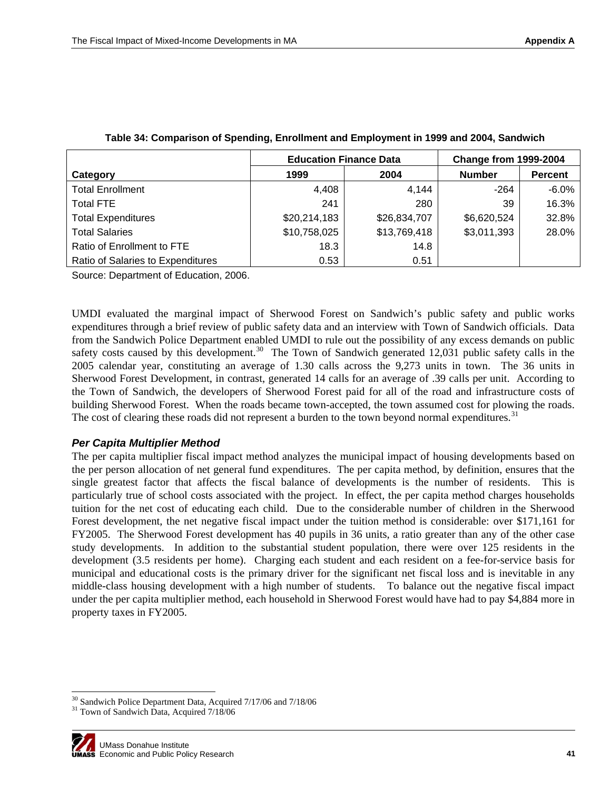|                                   | <b>Education Finance Data</b> |              | <b>Change from 1999-2004</b> |                |  |
|-----------------------------------|-------------------------------|--------------|------------------------------|----------------|--|
| Category                          | 1999                          | 2004         | <b>Number</b>                | <b>Percent</b> |  |
| <b>Total Enrollment</b>           | 4,408                         | 4,144        | -264                         | $-6.0%$        |  |
| <b>Total FTE</b>                  | 241                           | 280          | 39                           | 16.3%          |  |
| <b>Total Expenditures</b>         | \$20,214,183                  | \$26,834,707 | \$6,620,524                  | 32.8%          |  |
| <b>Total Salaries</b>             | \$10,758,025                  | \$13,769,418 | \$3,011,393                  | 28.0%          |  |
| Ratio of Enrollment to FTE        | 18.3                          | 14.8         |                              |                |  |
| Ratio of Salaries to Expenditures | 0.53                          | 0.51         |                              |                |  |

#### **Table 34: Comparison of Spending, Enrollment and Employment in 1999 and 2004, Sandwich**

Source: Department of Education, 2006.

UMDI evaluated the marginal impact of Sherwood Forest on Sandwich's public safety and public works expenditures through a brief review of public safety data and an interview with Town of Sandwich officials. Data from the Sandwich Police Department enabled UMDI to rule out the possibility of any excess demands on public safety costs caused by this development.<sup>[30](#page-42-0)</sup> The Town of Sandwich generated 12,031 public safety calls in the 2005 calendar year, constituting an average of 1.30 calls across the 9,273 units in town. The 36 units in Sherwood Forest Development, in contrast, generated 14 calls for an average of .39 calls per unit. According to the Town of Sandwich, the developers of Sherwood Forest paid for all of the road and infrastructure costs of building Sherwood Forest. When the roads became town-accepted, the town assumed cost for plowing the roads. The cost of clearing these roads did not represent a burden to the town beyond normal expenditures.<sup>[3](#page-42-1)1</sup>

#### *Per Capita Multiplier Method*

The per capita multiplier fiscal impact method analyzes the municipal impact of housing developments based on the per person allocation of net general fund expenditures. The per capita method, by definition, ensures that the single greatest factor that affects the fiscal balance of developments is the number of residents. This is particularly true of school costs associated with the project. In effect, the per capita method charges households tuition for the net cost of educating each child. Due to the considerable number of children in the Sherwood Forest development, the net negative fiscal impact under the tuition method is considerable: over \$171,161 for FY2005. The Sherwood Forest development has 40 pupils in 36 units, a ratio greater than any of the other case study developments. In addition to the substantial student population, there were over 125 residents in the development (3.5 residents per home). Charging each student and each resident on a fee-for-service basis for municipal and educational costs is the primary driver for the significant net fiscal loss and is inevitable in any middle-class housing development with a high number of students. To balance out the negative fiscal impact under the per capita multiplier method, each household in Sherwood Forest would have had to pay \$4,884 more in property taxes in FY2005.

<span id="page-42-1"></span>

-

<span id="page-42-0"></span> $30$  Sandwich Police Department Data, Acquired 7/17/06 and 7/18/06<br>31 Town of Sandwich Data, Acquired 7/18/06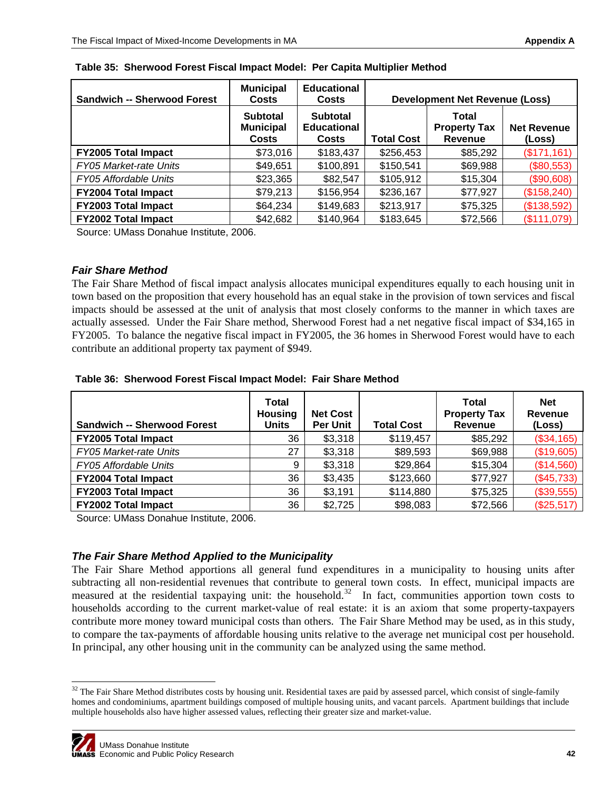| <b>Sandwich -- Sherwood Forest</b> | <b>Municipal</b><br><b>Costs</b>                    | <b>Educational</b><br>Costs                    |                   | <b>Development Net Revenue (Loss)</b>   |                              |
|------------------------------------|-----------------------------------------------------|------------------------------------------------|-------------------|-----------------------------------------|------------------------------|
|                                    | <b>Subtotal</b><br><b>Municipal</b><br><b>Costs</b> | <b>Subtotal</b><br><b>Educational</b><br>Costs | <b>Total Cost</b> | Total<br><b>Property Tax</b><br>Revenue | <b>Net Revenue</b><br>(Loss) |
| <b>FY2005 Total Impact</b>         | \$73,016                                            | \$183,437                                      | \$256,453         | \$85,292                                | (\$171,161)                  |
| <b>FY05 Market-rate Units</b>      | \$49,651                                            | \$100,891                                      | \$150,541         | \$69,988                                | (\$80,553)                   |
| <b>FY05 Affordable Units</b>       | \$23,365                                            | \$82,547                                       | \$105,912         | \$15,304                                | (\$90,608)                   |
| <b>FY2004 Total Impact</b>         | \$79,213                                            | \$156,954                                      | \$236,167         | \$77,927                                | (\$158,240)                  |
| <b>FY2003 Total Impact</b>         | \$64,234                                            | \$149,683                                      | \$213,917         | \$75,325                                | (\$138,592)                  |
| <b>FY2002 Total Impact</b>         | \$42,682                                            | \$140,964                                      | \$183,645         | \$72,566                                | (\$111,079)                  |

**Table 35: Sherwood Forest Fiscal Impact Model: Per Capita Multiplier Method**

Source: UMass Donahue Institute, 2006.

#### *Fair Share Method*

The Fair Share Method of fiscal impact analysis allocates municipal expenditures equally to each housing unit in town based on the proposition that every household has an equal stake in the provision of town services and fiscal impacts should be assessed at the unit of analysis that most closely conforms to the manner in which taxes are actually assessed. Under the Fair Share method, Sherwood Forest had a net negative fiscal impact of \$34,165 in FY2005. To balance the negative fiscal impact in FY2005, the 36 homes in Sherwood Forest would have to each contribute an additional property tax payment of \$949.

| Table 36: Sherwood Forest Fiscal Impact Model: Fair Share Method |
|------------------------------------------------------------------|
|------------------------------------------------------------------|

| <b>Sandwich -- Sherwood Forest</b> | Total<br><b>Housing</b><br>Units | <b>Net Cost</b><br><b>Per Unit</b> | <b>Total Cost</b> | Total<br><b>Property Tax</b><br>Revenue | <b>Net</b><br><b>Revenue</b><br>(Loss) |
|------------------------------------|----------------------------------|------------------------------------|-------------------|-----------------------------------------|----------------------------------------|
| <b>FY2005 Total Impact</b>         | 36                               | \$3,318                            | \$119,457         | \$85,292                                | (\$34,165)                             |
| FY05 Market-rate Units             | 27                               | \$3,318                            | \$89,593          | \$69,988                                | (\$19,605)                             |
| FY05 Affordable Units              | 9                                | \$3,318                            | \$29,864          | \$15,304                                | (\$14,560)                             |
| <b>FY2004 Total Impact</b>         | 36                               | \$3,435                            | \$123,660         | \$77,927                                | (\$45,733)                             |
| <b>FY2003 Total Impact</b>         | 36                               | \$3,191                            | \$114,880         | \$75,325                                | (\$39,555)                             |
| <b>FY2002 Total Impact</b>         | 36                               | \$2,725                            | \$98,083          | \$72,566                                | (\$25,517)                             |

Source: UMass Donahue Institute, 2006.

#### *The Fair Share Method Applied to the Municipality*

The Fair Share Method apportions all general fund expenditures in a municipality to housing units after subtracting all non-residential revenues that contribute to general town costs. In effect, municipal impacts are measured at the residential taxpaying unit: the household.<sup>[32](#page-43-0)</sup> In fact, communities apportion town costs to households according to the current market-value of real estate: it is an axiom that some property-taxpayers contribute more money toward municipal costs than others. The Fair Share Method may be used, as in this study, to compare the tax-payments of affordable housing units relative to the average net municipal cost per household. In principal, any other housing unit in the community can be analyzed using the same method.

<span id="page-43-0"></span>l  $32$  The Fair Share Method distributes costs by housing unit. Residential taxes are paid by assessed parcel, which consist of single-family homes and condominiums, apartment buildings composed of multiple housing units, and vacant parcels. Apartment buildings that include multiple households also have higher assessed values, reflecting their greater size and market-value.

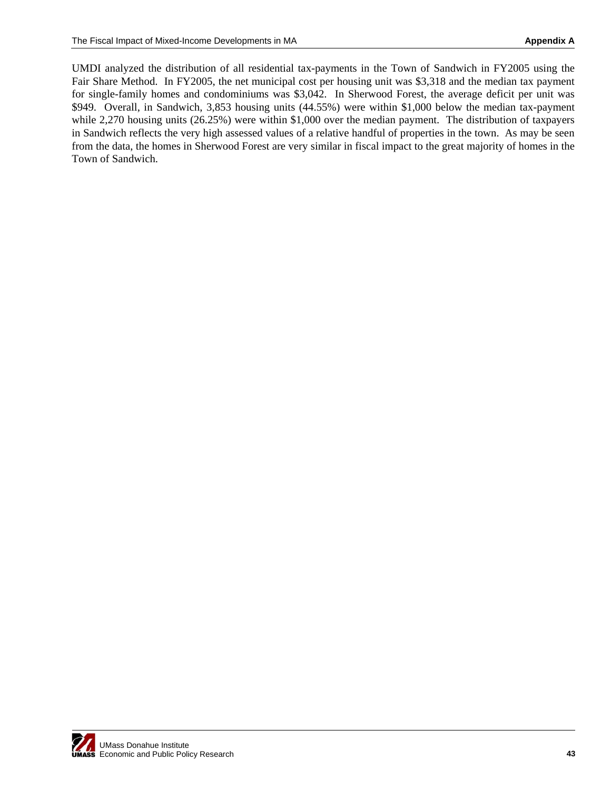UMDI analyzed the distribution of all residential tax-payments in the Town of Sandwich in FY2005 using the Fair Share Method. In FY2005, the net municipal cost per housing unit was \$3,318 and the median tax payment for single-family homes and condominiums was \$3,042. In Sherwood Forest, the average deficit per unit was \$949. Overall, in Sandwich, 3,853 housing units (44.55%) were within \$1,000 below the median tax-payment while 2,270 housing units (26.25%) were within \$1,000 over the median payment. The distribution of taxpayers in Sandwich reflects the very high assessed values of a relative handful of properties in the town. As may be seen from the data, the homes in Sherwood Forest are very similar in fiscal impact to the great majority of homes in the Town of Sandwich.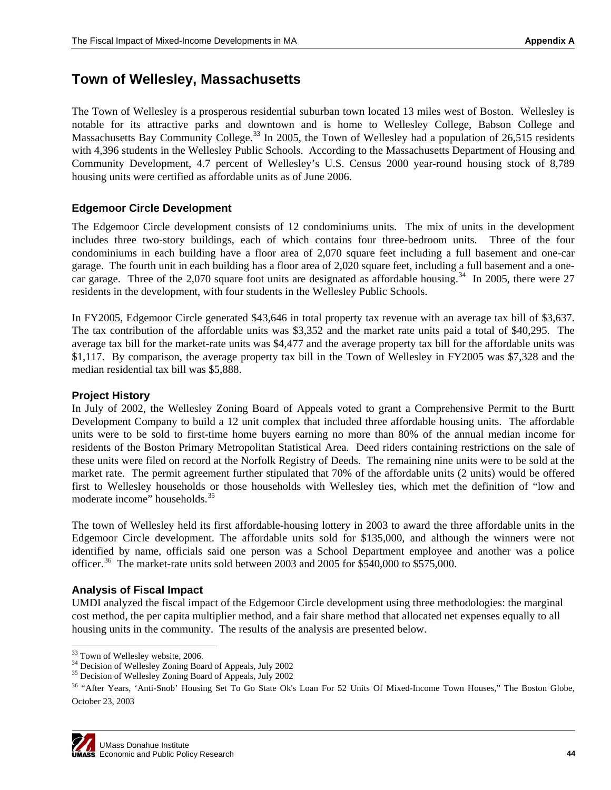## <span id="page-45-0"></span>**Town of Wellesley, Massachusetts**

The Town of Wellesley is a prosperous residential suburban town located 13 miles west of Boston. Wellesley is notable for its attractive parks and downtown and is home to Wellesley College, Babson College and Massachusetts Bay Community College.<sup>[3](#page-45-1)3</sup> In 2005, the Town of Wellesley had a population of 26,515 residents with 4,396 students in the Wellesley Public Schools. According to the Massachusetts Department of Housing and Community Development, 4.7 percent of Wellesley's U.S. Census 2000 year-round housing stock of 8,789 housing units were certified as affordable units as of June 2006.

### **Edgemoor Circle Development**

The Edgemoor Circle development consists of 12 condominiums units. The mix of units in the development includes three two-story buildings, each of which contains four three-bedroom units. Three of the four condominiums in each building have a floor area of 2,070 square feet including a full basement and one-car garage. The fourth unit in each building has a floor area of 2,020 square feet, including a full basement and a one-car garage. Three of the 2,070 square foot units are designated as affordable housing.<sup>[3](#page-45-2)4</sup> In 2005, there were 27 residents in the development, with four students in the Wellesley Public Schools.

In FY2005, Edgemoor Circle generated \$43,646 in total property tax revenue with an average tax bill of \$3,637. The tax contribution of the affordable units was \$3,352 and the market rate units paid a total of \$40,295. The average tax bill for the market-rate units was \$4,477 and the average property tax bill for the affordable units was \$1,117. By comparison, the average property tax bill in the Town of Wellesley in FY2005 was \$7,328 and the median residential tax bill was \$5,888.

#### **Project History**

In July of 2002, the Wellesley Zoning Board of Appeals voted to grant a Comprehensive Permit to the Burtt Development Company to build a 12 unit complex that included three affordable housing units. The affordable units were to be sold to first-time home buyers earning no more than 80% of the annual median income for residents of the Boston Primary Metropolitan Statistical Area. Deed riders containing restrictions on the sale of these units were filed on record at the Norfolk Registry of Deeds. The remaining nine units were to be sold at the market rate. The permit agreement further stipulated that 70% of the affordable units (2 units) would be offered first to Wellesley households or those households with Wellesley ties, which met the definition of "low and moderate income" households.<sup>[35](#page-45-3)</sup>

The town of Wellesley held its first affordable-housing lottery in 2003 to award the three affordable units in the Edgemoor Circle development. The affordable units sold for \$135,000, and although the winners were not identified by name, officials said one person was a School Department employee and another was a police officer.<sup>[3](#page-45-4)6</sup> The market-rate units sold between 2003 and 2005 for \$540,000 to \$575,000.

#### **Analysis of Fiscal Impact**

UMDI analyzed the fiscal impact of the Edgemoor Circle development using three methodologies: the marginal cost method, the per capita multiplier method, and a fair share method that allocated net expenses equally to all housing units in the community. The results of the analysis are presented below.

<span id="page-45-4"></span><span id="page-45-3"></span><sup>&</sup>lt;sup>36</sup> "After Years, 'Anti-Snob' Housing Set To Go State Ok's Loan For 52 Units Of Mixed-Income Town Houses," The Boston Globe, October 23, 2003



l

<sup>&</sup>lt;sup>33</sup> Town of Wellesley website, 2006.

<span id="page-45-2"></span><span id="page-45-1"></span><sup>&</sup>lt;sup>34</sup> Decision of Wellesley Zoning Board of Appeals, July 2002<br><sup>35</sup> Decision of Wellesley Zoning Board of Appeals, July 2002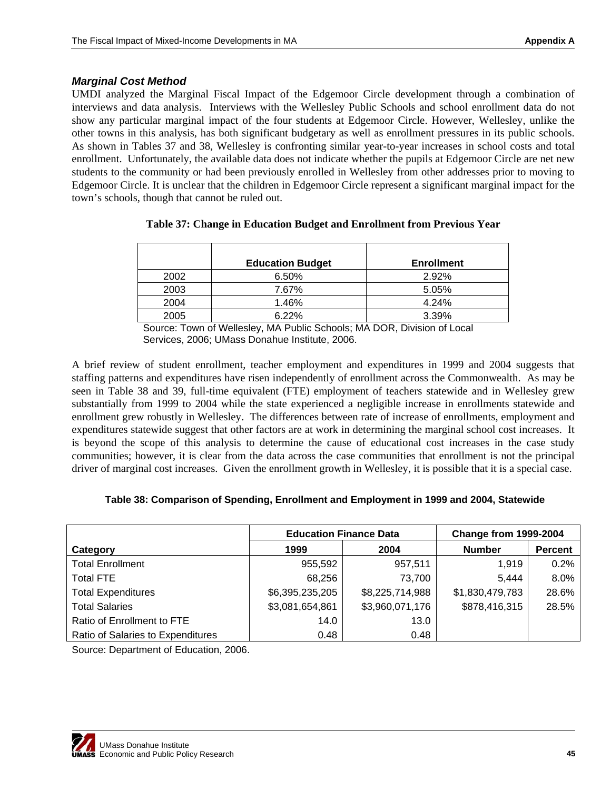### *Marginal Cost Method*

UMDI analyzed the Marginal Fiscal Impact of the Edgemoor Circle development through a combination of interviews and data analysis. Interviews with the Wellesley Public Schools and school enrollment data do not show any particular marginal impact of the four students at Edgemoor Circle. However, Wellesley, unlike the other towns in this analysis, has both significant budgetary as well as enrollment pressures in its public schools. As shown in Tables 37 and 38, Wellesley is confronting similar year-to-year increases in school costs and total enrollment. Unfortunately, the available data does not indicate whether the pupils at Edgemoor Circle are net new students to the community or had been previously enrolled in Wellesley from other addresses prior to moving to Edgemoor Circle. It is unclear that the children in Edgemoor Circle represent a significant marginal impact for the town's schools, though that cannot be ruled out.

|      | <b>Education Budget</b> | <b>Enrollment</b> |
|------|-------------------------|-------------------|
| 2002 | 6.50%                   | 2.92%             |
| 2003 | 7.67%                   | 5.05%             |
| 2004 | 1.46%                   | 4.24%             |
| 2005 | 6.22%                   | 3.39%             |

#### **Table 37: Change in Education Budget and Enrollment from Previous Year**

Source: Town of Wellesley, MA Public Schools; MA DOR, Division of Local Services, 2006; UMass Donahue Institute, 2006.

A brief review of student enrollment, teacher employment and expenditures in 1999 and 2004 suggests that staffing patterns and expenditures have risen independently of enrollment across the Commonwealth. As may be seen in Table 38 and 39, full-time equivalent (FTE) employment of teachers statewide and in Wellesley grew substantially from 1999 to 2004 while the state experienced a negligible increase in enrollments statewide and enrollment grew robustly in Wellesley. The differences between rate of increase of enrollments, employment and expenditures statewide suggest that other factors are at work in determining the marginal school cost increases. It is beyond the scope of this analysis to determine the cause of educational cost increases in the case study communities; however, it is clear from the data across the case communities that enrollment is not the principal driver of marginal cost increases. Given the enrollment growth in Wellesley, it is possible that it is a special case.

#### **Table 38: Comparison of Spending, Enrollment and Employment in 1999 and 2004, Statewide**

|                                   | <b>Education Finance Data</b> |                 | <b>Change from 1999-2004</b> |                |  |
|-----------------------------------|-------------------------------|-----------------|------------------------------|----------------|--|
| Category                          | 1999                          | 2004            | <b>Number</b>                | <b>Percent</b> |  |
| <b>Total Enrollment</b>           | 955,592                       | 957,511         | 1.919                        | 0.2%           |  |
| <b>Total FTE</b>                  | 68,256                        | 73,700          | 5,444                        | 8.0%           |  |
| <b>Total Expenditures</b>         | \$6,395,235,205               | \$8,225,714,988 | \$1,830,479,783              | 28.6%          |  |
| <b>Total Salaries</b>             | \$3,081,654,861               | \$3,960,071,176 | \$878,416,315                | 28.5%          |  |
| Ratio of Enrollment to FTE        | 14.0                          | 13.0            |                              |                |  |
| Ratio of Salaries to Expenditures | 0.48                          | 0.48            |                              |                |  |

Source: Department of Education, 2006.

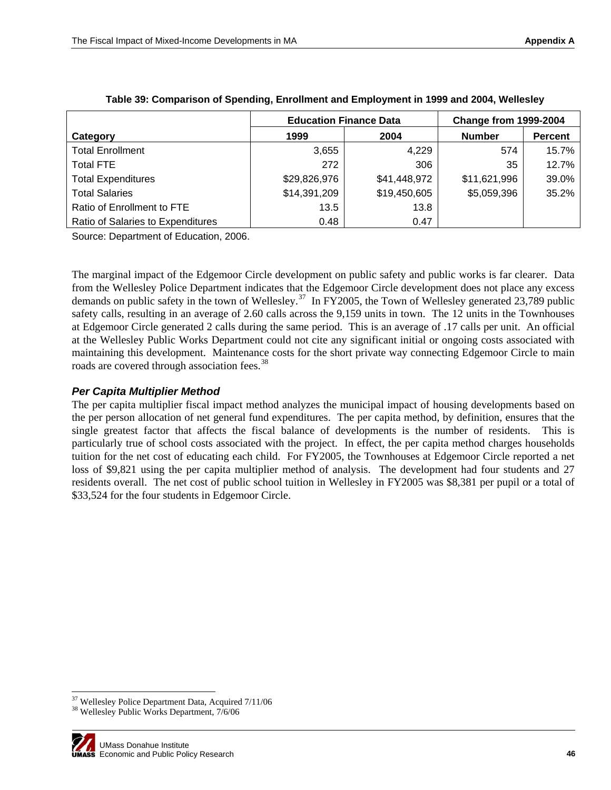|                                   | <b>Education Finance Data</b> |              | <b>Change from 1999-2004</b> |                |  |
|-----------------------------------|-------------------------------|--------------|------------------------------|----------------|--|
| Category                          | 1999                          | 2004         | <b>Number</b>                | <b>Percent</b> |  |
| <b>Total Enrollment</b>           | 3,655                         | 4.229        | 574                          | 15.7%          |  |
| <b>Total FTE</b>                  | 272                           | 306          | 35                           | 12.7%          |  |
| <b>Total Expenditures</b>         | \$29,826,976                  | \$41,448,972 | \$11,621,996                 | 39.0%          |  |
| <b>Total Salaries</b>             | \$14,391,209                  | \$19,450,605 | \$5,059,396                  | 35.2%          |  |
| Ratio of Enrollment to FTE        | 13.5                          | 13.8         |                              |                |  |
| Ratio of Salaries to Expenditures | 0.48                          | 0.47         |                              |                |  |

|  | Table 39: Comparison of Spending, Enrollment and Employment in 1999 and 2004, Wellesley |  |  |
|--|-----------------------------------------------------------------------------------------|--|--|
|--|-----------------------------------------------------------------------------------------|--|--|

Source: Department of Education, 2006.

The marginal impact of the Edgemoor Circle development on public safety and public works is far clearer. Data from the Wellesley Police Department indicates that the Edgemoor Circle development does not place any excess demands on public safety in the town of Wellesley.<sup>[37](#page-47-0)</sup> In FY2005, the Town of Wellesley generated 23,789 public safety calls, resulting in an average of 2.60 calls across the 9,159 units in town. The 12 units in the Townhouses at Edgemoor Circle generated 2 calls during the same period. This is an average of .17 calls per unit. An official at the Wellesley Public Works Department could not cite any significant initial or ongoing costs associated with maintaining this development. Maintenance costs for the short private way connecting Edgemoor Circle to main roads are covered through association fees.<sup>[3](#page-47-1)8</sup>

### *Per Capita Multiplier Method*

The per capita multiplier fiscal impact method analyzes the municipal impact of housing developments based on the per person allocation of net general fund expenditures. The per capita method, by definition, ensures that the single greatest factor that affects the fiscal balance of developments is the number of residents. This is particularly true of school costs associated with the project. In effect, the per capita method charges households tuition for the net cost of educating each child. For FY2005, the Townhouses at Edgemoor Circle reported a net loss of \$9,821 using the per capita multiplier method of analysis. The development had four students and 27 residents overall. The net cost of public school tuition in Wellesley in FY2005 was \$8,381 per pupil or a total of \$33,524 for the four students in Edgemoor Circle.

<span id="page-47-1"></span><span id="page-47-0"></span>

 $\overline{\phantom{a}}$ 

<sup>&</sup>lt;sup>37</sup> Wellesley Police Department Data, Acquired  $7/11/06$ <br><sup>38</sup> Wellesley Public Works Department,  $7/6/06$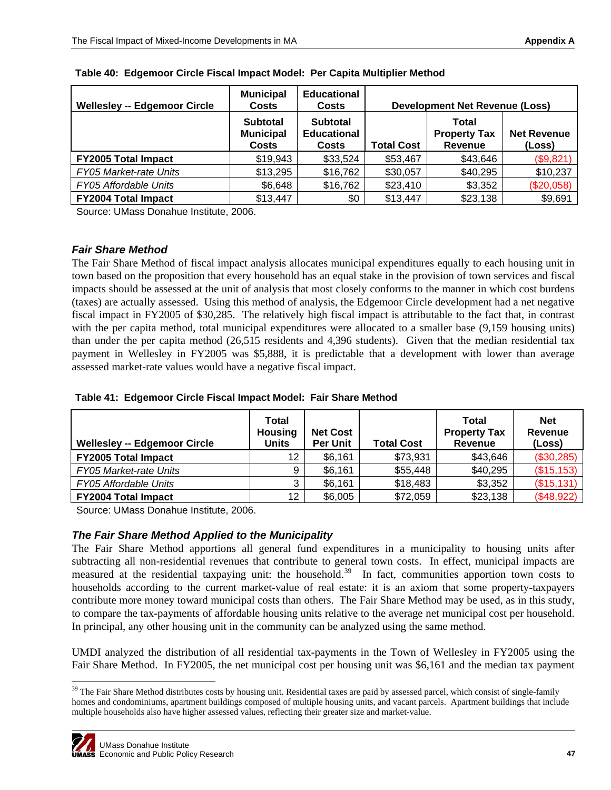| <b>Wellesley -- Edgemoor Circle</b> | <b>Municipal</b><br><b>Costs</b>                    | <b>Educational</b><br><b>Costs</b>             |                   | <b>Development Net Revenue (Loss)</b>   |                              |
|-------------------------------------|-----------------------------------------------------|------------------------------------------------|-------------------|-----------------------------------------|------------------------------|
|                                     | <b>Subtotal</b><br><b>Municipal</b><br><b>Costs</b> | <b>Subtotal</b><br><b>Educational</b><br>Costs | <b>Total Cost</b> | Total<br><b>Property Tax</b><br>Revenue | <b>Net Revenue</b><br>(Loss) |
| <b>FY2005 Total Impact</b>          | \$19,943                                            | \$33,524                                       | \$53,467          | \$43,646                                | (\$9,821)                    |
| FY05 Market-rate Units              | \$13,295                                            | \$16,762                                       | \$30,057          | \$40,295                                | \$10,237                     |
| <b>FY05 Affordable Units</b>        | \$6,648                                             | \$16,762                                       | \$23,410          | \$3,352                                 | (\$20,058)                   |
| <b>FY2004 Total Impact</b>          | \$13,447                                            | \$0                                            | \$13,447          | \$23,138                                | \$9,691                      |

|  |  |  | Table 40: Edgemoor Circle Fiscal Impact Model: Per Capita Multiplier Method |  |  |  |
|--|--|--|-----------------------------------------------------------------------------|--|--|--|
|--|--|--|-----------------------------------------------------------------------------|--|--|--|

Source: UMass Donahue Institute, 2006.

#### *Fair Share Method*

The Fair Share Method of fiscal impact analysis allocates municipal expenditures equally to each housing unit in town based on the proposition that every household has an equal stake in the provision of town services and fiscal impacts should be assessed at the unit of analysis that most closely conforms to the manner in which cost burdens (taxes) are actually assessed. Using this method of analysis, the Edgemoor Circle development had a net negative fiscal impact in FY2005 of \$30,285. The relatively high fiscal impact is attributable to the fact that, in contrast with the per capita method, total municipal expenditures were allocated to a smaller base (9,159 housing units) than under the per capita method (26,515 residents and 4,396 students). Given that the median residential tax payment in Wellesley in FY2005 was \$5,888, it is predictable that a development with lower than average assessed market-rate values would have a negative fiscal impact.

|  |  | Table 41: Edgemoor Circle Fiscal Impact Model: Fair Share Method |
|--|--|------------------------------------------------------------------|
|  |  |                                                                  |

| <b>Wellesley -- Edgemoor Circle</b> | <b>Total</b><br><b>Housing</b><br>Units | <b>Net Cost</b><br><b>Per Unit</b> | <b>Total Cost</b> | Total<br><b>Property Tax</b><br><b>Revenue</b> | <b>Net</b><br>Revenue<br>(Loss) |
|-------------------------------------|-----------------------------------------|------------------------------------|-------------------|------------------------------------------------|---------------------------------|
| <b>FY2005 Total Impact</b>          | 12                                      | \$6,161                            | \$73,931          | \$43,646                                       | (\$30,285)                      |
| FY05 Market-rate Units              | 9                                       | \$6,161                            | \$55,448          | \$40,295                                       | (\$15, 153)                     |
| FY05 Affordable Units               | ົ                                       | \$6,161                            | \$18,483          | \$3,352                                        | (\$15, 131)                     |
| <b>FY2004 Total Impact</b>          | 12                                      | \$6,005                            | \$72,059          | \$23,138                                       | (\$48,922)                      |

Source: UMass Donahue Institute, 2006.

#### *The Fair Share Method Applied to the Municipality*

The Fair Share Method apportions all general fund expenditures in a municipality to housing units after subtracting all non-residential revenues that contribute to general town costs. In effect, municipal impacts are measured at the residential taxpaying unit: the household.<sup>[39](#page-48-0)</sup> In fact, communities apportion town costs to households according to the current market-value of real estate: it is an axiom that some property-taxpayers contribute more money toward municipal costs than others. The Fair Share Method may be used, as in this study, to compare the tax-payments of affordable housing units relative to the average net municipal cost per household. In principal, any other housing unit in the community can be analyzed using the same method.

UMDI analyzed the distribution of all residential tax-payments in the Town of Wellesley in FY2005 using the Fair Share Method. In FY2005, the net municipal cost per housing unit was \$6,161 and the median tax payment

<span id="page-48-0"></span> $39$  The Fair Share Method distributes costs by housing unit. Residential taxes are paid by assessed parcel, which consist of single-family homes and condominiums, apartment buildings composed of multiple housing units, and vacant parcels. Apartment buildings that include multiple households also have higher assessed values, reflecting their greater size and market-value.



l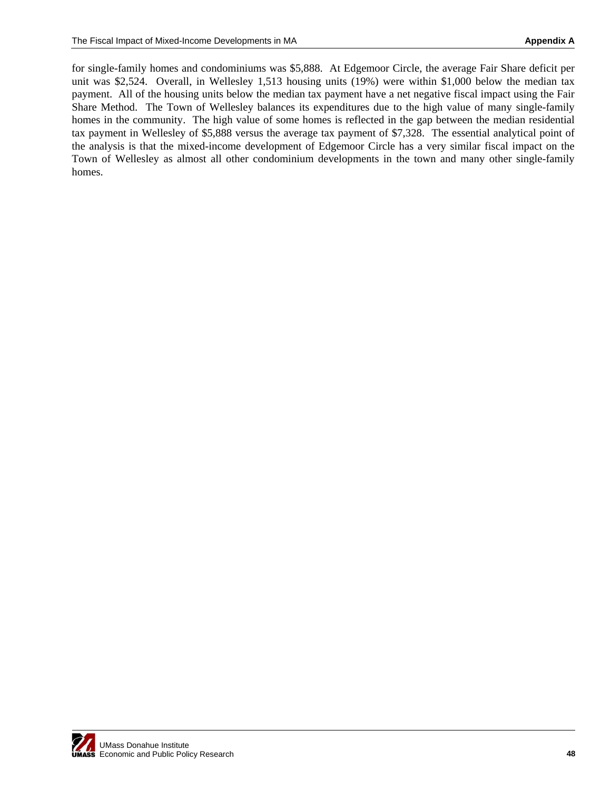for single-family homes and condominiums was \$5,888. At Edgemoor Circle, the average Fair Share deficit per unit was \$2,524. Overall, in Wellesley 1,513 housing units (19%) were within \$1,000 below the median tax payment. All of the housing units below the median tax payment have a net negative fiscal impact using the Fair Share Method. The Town of Wellesley balances its expenditures due to the high value of many single-family homes in the community. The high value of some homes is reflected in the gap between the median residential tax payment in Wellesley of \$5,888 versus the average tax payment of \$7,328. The essential analytical point of the analysis is that the mixed-income development of Edgemoor Circle has a very similar fiscal impact on the Town of Wellesley as almost all other condominium developments in the town and many other single-family homes.

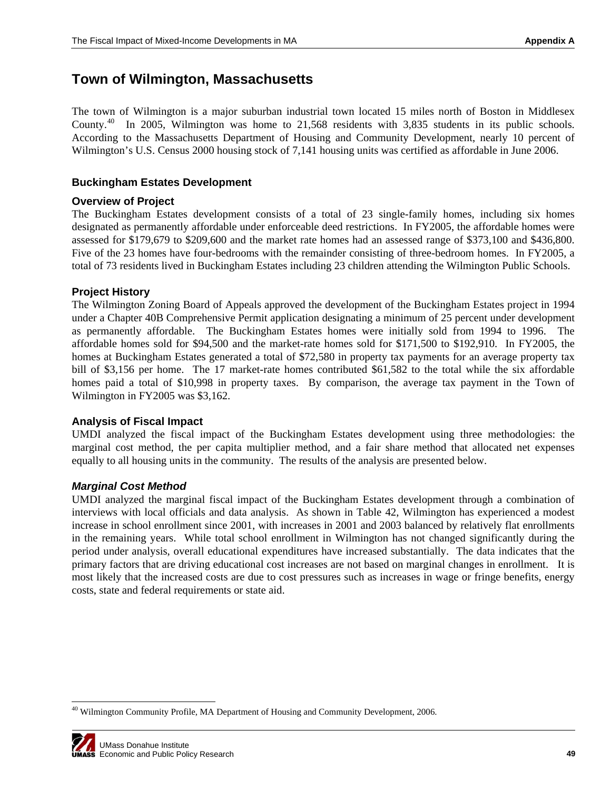## <span id="page-50-0"></span>**Town of Wilmington, Massachusetts**

The town of Wilmington is a major suburban industrial town located 15 miles north of Boston in Middlesex County.<sup>[4](#page-50-1)0</sup> In 2005, Wilmington was home to 21,568 residents with 3,835 students in its public schools. According to the Massachusetts Department of Housing and Community Development, nearly 10 percent of Wilmington's U.S. Census 2000 housing stock of 7,141 housing units was certified as affordable in June 2006.

#### **Buckingham Estates Development**

#### **Overview of Project**

The Buckingham Estates development consists of a total of 23 single-family homes, including six homes designated as permanently affordable under enforceable deed restrictions. In FY2005, the affordable homes were assessed for \$179,679 to \$209,600 and the market rate homes had an assessed range of \$373,100 and \$436,800. Five of the 23 homes have four-bedrooms with the remainder consisting of three-bedroom homes. In FY2005, a total of 73 residents lived in Buckingham Estates including 23 children attending the Wilmington Public Schools.

#### **Project History**

The Wilmington Zoning Board of Appeals approved the development of the Buckingham Estates project in 1994 under a Chapter 40B Comprehensive Permit application designating a minimum of 25 percent under development as permanently affordable. The Buckingham Estates homes were initially sold from 1994 to 1996. The affordable homes sold for \$94,500 and the market-rate homes sold for \$171,500 to \$192,910. In FY2005, the homes at Buckingham Estates generated a total of \$72,580 in property tax payments for an average property tax bill of \$3,156 per home. The 17 market-rate homes contributed \$61,582 to the total while the six affordable homes paid a total of \$10,998 in property taxes. By comparison, the average tax payment in the Town of Wilmington in FY2005 was \$3,162.

#### **Analysis of Fiscal Impact**

UMDI analyzed the fiscal impact of the Buckingham Estates development using three methodologies: the marginal cost method, the per capita multiplier method, and a fair share method that allocated net expenses equally to all housing units in the community. The results of the analysis are presented below.

#### *Marginal Cost Method*

UMDI analyzed the marginal fiscal impact of the Buckingham Estates development through a combination of interviews with local officials and data analysis. As shown in Table 42, Wilmington has experienced a modest increase in school enrollment since 2001, with increases in 2001 and 2003 balanced by relatively flat enrollments in the remaining years. While total school enrollment in Wilmington has not changed significantly during the period under analysis, overall educational expenditures have increased substantially. The data indicates that the primary factors that are driving educational cost increases are not based on marginal changes in enrollment. It is most likely that the increased costs are due to cost pressures such as increases in wage or fringe benefits, energy costs, state and federal requirements or state aid.

<span id="page-50-1"></span><sup>1</sup> 40 Wilmington Community Profile, MA Department of Housing and Community Development, 2006.

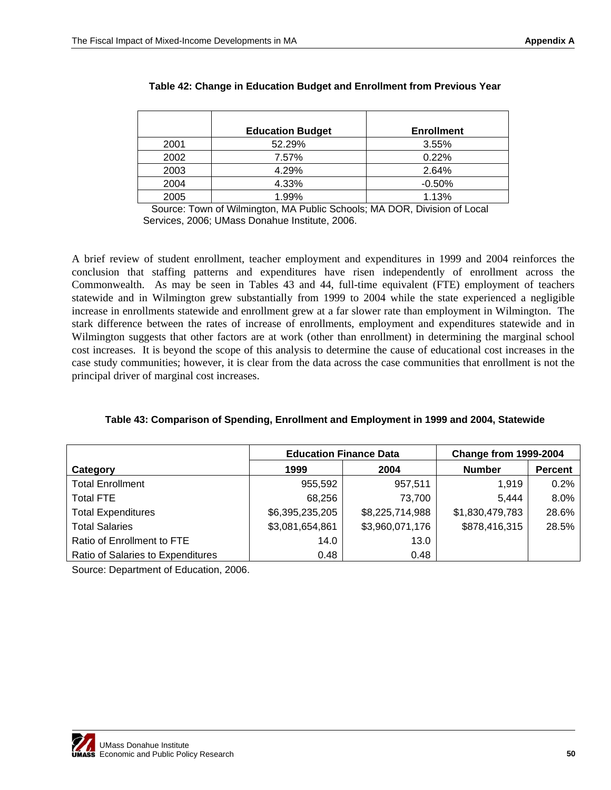|        | <b>Education Budget</b> | <b>Enrollment</b>          |
|--------|-------------------------|----------------------------|
| 2001   | 52.29%                  | 3.55%                      |
| 2002   | 7.57%                   | 0.22%                      |
| 2003   | 4.29%                   | 2.64%                      |
| 2004   | 4.33%                   | $-0.50%$                   |
| 2005   | 1.99%                   | 1.13%                      |
| $\sim$ | . .                     | . .<br>.<br>_ _ _ _<br>--- |

| Table 42: Change in Education Budget and Enrollment from Previous Year |  |  |  |  |  |
|------------------------------------------------------------------------|--|--|--|--|--|
|------------------------------------------------------------------------|--|--|--|--|--|

 Source: Town of Wilmington, MA Public Schools; MA DOR, Division of Local Services, 2006; UMass Donahue Institute, 2006.

A brief review of student enrollment, teacher employment and expenditures in 1999 and 2004 reinforces the conclusion that staffing patterns and expenditures have risen independently of enrollment across the Commonwealth. As may be seen in Tables 43 and 44, full-time equivalent (FTE) employment of teachers statewide and in Wilmington grew substantially from 1999 to 2004 while the state experienced a negligible increase in enrollments statewide and enrollment grew at a far slower rate than employment in Wilmington. The stark difference between the rates of increase of enrollments, employment and expenditures statewide and in Wilmington suggests that other factors are at work (other than enrollment) in determining the marginal school cost increases. It is beyond the scope of this analysis to determine the cause of educational cost increases in the case study communities; however, it is clear from the data across the case communities that enrollment is not the principal driver of marginal cost increases.

|                                   | <b>Education Finance Data</b> |                 | <b>Change from 1999-2004</b> |                |
|-----------------------------------|-------------------------------|-----------------|------------------------------|----------------|
| Category                          | 1999                          | 2004            | <b>Number</b>                | <b>Percent</b> |
| <b>Total Enrollment</b>           | 955,592                       | 957,511         | 1.919                        | 0.2%           |
| <b>Total FTE</b>                  | 68,256                        | 73,700          | 5,444                        | 8.0%           |
| <b>Total Expenditures</b>         | \$6,395,235,205               | \$8,225,714,988 | \$1,830,479,783              | 28.6%          |
| <b>Total Salaries</b>             | \$3,081,654,861               | \$3,960,071,176 | \$878,416,315                | 28.5%          |
| Ratio of Enrollment to FTE        | 14.0                          | 13.0            |                              |                |
| Ratio of Salaries to Expenditures | 0.48                          | 0.48            |                              |                |

Source: Department of Education, 2006.

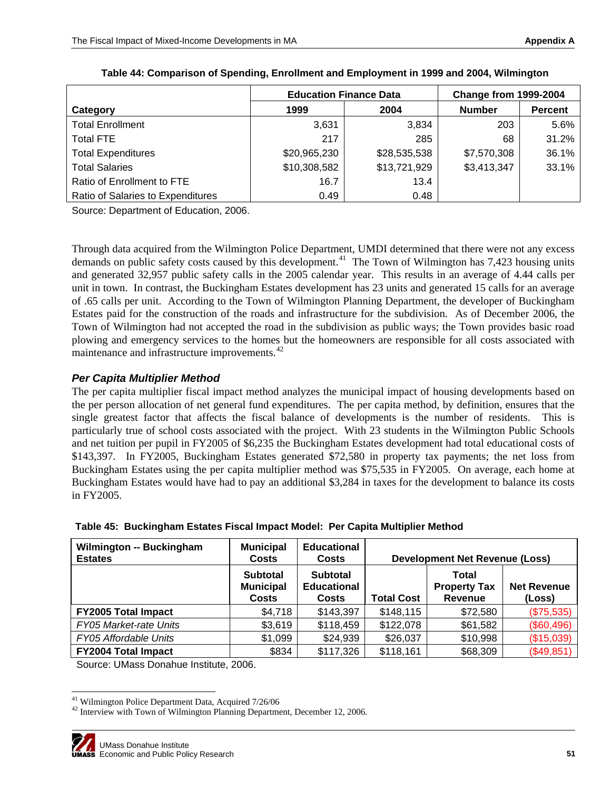|                                   | <b>Education Finance Data</b> |              | <b>Change from 1999-2004</b> |                |  |
|-----------------------------------|-------------------------------|--------------|------------------------------|----------------|--|
| Category                          | 1999                          | 2004         | <b>Number</b>                | <b>Percent</b> |  |
| <b>Total Enrollment</b>           | 3.631                         | 3,834        | 203                          | 5.6%           |  |
| <b>Total FTE</b>                  | 217                           | 285          | 68                           | 31.2%          |  |
| <b>Total Expenditures</b>         | \$20,965,230                  | \$28,535,538 | \$7,570,308                  | 36.1%          |  |
| <b>Total Salaries</b>             | \$10,308,582                  | \$13,721,929 | \$3,413,347                  | 33.1%          |  |
| Ratio of Enrollment to FTE        | 16.7                          | 13.4         |                              |                |  |
| Ratio of Salaries to Expenditures | 0.49                          | 0.48         |                              |                |  |

| Table 44: Comparison of Spending, Enrollment and Employment in 1999 and 2004, Wilmington |  |  |
|------------------------------------------------------------------------------------------|--|--|
|------------------------------------------------------------------------------------------|--|--|

Source: Department of Education, 2006.

Through data acquired from the Wilmington Police Department, UMDI determined that there were not any excess demands on public safety costs caused by this development.<sup>[4](#page-52-0)1</sup> The Town of Wilmington has 7,423 housing units and generated 32,957 public safety calls in the 2005 calendar year. This results in an average of 4.44 calls per unit in town. In contrast, the Buckingham Estates development has 23 units and generated 15 calls for an average of .65 calls per unit. According to the Town of Wilmington Planning Department, the developer of Buckingham Estates paid for the construction of the roads and infrastructure for the subdivision. As of December 2006, the Town of Wilmington had not accepted the road in the subdivision as public ways; the Town provides basic road plowing and emergency services to the homes but the homeowners are responsible for all costs associated with maintenance and infrastructure improvements.<sup>[42](#page-52-1)</sup>

### *Per Capita Multiplier Method*

The per capita multiplier fiscal impact method analyzes the municipal impact of housing developments based on the per person allocation of net general fund expenditures. The per capita method, by definition, ensures that the single greatest factor that affects the fiscal balance of developments is the number of residents. This is particularly true of school costs associated with the project. With 23 students in the Wilmington Public Schools and net tuition per pupil in FY2005 of \$6,235 the Buckingham Estates development had total educational costs of \$143,397. In FY2005, Buckingham Estates generated \$72,580 in property tax payments; the net loss from Buckingham Estates using the per capita multiplier method was \$75,535 in FY2005. On average, each home at Buckingham Estates would have had to pay an additional \$3,284 in taxes for the development to balance its costs in FY2005.

| <b>Wilmington -- Buckingham</b><br><b>Estates</b> | <b>Municipal</b><br><b>Costs</b>                    | <b>Educational</b><br><b>Costs</b>                    |                   | <b>Development Net Revenue (Loss)</b>          |                              |
|---------------------------------------------------|-----------------------------------------------------|-------------------------------------------------------|-------------------|------------------------------------------------|------------------------------|
|                                                   | <b>Subtotal</b><br><b>Municipal</b><br><b>Costs</b> | <b>Subtotal</b><br><b>Educational</b><br><b>Costs</b> | <b>Total Cost</b> | Total<br><b>Property Tax</b><br><b>Revenue</b> | <b>Net Revenue</b><br>(Loss) |
| <b>FY2005 Total Impact</b>                        | \$4,718                                             | \$143,397                                             | \$148,115         | \$72,580                                       | (\$75,535)                   |
| FY05 Market-rate Units                            | \$3,619                                             | \$118,459                                             | \$122,078         | \$61,582                                       | (\$60,496)                   |
| <b>FY05 Affordable Units</b>                      | \$1,099                                             | \$24,939                                              | \$26,037          | \$10,998                                       | (\$15,039)                   |
| <b>FY2004 Total Impact</b>                        | \$834                                               | \$117,326                                             | \$118,161         | \$68,309                                       | (\$49,851)                   |

**Table 45: Buckingham Estates Fiscal Impact Model: Per Capita Multiplier Method**

Source: UMass Donahue Institute, 2006.

<span id="page-52-1"></span><span id="page-52-0"></span><sup>&</sup>lt;sup>41</sup> Wilmington Police Department Data, Acquired  $7/26/06$ <br><sup>42</sup> Interview with Town of Wilmington Planning Department, December 12, 2006.



 $\overline{\phantom{a}}$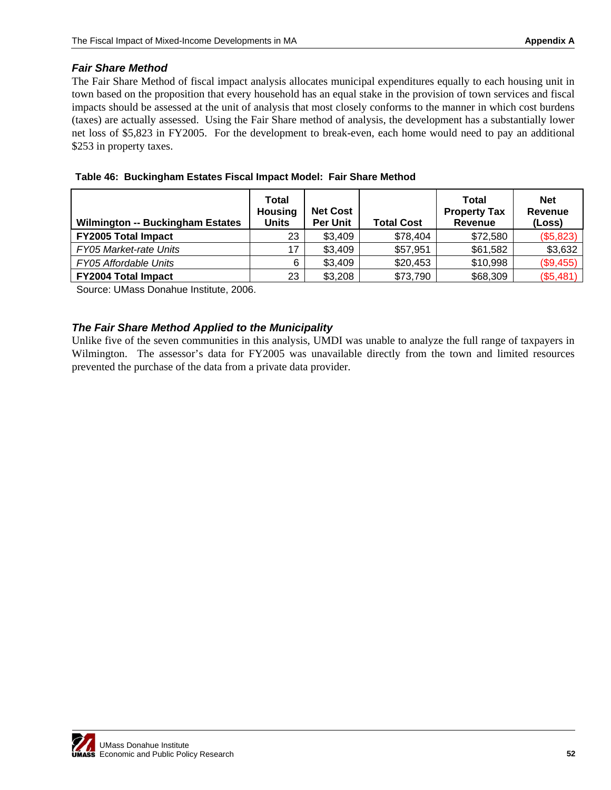### *Fair Share Method*

The Fair Share Method of fiscal impact analysis allocates municipal expenditures equally to each housing unit in town based on the proposition that every household has an equal stake in the provision of town services and fiscal impacts should be assessed at the unit of analysis that most closely conforms to the manner in which cost burdens (taxes) are actually assessed. Using the Fair Share method of analysis, the development has a substantially lower net loss of \$5,823 in FY2005. For the development to break-even, each home would need to pay an additional \$253 in property taxes.

| Table 46: Buckingham Estates Fiscal Impact Model: Fair Share Method |  |  |  |
|---------------------------------------------------------------------|--|--|--|
|                                                                     |  |  |  |
|                                                                     |  |  |  |

| <b>Wilmington -- Buckingham Estates</b> | Total<br><b>Housing</b><br><b>Units</b> | <b>Net Cost</b><br><b>Per Unit</b> | <b>Total Cost</b> | Total<br><b>Property Tax</b><br>Revenue | <b>Net</b><br><b>Revenue</b><br>(Loss) |
|-----------------------------------------|-----------------------------------------|------------------------------------|-------------------|-----------------------------------------|----------------------------------------|
| <b>FY2005 Total Impact</b>              | 23                                      | \$3,409                            | \$78,404          | \$72,580                                | (\$5,823)                              |
| FY05 Market-rate Units                  | 17                                      | \$3,409                            | \$57,951          | \$61,582                                | \$3,632                                |
| <b>FY05 Affordable Units</b>            | 6                                       | \$3,409                            | \$20,453          | \$10,998                                | (\$9,455)                              |
| <b>FY2004 Total Impact</b>              | 23                                      | \$3,208                            | \$73,790          | \$68,309                                | (\$5,481)                              |

Source: UMass Donahue Institute, 2006.

### *The Fair Share Method Applied to the Municipality*

Unlike five of the seven communities in this analysis, UMDI was unable to analyze the full range of taxpayers in Wilmington. The assessor's data for FY2005 was unavailable directly from the town and limited resources prevented the purchase of the data from a private data provider.

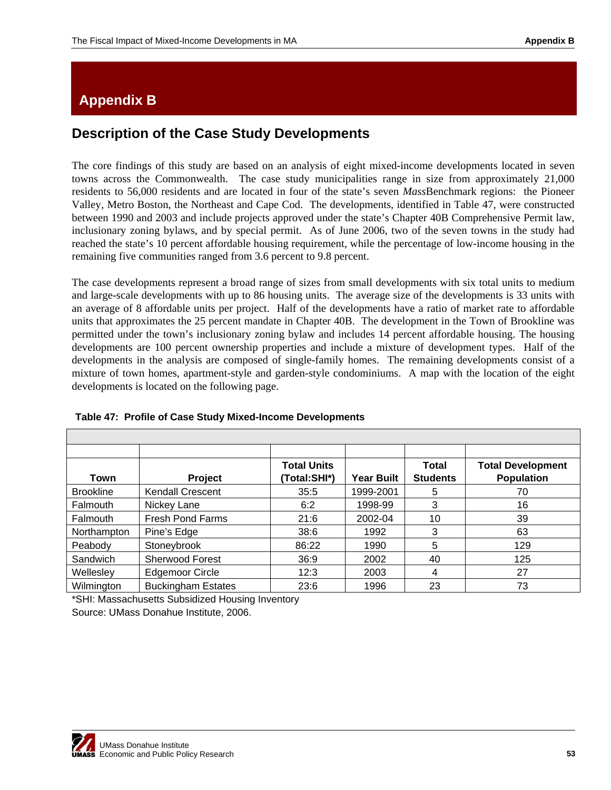# <span id="page-54-0"></span>**Appendix B**

## **Description of the Case Study Developments**

The core findings of this study are based on an analysis of eight mixed-income developments located in seven towns across the Commonwealth. The case study municipalities range in size from approximately 21,000 residents to 56,000 residents and are located in four of the state's seven *Mass*Benchmark regions: the Pioneer Valley, Metro Boston, the Northeast and Cape Cod. The developments, identified in Table 47, were constructed between 1990 and 2003 and include projects approved under the state's Chapter 40B Comprehensive Permit law, inclusionary zoning bylaws, and by special permit. As of June 2006, two of the seven towns in the study had reached the state's 10 percent affordable housing requirement, while the percentage of low-income housing in the remaining five communities ranged from 3.6 percent to 9.8 percent.

The case developments represent a broad range of sizes from small developments with six total units to medium and large-scale developments with up to 86 housing units. The average size of the developments is 33 units with an average of 8 affordable units per project. Half of the developments have a ratio of market rate to affordable units that approximates the 25 percent mandate in Chapter 40B. The development in the Town of Brookline was permitted under the town's inclusionary zoning bylaw and includes 14 percent affordable housing. The housing developments are 100 percent ownership properties and include a mixture of development types. Half of the developments in the analysis are composed of single-family homes. The remaining developments consist of a mixture of town homes, apartment-style and garden-style condominiums. A map with the location of the eight developments is located on the following page.

|                  |                           | <b>Total Units</b> |                   | <b>Total</b>    | <b>Total Development</b> |
|------------------|---------------------------|--------------------|-------------------|-----------------|--------------------------|
| <b>Town</b>      | Project                   | (Total:SHI*)       | <b>Year Built</b> | <b>Students</b> | <b>Population</b>        |
| <b>Brookline</b> | <b>Kendall Crescent</b>   | 35:5               | 1999-2001         | 5               | 70                       |
| Falmouth         | Nickey Lane               | 6:2                | 1998-99           | 3               | 16                       |
| Falmouth         | <b>Fresh Pond Farms</b>   | 21:6               | 2002-04           | 10              | 39                       |
| Northampton      | Pine's Edge               | 38:6               | 1992              | 3               | 63                       |
| Peabody          | Stoneybrook               | 86:22              | 1990              | 5               | 129                      |
| Sandwich         | Sherwood Forest           | 36:9               | 2002              | 40              | 125                      |
| Wellesley        | <b>Edgemoor Circle</b>    | 12:3               | 2003              | 4               | 27                       |
| Wilmington       | <b>Buckingham Estates</b> | 23:6               | 1996              | 23              | 73                       |

#### **Table 47: Profile of Case Study Mixed-Income Developments**

\*SHI: Massachusetts Subsidized Housing Inventory

Source: UMass Donahue Institute, 2006.

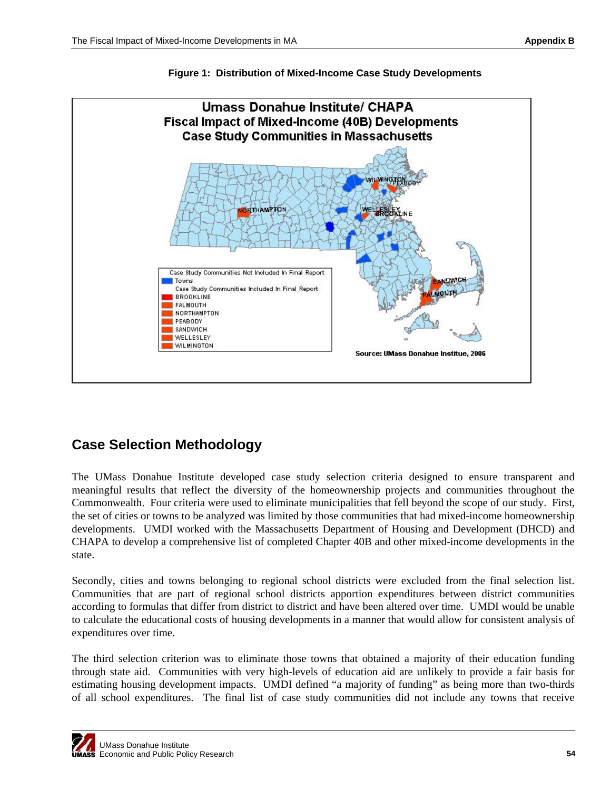<span id="page-55-0"></span>



# **Case Selection Methodology**

The UMass Donahue Institute developed case study selection criteria designed to ensure transparent and meaningful results that reflect the diversity of the homeownership projects and communities throughout the Commonwealth. Four criteria were used to eliminate municipalities that fell beyond the scope of our study. First, the set of cities or towns to be analyzed was limited by those communities that had mixed-income homeownership developments. UMDI worked with the Massachusetts Department of Housing and Development (DHCD) and CHAPA to develop a comprehensive list of completed Chapter 40B and other mixed-income developments in the state.

Secondly, cities and towns belonging to regional school districts were excluded from the final selection list. Communities that are part of regional school districts apportion expenditures between district communities according to formulas that differ from district to district and have been altered over time. UMDI would be unable to calculate the educational costs of housing developments in a manner that would allow for consistent analysis of expenditures over time.

The third selection criterion was to eliminate those towns that obtained a majority of their education funding through state aid. Communities with very high-levels of education aid are unlikely to provide a fair basis for estimating housing development impacts. UMDI defined "a majority of funding" as being more than two-thirds of all school expenditures. The final list of case study communities did not include any towns that receive

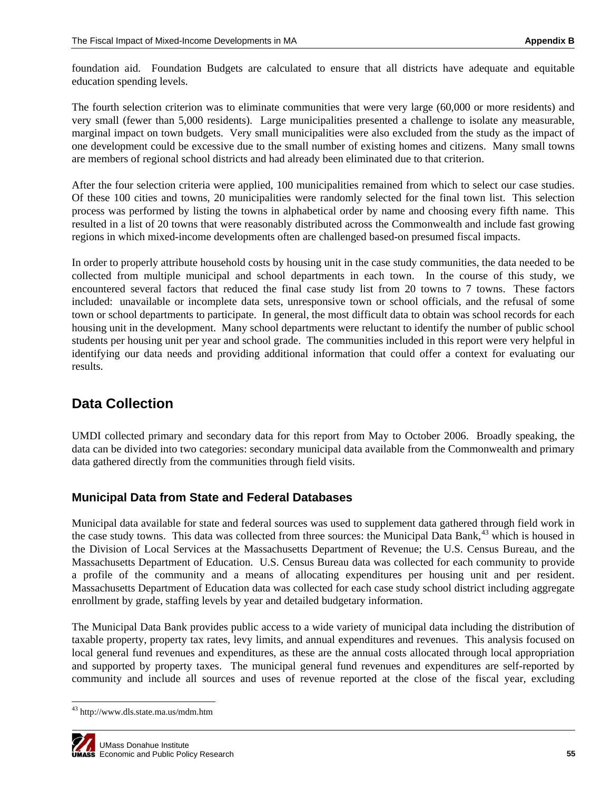<span id="page-56-0"></span>foundation aid. Foundation Budgets are calculated to ensure that all districts have adequate and equitable education spending levels.

The fourth selection criterion was to eliminate communities that were very large (60,000 or more residents) and very small (fewer than 5,000 residents). Large municipalities presented a challenge to isolate any measurable, marginal impact on town budgets. Very small municipalities were also excluded from the study as the impact of one development could be excessive due to the small number of existing homes and citizens. Many small towns are members of regional school districts and had already been eliminated due to that criterion.

After the four selection criteria were applied, 100 municipalities remained from which to select our case studies. Of these 100 cities and towns, 20 municipalities were randomly selected for the final town list. This selection process was performed by listing the towns in alphabetical order by name and choosing every fifth name. This resulted in a list of 20 towns that were reasonably distributed across the Commonwealth and include fast growing regions in which mixed-income developments often are challenged based-on presumed fiscal impacts.

In order to properly attribute household costs by housing unit in the case study communities, the data needed to be collected from multiple municipal and school departments in each town. In the course of this study, we encountered several factors that reduced the final case study list from 20 towns to 7 towns. These factors included: unavailable or incomplete data sets, unresponsive town or school officials, and the refusal of some town or school departments to participate. In general, the most difficult data to obtain was school records for each housing unit in the development. Many school departments were reluctant to identify the number of public school students per housing unit per year and school grade. The communities included in this report were very helpful in identifying our data needs and providing additional information that could offer a context for evaluating our results.

# **Data Collection**

UMDI collected primary and secondary data for this report from May to October 2006. Broadly speaking, the data can be divided into two categories: secondary municipal data available from the Commonwealth and primary data gathered directly from the communities through field visits.

## **Municipal Data from State and Federal Databases**

Municipal data available for state and federal sources was used to supplement data gathered through field work in the case study towns. This data was collected from three sources: the Municipal Data Bank,<sup>[4](#page-56-1)3</sup> which is housed in the Division of Local Services at the Massachusetts Department of Revenue; the U.S. Census Bureau, and the Massachusetts Department of Education. U.S. Census Bureau data was collected for each community to provide a profile of the community and a means of allocating expenditures per housing unit and per resident. Massachusetts Department of Education data was collected for each case study school district including aggregate enrollment by grade, staffing levels by year and detailed budgetary information.

The Municipal Data Bank provides public access to a wide variety of municipal data including the distribution of taxable property, property tax rates, levy limits, and annual expenditures and revenues. This analysis focused on local general fund revenues and expenditures, as these are the annual costs allocated through local appropriation and supported by property taxes. The municipal general fund revenues and expenditures are self-reported by community and include all sources and uses of revenue reported at the close of the fiscal year, excluding

<span id="page-56-1"></span>l 43 http://www.dls.state.ma.us/mdm.htm

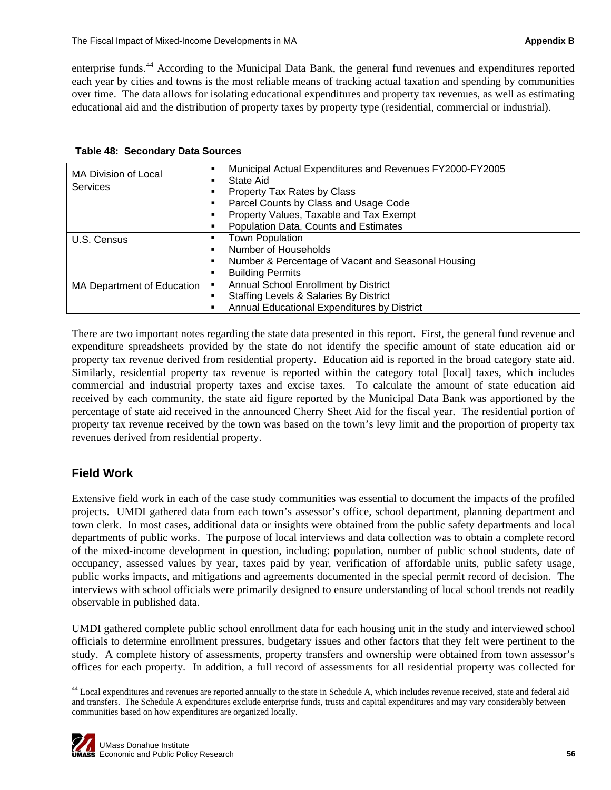enterprise funds.[4](#page-57-0)4 According to the Municipal Data Bank, the general fund revenues and expenditures reported each year by cities and towns is the most reliable means of tracking actual taxation and spending by communities over time. The data allows for isolating educational expenditures and property tax revenues, as well as estimating educational aid and the distribution of property taxes by property type (residential, commercial or industrial).

| MA Division of Local<br><b>Services</b> | Municipal Actual Expenditures and Revenues FY2000-FY2005<br>٠<br>State Aid |
|-----------------------------------------|----------------------------------------------------------------------------|
|                                         | Property Tax Rates by Class<br>٠                                           |
|                                         | Parcel Counts by Class and Usage Code<br>٠                                 |
|                                         | Property Values, Taxable and Tax Exempt<br>٠                               |
|                                         | Population Data, Counts and Estimates                                      |
| U.S. Census                             | <b>Town Population</b><br>٠                                                |
|                                         | Number of Households<br>٠                                                  |
|                                         | Number & Percentage of Vacant and Seasonal Housing<br>٠                    |
|                                         | <b>Building Permits</b><br>٠                                               |
| MA Department of Education              | Annual School Enrollment by District<br>п                                  |
|                                         | <b>Staffing Levels &amp; Salaries By District</b><br>٠                     |
|                                         | Annual Educational Expenditures by District<br>п                           |

|  | Table 48: Secondary Data Sources |  |  |
|--|----------------------------------|--|--|
|--|----------------------------------|--|--|

There are two important notes regarding the state data presented in this report. First, the general fund revenue and expenditure spreadsheets provided by the state do not identify the specific amount of state education aid or property tax revenue derived from residential property. Education aid is reported in the broad category state aid. Similarly, residential property tax revenue is reported within the category total [local] taxes, which includes commercial and industrial property taxes and excise taxes. To calculate the amount of state education aid received by each community, the state aid figure reported by the Municipal Data Bank was apportioned by the percentage of state aid received in the announced Cherry Sheet Aid for the fiscal year. The residential portion of property tax revenue received by the town was based on the town's levy limit and the proportion of property tax revenues derived from residential property.

## **Field Work**

Extensive field work in each of the case study communities was essential to document the impacts of the profiled projects. UMDI gathered data from each town's assessor's office, school department, planning department and town clerk. In most cases, additional data or insights were obtained from the public safety departments and local departments of public works. The purpose of local interviews and data collection was to obtain a complete record of the mixed-income development in question, including: population, number of public school students, date of occupancy, assessed values by year, taxes paid by year, verification of affordable units, public safety usage, public works impacts, and mitigations and agreements documented in the special permit record of decision. The interviews with school officials were primarily designed to ensure understanding of local school trends not readily observable in published data.

UMDI gathered complete public school enrollment data for each housing unit in the study and interviewed school officials to determine enrollment pressures, budgetary issues and other factors that they felt were pertinent to the study. A complete history of assessments, property transfers and ownership were obtained from town assessor's offices for each property. In addition, a full record of assessments for all residential property was collected for

<span id="page-57-0"></span><sup>&</sup>lt;sup>44</sup> Local expenditures and revenues are reported annually to the state in Schedule A, which includes revenue received, state and federal aid and transfers. The Schedule A expenditures exclude enterprise funds, trusts and capital expenditures and may vary considerably between communities based on how expenditures are organized locally.



l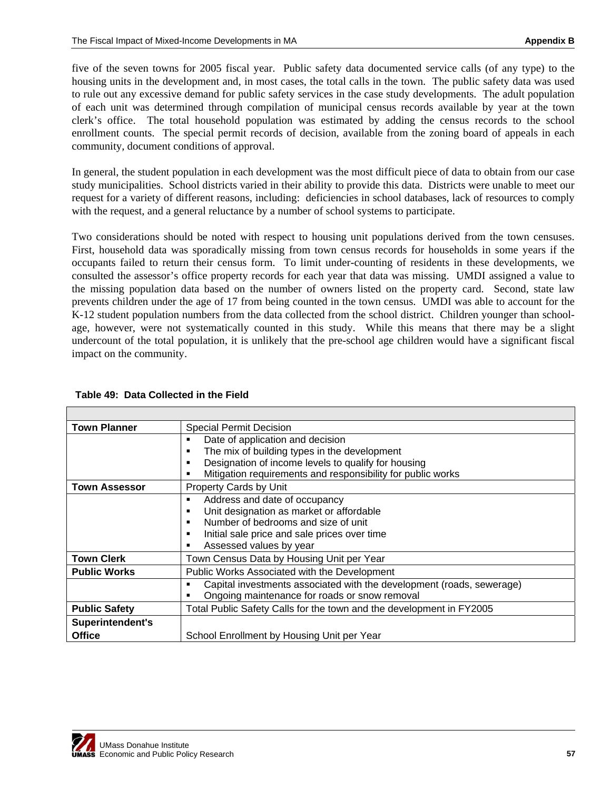five of the seven towns for 2005 fiscal year. Public safety data documented service calls (of any type) to the housing units in the development and, in most cases, the total calls in the town. The public safety data was used to rule out any excessive demand for public safety services in the case study developments. The adult population of each unit was determined through compilation of municipal census records available by year at the town clerk's office. The total household population was estimated by adding the census records to the school enrollment counts. The special permit records of decision, available from the zoning board of appeals in each community, document conditions of approval.

In general, the student population in each development was the most difficult piece of data to obtain from our case study municipalities. School districts varied in their ability to provide this data. Districts were unable to meet our request for a variety of different reasons, including: deficiencies in school databases, lack of resources to comply with the request, and a general reluctance by a number of school systems to participate.

Two considerations should be noted with respect to housing unit populations derived from the town censuses. First, household data was sporadically missing from town census records for households in some years if the occupants failed to return their census form. To limit under-counting of residents in these developments, we consulted the assessor's office property records for each year that data was missing. UMDI assigned a value to the missing population data based on the number of owners listed on the property card. Second, state law prevents children under the age of 17 from being counted in the town census. UMDI was able to account for the K-12 student population numbers from the data collected from the school district. Children younger than schoolage, however, were not systematically counted in this study. While this means that there may be a slight undercount of the total population, it is unlikely that the pre-school age children would have a significant fiscal impact on the community.

| <b>Town Planner</b>  | <b>Special Permit Decision</b>                                        |
|----------------------|-----------------------------------------------------------------------|
|                      | Date of application and decision                                      |
|                      | The mix of building types in the development<br>٠                     |
|                      | Designation of income levels to qualify for housing                   |
|                      | Mitigation requirements and responsibility for public works<br>٠      |
| <b>Town Assessor</b> | Property Cards by Unit                                                |
|                      | Address and date of occupancy                                         |
|                      | Unit designation as market or affordable<br>٠                         |
|                      | Number of bedrooms and size of unit                                   |
|                      | Initial sale price and sale prices over time<br>٠                     |
|                      | Assessed values by year                                               |
| <b>Town Clerk</b>    | Town Census Data by Housing Unit per Year                             |
| <b>Public Works</b>  | Public Works Associated with the Development                          |
|                      | Capital investments associated with the development (roads, sewerage) |
|                      | Ongoing maintenance for roads or snow removal<br>٠                    |
| <b>Public Safety</b> | Total Public Safety Calls for the town and the development in FY2005  |
| Superintendent's     |                                                                       |
| <b>Office</b>        | School Enrollment by Housing Unit per Year                            |

#### **Table 49: Data Collected in the Field**

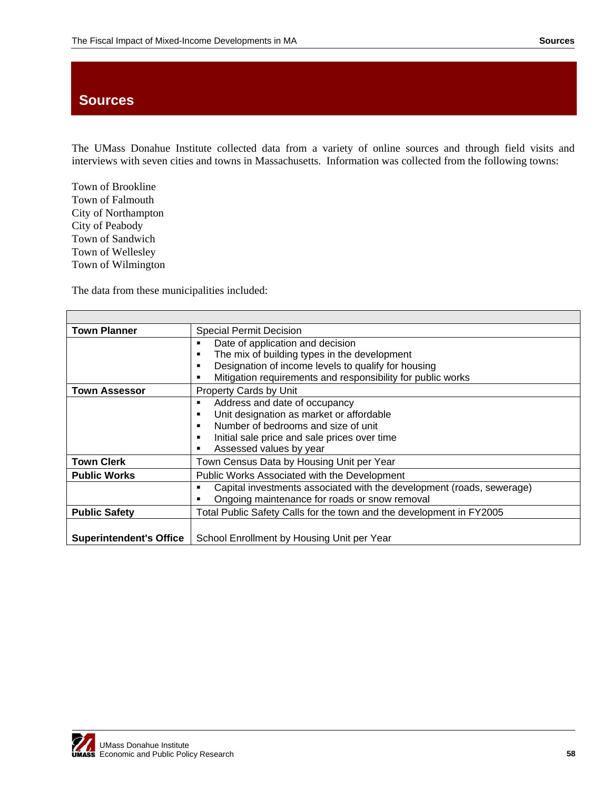## <span id="page-59-0"></span>**Sources**

The UMass Donahue Institute collected data from a variety of online sources and through field visits and interviews with seven cities and towns in Massachusetts. Information was collected from the following towns:

Town of Brookline Town of Falmouth City of Northampton City of Peabody Town of Sandwich Town of Wellesley Town of Wilmington

The data from these municipalities included:

| <b>Town Planner</b>            | <b>Special Permit Decision</b>                                             |
|--------------------------------|----------------------------------------------------------------------------|
|                                | Date of application and decision<br>п                                      |
|                                | The mix of building types in the development<br>п                          |
|                                | Designation of income levels to qualify for housing<br>п                   |
|                                | Mitigation requirements and responsibility for public works<br>п           |
| <b>Town Assessor</b>           | Property Cards by Unit                                                     |
|                                | Address and date of occupancy<br>٠                                         |
|                                | Unit designation as market or affordable<br>п                              |
|                                | Number of bedrooms and size of unit                                        |
|                                | Initial sale price and sale prices over time<br>п                          |
|                                | Assessed values by year<br>п                                               |
| <b>Town Clerk</b>              | Town Census Data by Housing Unit per Year                                  |
| <b>Public Works</b>            | Public Works Associated with the Development                               |
|                                | Capital investments associated with the development (roads, sewerage)<br>п |
|                                | Ongoing maintenance for roads or snow removal                              |
| <b>Public Safety</b>           | Total Public Safety Calls for the town and the development in FY2005       |
| <b>Superintendent's Office</b> | School Enrollment by Housing Unit per Year                                 |
|                                |                                                                            |

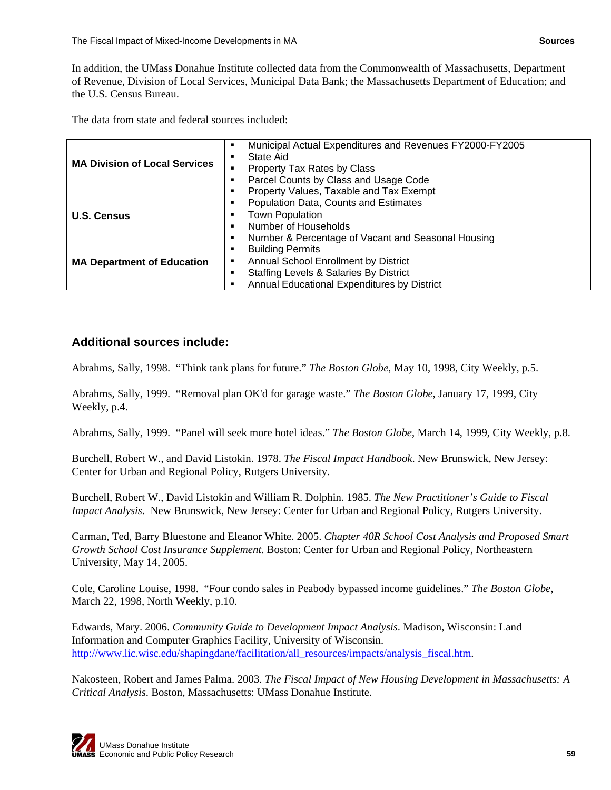In addition, the UMass Donahue Institute collected data from the Commonwealth of Massachusetts, Department of Revenue, Division of Local Services, Municipal Data Bank; the Massachusetts Department of Education; and the U.S. Census Bureau.

The data from state and federal sources included:

| <b>MA Division of Local Services</b> | Municipal Actual Expenditures and Revenues FY2000-FY2005<br>п |  |
|--------------------------------------|---------------------------------------------------------------|--|
|                                      | State Aid                                                     |  |
|                                      | Property Tax Rates by Class                                   |  |
|                                      | Parcel Counts by Class and Usage Code                         |  |
|                                      | Property Values, Taxable and Tax Exempt                       |  |
|                                      | Population Data, Counts and Estimates                         |  |
| <b>U.S. Census</b>                   | <b>Town Population</b>                                        |  |
|                                      | Number of Households<br>п                                     |  |
|                                      | Number & Percentage of Vacant and Seasonal Housing            |  |
|                                      | <b>Building Permits</b>                                       |  |
| <b>MA Department of Education</b>    | Annual School Enrollment by District                          |  |
|                                      | <b>Staffing Levels &amp; Salaries By District</b>             |  |
|                                      | Annual Educational Expenditures by District                   |  |

## **Additional sources include:**

Abrahms, Sally, 1998. "Think tank plans for future." *The Boston Globe*, May 10, 1998, City Weekly, p.5.

Abrahms, Sally, 1999. "Removal plan OK'd for garage waste." *The Boston Globe*, January 17, 1999, City Weekly, p.4.

Abrahms, Sally, 1999. "Panel will seek more hotel ideas." *The Boston Globe*, March 14, 1999, City Weekly, p.8.

Burchell, Robert W., and David Listokin. 1978. *The Fiscal Impact Handbook*. New Brunswick, New Jersey: Center for Urban and Regional Policy, Rutgers University.

Burchell, Robert W., David Listokin and William R. Dolphin. 1985. *The New Practitioner's Guide to Fiscal Impact Analysis*. New Brunswick, New Jersey: Center for Urban and Regional Policy, Rutgers University.

Carman, Ted, Barry Bluestone and Eleanor White. 2005. *Chapter 40R School Cost Analysis and Proposed Smart Growth School Cost Insurance Supplement*. Boston: Center for Urban and Regional Policy, Northeastern University, May 14, 2005.

Cole, Caroline Louise, 1998. "Four condo sales in Peabody bypassed income guidelines." *The Boston Globe*, March 22, 1998, North Weekly, p.10.

Edwards, Mary. 2006. *Community Guide to Development Impact Analysis*. Madison, Wisconsin: Land Information and Computer Graphics Facility, University of Wisconsin. [http://www.lic.wisc.edu/shapingdane/facilitation/all\\_resources/impacts/analysis\\_fiscal.htm](http://www.lic.wisc.edu/shapingdane/facilitation/all_resources/impacts/analysis_fiscal.htm).

Nakosteen, Robert and James Palma. 2003. *The Fiscal Impact of New Housing Development in Massachusetts: A Critical Analysis*. Boston, Massachusetts: UMass Donahue Institute.

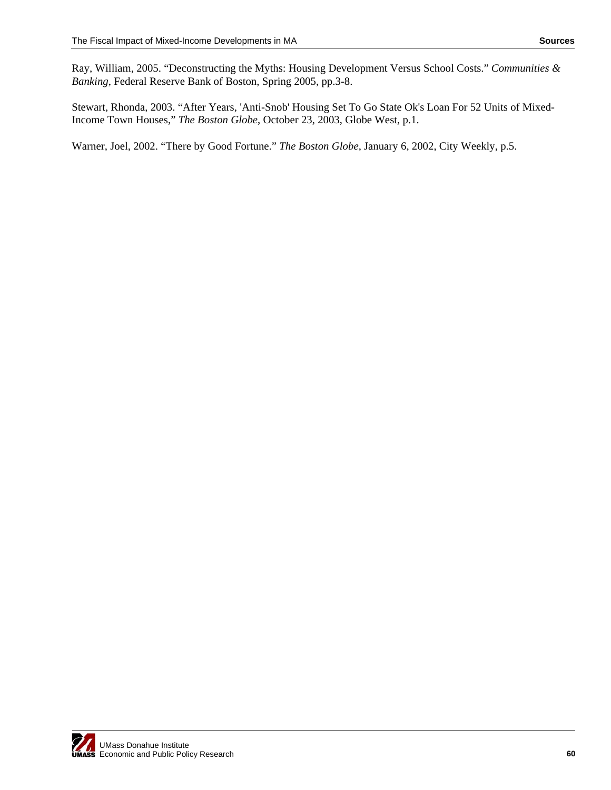Ray, William, 2005. "Deconstructing the Myths: Housing Development Versus School Costs." *Communities & Banking*, Federal Reserve Bank of Boston, Spring 2005, pp.3-8.

Stewart, Rhonda, 2003. "After Years, 'Anti-Snob' Housing Set To Go State Ok's Loan For 52 Units of Mixed-Income Town Houses," *The Boston Globe*, October 23, 2003, Globe West, p.1.

Warner, Joel, 2002. "There by Good Fortune." *The Boston Globe*, January 6, 2002, City Weekly, p.5.